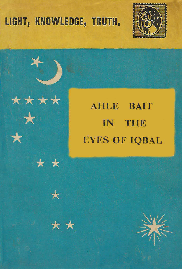# LIGHT, KNOWLEDGE, TRUTH.

\*\*\*\*

\* \*

 $\star$ 







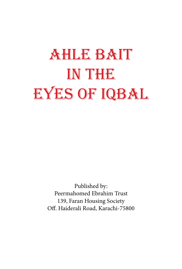# **AHLE BAIT** IN THE EYES OF IQBAL

Published by: Peermahomed Ebrahim Trust 139, Faran Housing Society Off. Haiderali Road, Karachi-75800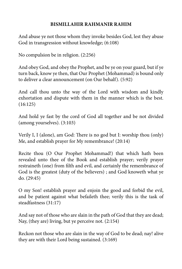#### **RISMILLAHIR RAHMANIR RAHIM**

And abuse ye not those whom they invoke besides God, lest they abuse God in transgression without knowledge;  $(6:108)$ 

No compulsion be in religion.  $(2:256)$ 

And obey God, and obey the Prophet, and be ye on your guard, but if ye turn back, know ye then, that Our Prophet (Mohammad) is bound only to deliver a clear announcement (on Our behalf). (5:92)

And call thou unto the way of the Lord with wisdom and kindly exhortation and dispute with them in the manner which is the best.  $(16:125)$ 

And hold ye fast by the cord of God all together and be not divided  $(among yourself)$ .  $(3:103)$ 

Verily I, I (alone), am God: There is no god but I: worship thou (only) Me, and establish prayer for My remembrance!  $(20:14)$ 

Recite thou (O Our Prophet Mohammad!) that which hath been revealed unto thee of the Book and establish prayer; verily prayer restraineth (one) from filth and evil, and certainly the remembrance of God is the greatest (duty of the believers); and God knoweth what ye  $do. (29:45)$ 

O my Son! establish prayer and enjoin the good and forbid the evil, and be patient against what befaileth thee; verily this is the task of steadfastness (31:17)

And say not of those who are slain in the path of God that they are dead; Nay, (they are) living, but ye perceive not.  $(2:154)$ 

Reckon not those who are slain in the way of God to be dead; nay! alive they are with their Lord being sustained.  $(3:169)$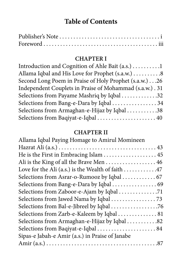# **Table of Contents**

#### **CHAPTER I**

| Introduction and Cognition of Ahle Bait $(a.s.) \ldots \ldots \ldots 1$ |  |
|-------------------------------------------------------------------------|--|
| Allama Iqbal and His Love for Prophet (s.a.w.) 8                        |  |
| Second Long Poem in Praise of Holy Prophet (s.a.w.) 26                  |  |
| Independent Couplets in Praise of Mohammad (s.a.w.) . 31                |  |
| Selections from Payame Mashriq by Iqbal 32                              |  |
| Selections from Bang-e-Dara by Iqbal 34                                 |  |
| Selections from Armaghan-e-Hijaz by Iqbal 38                            |  |
| Selections from Baqiyat-e-Iqbal  40                                     |  |

#### **CHAPTER II**

| Allama Iqbal Paying Homage to Amirul Momineen     |
|---------------------------------------------------|
|                                                   |
|                                                   |
| Ali is the King of all the Brave Men 46           |
| Love for the Ali (a.s.) is the Wealth of faith 47 |
| Selections from Asrar-o-Rumooz by Iqbal  67       |
| Selections from Bang-e-Dara by Iqbal  69          |
|                                                   |
|                                                   |
|                                                   |
| Selections from Zarb-e-Kaleem by Iqbal  81        |
| Selections from Armaghan-e-Hijaz by Iqbal 82      |
| Selections from Baqiyat-e-Iqbal  84               |
| Sipas-e Jabah-e Amir (a.s.) in Praise of Janabe   |
|                                                   |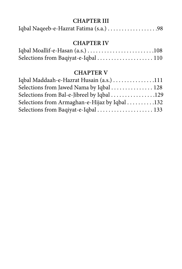#### **CHAPTER III**

|--|--|--|

#### **CHAPTER IV**

| Selections from Baqiyat-e-Iqbal  110 |  |
|--------------------------------------|--|

#### **CHAPTER V**

| Iqbal Maddaah-e-Hazrat Husain (a.s.) 111      |  |
|-----------------------------------------------|--|
| Selections from Jawed Nama by Iqbal  128      |  |
| Selections from Bal-e-Jibreel by Iqbal 129    |  |
| Selections from Armaghan-e-Hijaz by Iqbal 132 |  |
|                                               |  |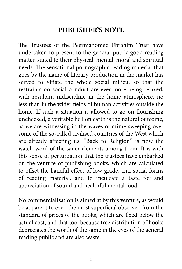# **PUBLISHER'S NOTE**

<span id="page-5-0"></span>The Trustees of the Peermahomed Ebrahim Trust have undertaken to present to the general public good reading matter, suited to their physical, mental, moral and spiritual needs. The sensational pornographic reading material that goes by the name of literary production in the market has served to vitiate the whole social milieu, so that the restraints on social conduct are ever-more being relaxed, with resultant indiscipline in the home atmosphere, no less than in the wider fields of human activities outside the home. If such a situation is allowed to go on flourishing. unchecked, a veritable hell on earth is the natural outcome, as we are witnessing in the waves of crime sweeping over some of the so-called civilised countries of the West which are already affecting us. "Back to Religion" is now the watch-word of the saner elements among them. It is with this sense of perturbation that the trustees have embarked on the venture of publishing books, which are calculated to offset the baneful effect of low-grade, anti-social forms of reading material, and to inculcate a taste for and appreciation of sound and healthful mental food.

No commercialization is aimed at by this venture, as would be apparent to even the most superficial observer, from the standard of prices of the books, which are fixed below the actual cost, and that too, because free distribution of books depreciates the worth of the same in the eyes of the general reading public and are also waste.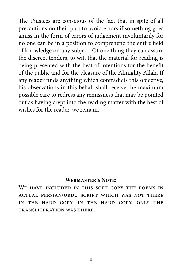The Trustees are conscious of the fact that in spite of all precautions on their part to avoid errors if something goes amiss in the form of errors of judgement involuntarily for no one can be in a position to comprehend the entire field of knowledge on any subject. Of one thing they can assure the discreet tenders, to wit, that the material for reading is being presented with the best of intentions for the benefit of the public and for the pleasure of the Almighty Allah. If any reader finds anything which contradicts this objective, his observations in this behalf shall receive the maximum possible care to redress any remissness that may be pointed out as having crept into the reading matter with the best of wishes for the reader, we remain.

#### **WEBMASTER'S NOTE:**

WE HAVE INCLUDED IN THIS SOFT COPY THE POEMS IN ACTUAL PERSIAN/URDU SCRIPT WHICH WAS NOT THERE IN THE HARD COPY, IN THE HARD COPY, ONLY THE TRANSLITERATION WAS THERE.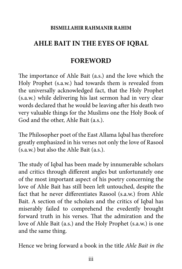#### **RISMILLAHIR RAHMANIR RAHIM**

# <span id="page-7-0"></span>**IQBAL AHLE BAIT IN THE EYES OF IQBAL**

# **FOREWORD**

The importance of Ahle Bait (a.s.) and the love which the Holy Prophet (s.a.w.) had towards them is revealed from the universally acknowledged fact, that the Holy Prophet  $(s.a.w.)$  while delivering his last sermon had in very clear words declared that he would be leaving after his death two very valuable things for the Muslims one the Holy Book of God and the other, Ahle Bait (a.s.).

The Philosopher poet of the East Allama Iqbal has therefore greatly emphasized in his verses not only the love of Rasool  $(s.a.w.)$  but also the Ahle Bait  $(a.s.).$ 

The study of Iqbal has been made by innumerable scholars and critics through different angles but unfortunately one of the most important aspect of his poetry concerning the love of Ahle Bait has still been left untouched, despite the fact that he never differentiates Rasool (s.a.w.) from Ahle Bait. A section of the scholars and the critics of Iqbal has miserably failed to comprehend the evedently brought forward truth in his verses. That the admiration and the love of Ahle Bait (a.s.) and the Holy Prophet (s.a.w.) is one and the same thing.

Hence we bring forward a book in the title *Ahle Bait in the*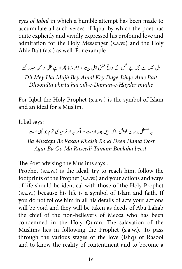eyes of Iqbal in which a humble attempt has been made to accumulate all such verses of Iqbal by which the poet has quite explicitly and vividly expressed his profound love and admiration for the Holy Messenger (s.a.w.) and the Holy Ahle Bait (a.s.) as well. For example

ّ ل دانم یحدر ےھجم ت \* ڈوھڈنات رھپات ےہ � یدل م بی ےہ ھجم ےب لمع ےک دا غ قشع الہ �

*Bait Ahle-Ishqe-Dage Key Amal Bey Mujh Hai Mey Dil Dhoondta phirta hai zill-e-Daman-e-Hayder mujhe* 

For Iqbal the Holy Prophet (s.a.w.) is the symbol of Islam and an ideal for a Muslim.

Iqbal says:

بہ مصطفی بر سان خویش را کہ دین ہمہ اوست \* اگر بہ او نر سیدی تمام بو کہی است شی

Ba Mustafa Be Rasan Khaish Ra ki Deen Hama Oost .*beest Boolaha Tamam Raseedi Ma Oo Ba Agar*

The Poet advising the Muslims says:

Prophet (s.a.w.) is the ideal, try to reach him, follow the footprints of the Prophet (s.a.w.) and your actions and ways of life should be identical with those of the Holy Prophet  $(s.a.w.)$  because his life is a symbol of Islam and faith. If you do not follow him in all his details of acts your actions will be void and they will be taken as deeds of Abu Lahab the chief of the non-believers of Mecca who has been condemned in the Holy Quran. The salavation of the Muslims lies in following the Prophet (s.a.w.). To pass through the various stages of the love (Ishq) of Rasool and to know the reality of contentment and to become a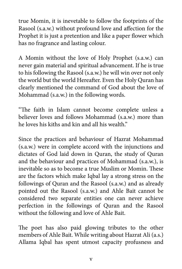true Momin, it is inevetable to follow the footprints of the Rasool (s.a.w.) without profound love and affection for the Prophet it is just a pretention and like a paper flower which has no fragrance and lasting colour.

A Momin without the love of Holy Prophet (s.a.w.) can never gain material and spiritual advancement. If he is true to his following the Rasool (s.a.w.) he will win over not only the world but the world Hereafter. Even the Holy Quran has clearly mentioned the command of God about the love of Mohammad (s.a.w.) in the following words.

"The faith in Islam cannot become complete unless a believer loves and follows Mohammad (s.a.w.) more than he loves his kiths and kin and all his wealth"

Since the practices ard behaviour of Hazrat Mohammad  $(s.a.w.)$  were in complete accord with the injunctions and dictates of God laid down in Quran, the study of Quran and the behaviour and practices of Mohammad (s.a.w.), is inevitable so as to become a true Muslim or Momin. These are the factors which make Iqbal lay a strong stress on the followings of Quran and the Rasool (s.a.w.) and as already pointed out the Rasool (s.a.w.) and Ahle Bait cannot be considered two separate entities one can never achieve perfection in the followings of Quran and the Rasool without the following and love of Ahle Bait.

The poet has also paid glowing tributes to the other members of Ahle Bait. While writing about Hazrat Ali (a.s.) Allama Iqbal has spent utmost capacity profusness and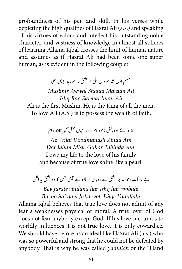profoundness of his pen and skill. In his verses while depicting the high qualities of Hazrat Ali (a.s.) and speaking of his virtues of valour and intellect his outstanding noble character, and vastness of knowledge in almost all spheres of learning Allama Iqbal crosses the limit of human nature and assumes as if Hazrat Ali had been some one super human, as is evident in the following couplet.

�مسلم اوّل شه مرداں علی \* عشق را سرمایۂ ا*یما*ں علی

 *Ali Mardan Shahai Awwal Muslime Ali Iman Sarmai Rao Ishq*

Ali is the first Muslim. He is the King of all the men. To love Ali (A.S.) is to possess the wealth of faith.

از ولائے دودمانش زندہ ام \* در جہاں مثل گہر تابندہ ام

 *Am Zinda Doodmanash Wilai Az* Dar *Jahan Misle Guhar Tabinda Am.* I owe my life to the love of his family and because of true love shine like a pearl.

ے جرأت رندانہ ہر عشق ہے روہابی \* بازو ہے قوی جس کا وہ عشق یدالکہی

*Bey Jurate rindana har Ishq hai roobahi Yadullahi Ishqe woh Jiska qavi hai Bazoo*

Allama Iqbal believes that true love does not admit of any fear a weaknesses physical or moral. A true lover of God does not fear anybody except God. If his love succumbs to worldly influences it is not true love, it is only cowardice. We should have before us an ideal like Hazrat Ali (a.s.) who was so powerful and strong that he could not be defeated by anybody. That is why he was called *yadullah* or the "Hand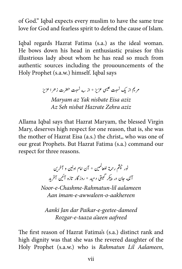of God." Igbal expects every muslim to have the same true love for God and fearless spirit to defend the cause of Islam.

Igbal regards Hazrat Fatima (s.a.) as the ideal woman. He bows down his head in enthusiastic praises for this illustrious lady about whom he has read so much from authentic sources including the prououncements of the Holy Prophet (s.a.w.) himself. Iqbal says

> مریم از یک نسبت عیسی عزیز \* از سه نسبت حضرت زحرا عزیز *Maryam az Yak nisbate Eisa aziz Az Seh nisbat Hazrate Zehra aziz*

Allama Iqbal says that Hazrat Maryam, the blessed Virgin Mary, deserves high respect for one reason, that is, she was the mother of Hazrat Eisa (a.s.) the christ,, who was one of our great Prophets. But Hazrat Fatima (s.a.) command our respect for three reasons.

> نور چشم رحمة للعالمين \* آن امام اولين و آخرين<br>\* ل آنکه جان در پیکر گیتی دمید \* روزگار تازه آئین آفرید ی ت ن

*Noor-e-Chashme-Rahmatun-lil aalameen aakhereen-o-awwaleen-e-imam Aan*

Aanki Jan dar Paikar-e-geetee-dameed *aafreed aeen'a taaza-e-Rozgar*

The first reason of Hazrat Fatima's (s.a.) distinct rank and high dignity was that she was the revered daughter of the Holy Prophet (s.a.w.) who is Rahmatun Lil Aalameen,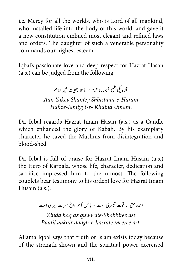i.e. Mercy for all the worlds, who is Lord of all mankind, who installed life into the body of this world, and gave it a new constitution embued most elegant and refined laws and orders. The daughter of such a venerable personality commands our highest esteem.

Iqbal's passionate love and deep respect for Hazrat Hasan  $f$ (a.s.) can be judged from the following

> ی االمم ۔<br>آن یکی شمع شبستان حرم \* حافظ جمعیت خیر  *Haram-e-Shbistaan ey'Sham Yakey Aan* Hafize-Jamiyyt-e- Khaind Umam.

Dr. Iqbal regards Hazrat Imam Hasan (a.s.) as a Candle which enhanced the glory of Kabah. By his examplary character he saved the Muslims from disintegration and blood-shed.

Dr. Iqbal is full of praise for Hazrat Imam Husain (a.s.) the Hero of Karbala, whose life, character, dedication and sacrifice impressed him to the utmost. The following couplets bear testimony to his ordent love for Hazrat Imam Husain  $(a.s.)$ :

> زنده حق از قوت شبیری است \* باطل آخر داغ حسرت میری است ش

*Zinda haq az quwwate-Shabbiree ast* .*ast meeree hasrate-e-daagh aakhir Baatil*

Allama Iqbal says that truth or Islam exists today because of the strength shown and the spiritual power exercised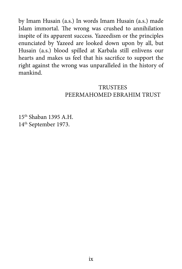by Imam Husain (a.s.) In words Imam Husain (a.s.) made Islam immortal. The wrong was crushed to annihilation inspite of its apparent success. Yazeedism or the principles enunciated by Yazeed are looked down upon by all, but Husain (a.s.) blood spilled at Karbala still enlivens our hearts and makes us feel that his sacrifice to support the right against the wrong was unparalleled in the history of .mankind

#### **TRUSTEES** PEERMAHOMED EBRAHIM TRUST

 $15<sup>th</sup>$  Shaban 1395 A.H. 14<sup>th</sup> September 1973.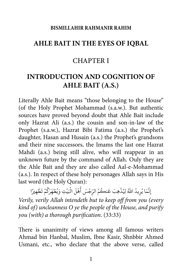#### **RISMILLAHIR RAHMANIR RAHIM**

### <span id="page-14-0"></span>**IQBAL AHLE BAIT IN THE EYES OF IOBAL**

# **CHAPTER I**

# **INTRODUCTION AND COGNITION OF AHLE BAIT (A.S.)**

Literally Ahle Bait means "those belonging to the House" (of the Holy Prophet Mohammad (s.a.w.). But authentic sources have proved beyond doubt that Ahle Bait include only Hazrat Ali (a.s.) the cousin and son-in-law of the Prophet (s.a.w.), Hazrat Bibi Fatima (a.s.) the Prophet's daughter, Hasan and Husain (a.s.) the Prophet's grandsons and their nine successors, the Imams the last one Hazrat Mahdi (a.s.) being still alive, who will reappear in an unknown future by the command of Allah. Ouly they are the Ahle Bait and they are also called Aal-e-Mohammad (a.s.). In respect of these holy personages Allah says in His last word (the Holy Quran): َ

إِنَّمَا يُرِيدُ اللَّهُ لِيُذْهِبَ عَنكُمُ الرِّجْسَ أَهْلَ الْبَيْتِ وَيُطَهِّرَكُمْ تَظْهِيرًا ً ُ **.** ِ َ**∶** ْ **∶** .<br>.  $\ddot{\phantom{a}}$ ْ َُّ *Verily, verily Allah intendeth but to keep off from you (every) kind of) uncleanness O ye the people of the House, and purify vou (with) a thorough purification.* (33:33)

There is unanimity of views among all famous writers Ahmad bin Hanbal, Muslim, Ibne Kasir, Shnbbir Ahmed Usmani, etc., who declare that the above verse, called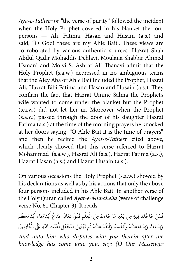Aya-e-Tatheer or "the verse of purity" followed the incident when the Holy Prophet covered in his blanket the four  $persons$  — Ali, Fatima, Hasan and Husain (a.s.) and said, "O God! these are my Ahle Bait". These views are corroborated by various authentic sources. Hazrat Shah Abdul Qadir Mohaddis Dehlavi, Moulana Shabbir Ahmed Usmani and Molvi S. Ashraf Ali Thanavi admit that the Holy Prophet (s.a.w.) expressed in no ambiguous terms that the Aley Aba or Ahle Bait included the Prophet, Hazrat Ali, Hazrat Bibi Fatima and Hasan and Husain (a.s.). They confirm the fact that Hazrat Umme Salma the Prophet's wife wanted to come under the blanket but the Prophet (s.a.w.) did not let her in. Moreover when the Prophet (s.a.w.) passed through the door of his daughter Hazrat Fatima (a.s.) at the time of the morning prayers he knocked at her doors saying, "O Ahle Bait it is the time of prayers" and then he recited the Ayat-e-Tatheer cited above, which clearly showed that this verse referred to Hazrat Mohammad (s.a.w.), Hazrat Ali (a.s.), Hazrat Fatima (a.s.), Hazrat Hasan (a.s.) and Hazrat Husain (a.s.).

On various occasions the Holy Prophet (s.a.w.) showed by his declarations as well as by his actions that only the above four persons included in his Ahle Bait. In another verse of the Holy Quran called Ayat-e-Mubahella (verse of challenge verse No. 61 Chapter 3). It reads -

ْ فَمَنْ حَاجَّكَ فِيهِ مِن بَعْدِ مَا جَاءَكَ مِنَ الْعِلْمِ فَقُلْ تَعَالَوْا نَدْعُ أَبْنَاءَنَا وَأَبْنَاءَكُمْ **∶** ْ َ َ َ َ ْ َ **ا ∶** َ َ ؚ<br>ا ؚ<br>ا  $\overline{\phantom{a}}$ ؚ<br>ا **ا** َ ِ َ َ وَنِسَاءَنَا وَنِسَاءَكُمْ وَأَنفُسَنَا وَأَنفُسَكُمْ ثُمَّ نَبْتَهِلْ فَنَجْعَل لَّعْنَتَ اللهِ عَلَى الْكاذِبِينَ َ <u>ّ</u> ؚ<br>ׇׇ֧֚֡֬֝<br>֧<u>֚</u> َّ ؚ<br>ׇ֧֡֬֓֕<u>֚</u> ؚ<br>ا َ <u>់</u> َ ُ َ َ َ َ َ ََ <u>َ</u> َ**َ** *And unto him who disputes with you therein after the* knowledge has come unto you, say: (O Our Messenger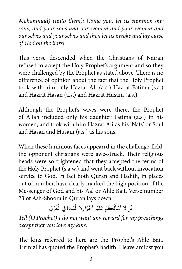*Mohammad)* (unto them): Come you, let us summon our sons, and your sons and our women and your women and *cur selves and your selves and then let us invoke and lay curse* of God on the liars!

This verse descended when the Christians of Najran refused to accept the Holy Prophet's argument and so they were challenged by the Prophet as stated above. There is no difference of opinion about the fact that the Holy Prophet took with him only Hazrat Ali (a.s.) Hazrat Fatima (s.a.) and Hazrat Hasan (a.s.) and Hazrat Husain (a.s.).

Although the Prophet's wives were there, the Prophet of Allah included only his daughter Fatima (a.s.) in his women, and took with him Hazrat Ali as his 'Nafs' or Soul and Hasan and Husain (a.s.) as his sons.

When these luminous faces appearrd in the challenge-field, the opponent christians were awe-struck. Their religious heads were so frightened that they accepted the terms of the Holy Prophet (s.a.w.) and went back without invocation service to God. In fact both Quran and Hadith, in places out of number, have clearly marked the high position of the Messenger of God and his Aal or Ahle Bait. Verse number 23 of Ash-Shoora in Quran lays down:

ةُل لَّا أَسْأَلُكُمْ عَلَيْهِ أَجْرًا إِلَّا الْمَوَدَّةَ فِي الْقُرْبَىٰ ُ **البابات** َ **ٔ ا ا** ْ ؚ<br>ا ا<br>ا ؚ<br>ا **ا** َ َ َ

*Tell* (O Prophet) I do not want any reward for my preachings *except that you love my kins.* 

The kins referred to here are the Prophet's Ahle Bait. Tirmizi has quoted the Prophet's hadith 'I leave amidst you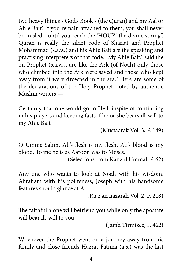two heavy things - God's Book - (the Quran) and my Aal or Ahle Bait'. If you remain attached to them, you shall never be misled - until you reach the 'HOUZ' the divine spring". Quran is really the silent code of Shariat and Prophet Mohammad (s.a.w.) and his Ahle Bait are the speaking and practising interpreters of that code. "My Ahle Bait," said the on Prophet (s.a.w.), are like the Ark (of Noah) only those who climbed into the Ark were saved and those who kept away from it were drowned in the sea." Here are some of the declarations of the Holy Prophet noted by authentic Muslim writers —

Certainly that one would go to Hell, inspite of continuing in his prayers and keeping fasts if he or she bears ill-will to my Ahle Bait

(Mustaarak Vol. 3, P. 149)

O Umme Salim, Ali's flesh is my flesh, Ali's blood is my blood. To me he is as Aaroon was to Moses.

(Selections from Kanzul Ummal, P. 62)

Any one who wants to look at Noah with his wisdom, Abraham with his politeness, Joseph with his handsome features should glance at Ali.

(Riaz an nazarah Vol. 2, P. 218)

The faithful alone will befriend you while only the apostate will bear ill-will to you

 $($ Jam'a Tirmizee, P. 462 $)$ 

Whenever the Prophet went on a journey away from his family and close friends Hazrat Fatima (a.s.) was the last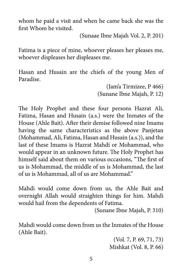whom he paid a visit and when he came back she was the first Whom he visited.

(Sunaae Ibne Majah Vol. 2, P. 201)

Fatima is a piece of mine, whoever pleases her pleases me, whoever displeases her displeases me.

Hasan and Husain are the chiefs of the young Men of .Paradise

> $($ Jam'a Tirmizee, P 466 $)$ (Sunane Ibne Majah, P. 12)

The Holy Prophet and these four persons Hazrat Ali, Fatima, Hasan and Husain (a.s.) were the Inmates of the House (Ahle Bait). After their demise followed nine Imams having the same characteristics as the above Panjetan (Mohammad, Ali, Fatima, Hasan and Husain (a.s.)), and the last of these Imams is Hazrat Mahdi or Mohammad, who would appear in an unknown future. The Holy Prophet has himself said about them on various occasions, "The first of us is Mohammad, the middle of us is Mohammad, the last of us is Mohammad, all of us are Mohammad."

Mahdi would come down from us, the Ahle Bait and overnight Allah would straighten things for him. Mahdi would hail from the dependents of Fatima.

(Sunane Ibne Majah, P. 310)

Mahdi would come down from us the Inmates of the House (Ahle Bait).

> $(Vol. 7, P. 69, 71, 73)$ Mishkat (Vol. 8, P. 66)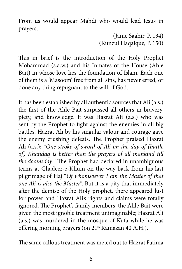From us would appear Mahdi who would lead Jesus in prayers.

> $($ Jame Saghir, P. 134 $)$ (Kunzul Haqaique, P. 150)

This in brief is the introduction of the Holy Prophet Mohammad (s.a.w.) and his Inmates of the House (Ahle Bait) in whose love lies the foundation of Islam. Each one of them is a 'Masoom' free from all sins, has never erred, or done any thing repugnant to the will of God.

It has been established by all authentic sources that Ali (a.s.) the first of the Ahle Bait surpassed all others in bravery, piety, and knowledge. It was Hazrat Ali (a.s.) who was sent by the Prophet to fight against the enemies in all big battles. Hazrat Ali by his singular valour and courage gave the enemy crushing defeats. The Prophet praised Hazrat Ali (a.s.): "One stroke of sword of Ali on the day of (battle *of)* Khandaq is better than the prayers of all mankind till the doomsday." The Prophet had declared in unambiguous terms at Ghadeer-e-Khum on the way back from his last pilgrimage of Haj "Of whomsoever I am the Master of that one Ali is also the Master". But it is a pity that immediately after the demise of the Holy prophet, there appeared lust for power and Hazrat Ali's rights and claims were totally ignored. The Prophet's family members, the Ahle Bait were given the most ignoble treatment unimaginable; Hazrat Ali (a.s.) was murdered in the mosque of Kufa while he was offering morning prayers (on 21<sup>st</sup> Ramazan 40 A.H.).

The same callous treatment was meted out to Hazrat Fatima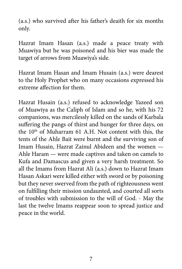$(a.s.)$  who survived after his father's deaith for six months .only

Hazrat Imam Hasan (a.s.) made a peace treaty with Muawiya but he was poisoned and his bier was made the target of arrows from Muawiya's side.

Hazrat Imam Hasan and Imam Husain (a.s.) were dearest to the Holy Prophet who on many occasions expressed his extreme affection for them.

Hazrat Husain (a.s.) refused to acknowledge Yazeed son of Muawiya as the Caliph of Islam and so he, with his 72 companions, was mercilessly killed on the sands of Karbala suffering the pangs of thirst and hunger for three days, on the  $10<sup>th</sup>$  of Muharram 61 A.H. Not content with this, the tents of the Ahle Bait were burnt and the surviving son of Imam Husain, Hazrat Zainul Abideen and the women -Ahle Haram  $-$  were made captives and taken on camels to Kufa and Damascus and given a very harsh treatment. So all the Imams from Hazrat Ali (a.s.) down to Hazrat Imam Hasan Askari were killed either with sword or by poisoning but they never swerved from the path of righteousness went on fulfilling their mission undaunted, and courted all sorts of troubles with submission to the will of God. - May the last the twelve Imams reappear soon to spread justice and peace in the world.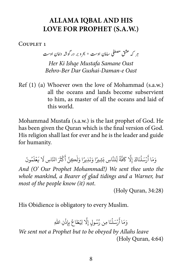# **ALLAMA IQBAL AND HIS LOVE FOR PROPHET (S.A.W.)**

<span id="page-21-0"></span>COUPLET<sub>1</sub>

ہر کہ عشق مصطفی سامان اوست \* بحرو بر در گوشہ دامان اوست

*Her Ki Ishqe Mustafa Samane Oast Oast e-Daman-Gushai Dar Ber-Behro*

 $Ref(1)$  (a) Whoever own the love of Mohammad (s.a.w.) all the oceans and lands become subservient to him, as master of all the oceans and laid of this world.

Mohammad Mustafa (s.a.w.) is the last prophet of God. He has been given the Quran which is the final version of God. His religion shall last for ever and he is the leader and guide for humanity.

َ ون ُ م َ ل ْ ع َ َ ي َّ ِاس ل ََ انل ث ْ ك َ َّ أ ِكن ل َ ًا و ِذير َ ن َ ًا و ِشري َ ِاس ب َّ لن ّ ل ِ ً ة َّ ف َ َّ ك ِل َ إ َاك ن ل َ ْس ر َ َا أ َم و

*And (O' Our Prophet Mohammad!) We sent thee unto the whole mankind, a Bearer of glad tidings and a Warner, but* most of the people know (it) not.

 $(Holy$  Ouran,  $34:28)$ 

His Obidience is obligatory to every Muslim.

وَمَا أَرْسَلْنَا مِن رَّسُولٍ إِلَّا لِيُطَاعَ بِإِذْنِ اللهِ <u>ّ</u> ِ ់<br>ខែ َ**ٔ** ُ**ا**  $\ddot{\phantom{a}}$ َ

*We sent not a Prophet but to be obeyed by Allahs leave*  $(Holy)$ Quran, 4:64)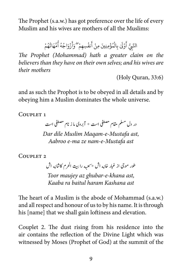The Prophet (s.a.w.) has got preference over the life of every Muslim and his wives are mothers of all the Muslims:

> ؚ<br>ׇ֧֖֦֖֧֦֦֖֧֦֖֧֦֦֖֧֦֧֦֖֧֦֧֦֧֦֧֦֧֦֧֦֧֦֧֝֟֟֓֝֬֝֟֓֝֬֝֓֝֬֝֬<br>֧֪֧֝<u>֖֖֖֚֚֚֚</u> النَّبِيُّ أَوْلَىٰ بِالْمُؤْمِنِينَ مِنْ أَنفُسِهِمْ ۖ وَأَزْوَاجُهُ أُمَّهَاتُهُمْ ُ **ٔ** ُ ُ ؚ<br>ׇׇ֧֖֖֧֚֚֡֟֓֕֝֬<u>֚</u> َ **ا** ُ <u>َ</u> **ا** ْ ُ **البابات**  $\overline{\phantom{a}}$ َ ِ

*The Prophet (Mohammad) hath a greater claim on the believers than they have on their own selves; and his wives are mothers their*

 $(Holy)$ Quran, 33:6)

and as such the Prophot is to be obeyed in all details and by obeying him a Muslim dominates the whole universe.

COUPLET<sub>1</sub>

در دل مسلم مقام مصطفی است \* آبروی ما ز نام مصطفی است Dar dile Muslim Magam-e-Mustafa ast, *ast Mustafa-e-nam ze ma-e Aabroo*

COUPLET<sub>2</sub>

طور موجی از غبار خانه اش \* <sub>ک</sub>عبه را بیت الحرم کاشانه اش ت

*Toor maujey az ghubar-e-khana ast, ast Kashana haram baitul ra Kaaba*

The heart of a Muslim is the abode of Mohammad (s.a.w.) and all respect and honour of us to by his name. It is through his [name] that we shall gain loftiness and elevation.

Couplet 2. The dust rising from his residence into the air contains the reflection of the Divine Light which was witnessed by Moses (Prophet of God) at the summit of the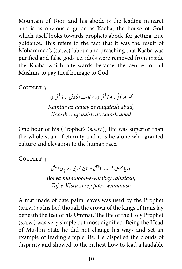Mountain of Toor, and his abode is the leading minaret and is as obvious a guide as Kaaba, the house of God which itself looks towards prophets abode for getting true guidance. This refers to the fact that it was the result of Mohammad's (s.a.w.) labour and preaching that Kaaba was purified and false gods i.e, idols were removed from inside the Kaaba which afterwards became the centre for all Muslims to pay theif homage to God.

COUPLET<sub>3</sub>

.<br>کمتر از آنی ز اوقاتش ابد \* کاسب افزایش از ذاتش ابد Kamtar az aaney ze auqatash abad, *abad zatash az afzaaish-e-Kaasib*

One hour of his (Prophet's  $(s.a.w.)$ ) life was superior than the whole span of eternity and it is he alone who granted culture and elevation to the human race.

COUPLET<sub>4</sub>

بور یا ممنون خواب راحتش \* تاج<sup>2</sup> کسری زیر یای امتش ت *Borya mamnoon-e-Kkabey rahatash,* Taj-e-Kisra zerey pa'ey wnmatash

A mat made of date palm leaves was used by the Prophet  $(s.a.w.)$  as his bed though the crown of the kings of Irans lay beneath the feet of his Ummat. The life of the Holy Prophet  $(s.a.w.)$  was very simple but most dignified. Being the Head of Muslim State he did not change his ways and set an example of leading simple life. He dispelled the clouds of disparity and showed to the richest how to lead a laudable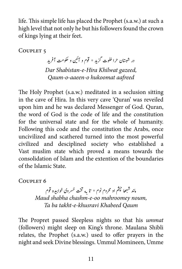life. This simple life has placed the Prophet (s.a.w.) at such a high level that not only he but his followers found the crown of kings lying at their feet.

COUPLET<sub>5</sub>

 ی و وکحتم آرف� ی  $\mathcal{L}^{\pm}$ در شبستان حرا خلوت گزید \* قوم و آٸین *Dar Shabistan-e-Hira Khilwat gazeed, aafreed hukoomat o-aaeen-o-Qaum*

The Holy Prophet (s.a.w.) meditated in a seclusion sitting in the cave of Hira. In this very cave 'Quran' was reveiled upon him and he was declared Messenger of God. Quran, the word of God is the code of life and the constitution for the universal state and for the whole of humanity. Following this code and the constitution the Arabs, once uncivilized and scathered turned into the most powerful civilized and desciplined society who established a Vast muslim state which proved a means towards the consolidation of Islam and the extention of the boundaries of the Islamic State.

COUPLET<sub>6</sub>

ماند شبهها حجثم او محروم نوم \* تا به تخت خسروی خوابیده قوم ش *Maud shabha chashm-e-oo mahroomey noum,* Ta ba takht-e-khusravi Khabeed *Qaum* 

The Propret passed Sleepless nights so that his *ummat* (followers) might sleep on King's throne. Maulana Shibli relates, the Prophet (s.a.w.) used to offer prayers in the night and seek Divine blessings. Ummul Momineen, Umme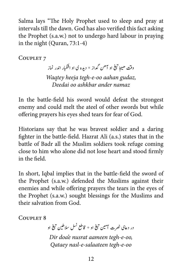Salma lays "The Holy Prophet used to sleep and pray at intervals till the dawn. God has also verified this fact asking the Prophet (s.a.w.) not to undergo hard labour in praying in the night (Quran,  $73:1-4$ )

COUPLET<sub>7</sub>

او آھن گداز ٭ ديده <mark>ی او اشکبار اندر نماز</mark> į, وقت ھیجا تیغ ت � *Wagtey heeja tegh-e-oo aahan gudaz, namaz ander ashkbar oo Deedai*

In the battle-field his sword would defeat the strongest enemy and could melt the ateel of other swords but while offering prayers his eyes shed tears for fear of God.

Historians say that he was bravest soldier and a daring fighter in the battle-field. Hazrat Ali (a.s.) states that in the battle of Badr all the Muslim soldiers took refuge coming close to him who alone did not lose heart and stood firmly in the field.

In short, Iqbal implies that in the battle-field the sword of the Prophet (s.a.w.) defended the Muslims against their enemies and while offering prayers the tears in the eyes of the Prophet (s.a.w.) sought blessings for the Muslims and their salvation from God

COUPLET<sub>8</sub>

 ا و  $\ddot{\phantom{a}}$ او \* قاطع نسل سلاطين تي<u>غ</u> ت  $\ddot{\phantom{0}}$ در دعای نصرت آمین تی<del>خ</del> ت Dir doa'e nusrat aameen tegh-e-oo, *oo-e-tegh salaateen-e-nasl Qataey*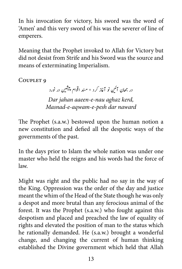In his invocation for victory, his sword was the word of 'Amen' and this very sword of his was the severer of line of .emperers

Meaning that the Prophet invoked to Allah for Victory but did not desist from Strife and his Sword was the source and means of exterminating Imperialism.

COUPLET<sub>9</sub>

، آئین نو آغاز کرد \* مند اقوام پیشین در نورد ش ی در جھان آئین Dar jahan aaeen-e-nau aghaz kerd, *Masnad-e-aqwam-e-pesh dar naward* 

The Prophet (s.a.w.) bestowed upon the human notion a new constitution and defied all the despotic ways of the governments of the past.

In the days prior to Islam the whole nation was under one master who held the reigns and his words had the force of .law

Might was right and the public had no say in the way of the King. Oppression was the order of the day and justice meant the whim of the Head of the State though he was only a despot and more brutal than any ferocious animal of the forest. It was the Prophet (s.a.w.) who fought against this despotism and placed and preached the law of equality of rights and elevated the position of man to the status which he rationally demanded. He (s.a.w.) brought a wonderful change, and changing the current of human thinking established the Divine government which held that Allah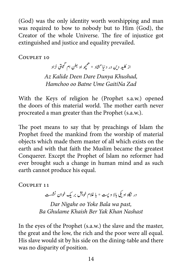$(God)$  was the only identity worth worshipping and man was required to bow to nobody but to Him (God), the Creator of the whole Universe. The fire of injustice got extinguished and justice and equality prevailed.

COUPLET 10

از کلید دین در دنیا <sup>س</sup>ثتاد \* همچو او بطن ام گیتی نزاد م ی Az Kalide Deen Dare Dunya Khushad, *Hamchoo oo Batne Ume GaitiNa Zad* 

With the Keys of religion he (Prophet s.a.w.) opened the doors of this material world. The mother earth never procreated a man greater than the Prophet (s.a.w.).

The poet means to say that by preachings of Islam the Prophet freed the mankind from the worship of material objects which made them master of all which exists on the earth and with that faith the Muslim became the greatest Conquerer. Except the Prophet of Islam no reformer had ever brought such a change in human mind and as such earth cannot produce his equal.

COUPLET 11

مسه<br>در نگاه او یکی بالا و پیت \* با غلام خویش بر یک خوان نشست Dar Nigahe oo Yoke Bala wa past, *Nashast Khan Yak Ber Khaish Ghulame Ba*

In the eyes of the Prophet (s.a.w.) the slave and the master, the great and the low, the rich and the poor were all equal. His slave would sit by his side on the dining-table and there was no disparity of position.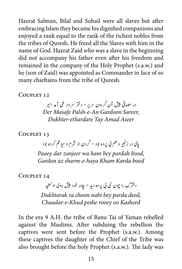Hazrat Salman, Bilal and Sohail were all slaves but after embracing Islam they became his dignified companions and enjoyed a rank equal to the rank of the richest nobles from the tribes of Ouresh. He freed all the Slaves with him in the name of God. Hazrat Zaid who was a slave in the beginning did not accompany his father even after his freedom and remained in the company of the Holy Prophet (s.a.w.) and he (son of Zaid) was appointed as Commander in face of so many chieftains from the tribe of Ouresh.

COUPLET 12

در مصافی پیش آن گردون سریر \* دختر سردار طی آمد اسیر پ*Der Masafe Palsh-e-An Gardoon Sareer, Dukhter-etSardare Tay Amad Aseer* 

COUPLET 13

پای در زنجی<sub>ر</sub> و هم بی پرده بود \* گردن از شرم و حیا <sup>خ</sup>م کرده بود

Paaey dar zanjeer wa ham bey pardah bood, *Gardan az sharm-e-haya Kham Karda bood* 

COUPLET 14

ی ش - ۱<br>دخترک را چون نبی بی پرده دید \* چادر خود پیش روی او کشید *Dukhtarak ra choon nabi bey parda deed, Kasheed oo rooey peshe Khud-e-Chaadar*

In the era 9 A.H. the tribe of Banu Tai of Yaman rebelled against the Muslims. After subduing the rebellion the captives were sent before the Prophet (s.a.w.). Among these captives the daughter of the Chief of the Tribe was also brought before the holy Prophet (s.a.w.). The lady was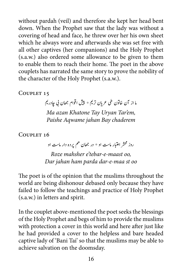without pardah (veil) and therefore she kept her head bent down. When the Prophet saw that the lady was without a covering of head and face, he threw over her his own sheet which he always wore and afterwards she was set free with all other captives (her companions) and the Holy Prophet  $(s.a.w.)$  also ordered some allowance to be given to them to enable them to reach their home. The poet in the above couplets has narrated the same story to prove the nobility of the character of the Holy Prophet (s.a.w.).

COUPLET 15

ی ر<br>ما از آن خاتون طی عریان تریم ٭ پیش اقوام جھان ٹی جادر یم *Ma azan Khatone Tay Uryan Tar'em, chaderem Bay jahan Aqwame Paishe*

COUPLET 16

روز محشر اعتبار ماست او \* در جھان هم يرده دار ماست او *Roze* mahsher e'tebar-e-maast oo,

*oo st maa-e-dar parda ham jahan Dar*

The poet is of the opinion that the muslims throughout the world are being dishonour debased only because they have failed to follow the teachings and practice of Holy Prophet  $(s.a.w.)$  in letters and spirit.

In the couplet above-mentioned the poet seeks the blessings of the Holy Prophet and begs of him to provide the muslims with protection a cover in this world and here after just like he had provided a cover to the helpless and bare headed captive lady of 'Bani Tai' so that the muslims may be able to achieve salvation on the doomsday.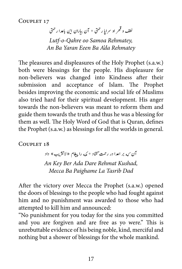COUPLET 17

لطف و قھر او سراپا رحمتی \* آن بیاران این باعدا رحمتی ق *Lutf-o-Qahre oo Samoa Rehmatey, Rehmatey da'A Ba Eeen Yaran Ba An*

The pleasures and displeasures of the Holy Prophet (s.a.w.) both were blessings for the people. His displeasure for non-believers was changed into Kindness after their submission and acceptance of Islam. The Prophet besides improving the economic and social life of Muslims also tried hard for their spiritual development. His anger towards the non-believers was meant to reform them and guide them towards the truth and thus he was a blessing for them as well. The Holy Word of God that is Quran, defines the Prophet (s.a.w.) as blessings for all the worlds in general.

COUPLET 18

آن <sub>که</sub> بر اعدا در رحمت گشاد \* مکه را پیغام «لاتثریب» داد An Key Ber Ada Dare Rehmat Kushad, *Dad Tasrib La Paighame Ba Mecca*

After the victory over Mecca the Prophet (s.a.w.) opened the doors of blessings to the people who had fought against him and no punishment was awarded to those who had attempted to kill him and announced:

"No punishment for you today for the sins you committed and you are forgiven and are free as yo were." This is unrebuttable evidence of his being noble, kind, merciful and nothing but a shower of blessings for the whole mankind.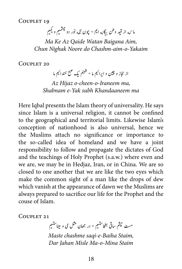COUPLET 19

و چش<sub>یم</sub> و <sup>یک</sup>یم ش ر وطن بیگان<sub>ه</sub> ایم \* چون نگه نور دو ن ق ماسه از قید

*Ma Ke Az Qaide Watan Baigana Aim, Chun Nighak Noore do Chashm-aim-o-Yakaim* 

COUPLET 20

از حجاز و چین و ایرانیم ما $\stackrel{*}{\tilde{}}$  شنبنم یک صبح خندانیم ما Az Hijaz o-cheen-o-Iraneem ma, *ma Khandaaneem subh Yak-e Shabnam*

Here Iqbal presents the Islam theory of universality. He says since Islam is a universal religion, it cannot be confined to the geographical and territorial limits. Likewise Islam's conception of nationhood is also universal, hence we the Muslims attach no significance or importance to the so-called idea of homeland and we have a joint responsibility to follow and propagate the dictates of God and the teachings of Holy Prophet (s.a.w.) where even and we are, we may be in Hedjaz, Iran, or in China. We are so closed to one another that we are like the two eyes which make the common sight of a man like the drops of dew which vanish at the appearance of dawn we the Muslims are always prepared to sacrifice our life for the Prophet and the couse of Islam.

COUPLET 21

مست حیثم ساقی بطحاستیم \* در جھان مثل می و میناستیم ت ت

*Maste chashme saqi-e-Baiha Staim,* Dar *Jahan Misle Ma-o-Mina Staim*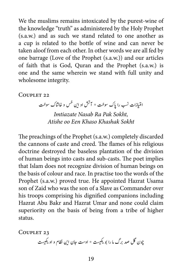We the muslims remains intoxicated by the purest-wine of the knowledge "truth" as administered by the Holy Prophet  $(s.a.w.)$  and as such we stand related to one another as a cup is related to the bottle of wine and can never be taken aloof from each other. In other words we are all fed by one barrage (Love of the Prophet (s.a.w.)) and our articles of faith that is God, Ouran and the Prophet (s.a.w.) is one and the same wherein we stand with full unity and wholesome integrity.

#### COUPLET 22

امتیازات نسب را پاک سوخت \* آتش او این خس و خاشاک سوخت ت

*Imtiazate Nasab Ra Pak Sokht. Sokht Khashak Khaso Een oo Atishe*

The preachings of the Prophet (s.a.w.) completely discarded the cannons of caste and creed. The flames of his religious doctrine destroyed the baseless plantation of the division of human beings into casts and sub-casts. The poet implies that Islam does not recognize division of human beings on the basis of colour and race. In practise too the words of the Prophet (s.a.w.) proved true. He appointed Hazrat Usama. son of Zaid who was the son of a Slave as Commander over his troops comprising his dignified companions including Hazrat Abu Bakr and Hazrat Umar and none could claim superiority on the basis of being from a tribe of higher .status

COUPLET 23

چون گل صد برگ ما را بو یکییت \* اوست جان این نظام و او یکییت ت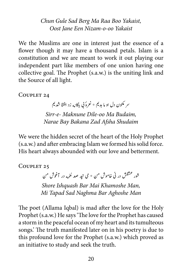*Chun Gule Sad Berg Ma Raa Boo Yakaist, Oost Jane Een Nizam-0-00 Yakaist* 

We the Muslims are one in interest just the essence of a flower though it may have a thousand petals. Islam is a constitution and we are meant to work it out playing our independent part like members of one union having one collective goal. The Prophet (s.a.w.) is the uniting link and the Source of all light.

COUPLET 24

ی سر مکنون دل او ما بد <sup>یم \*</sup> نعرهٔ بی باکان<sub>ه</sub> زد افشا شد یم

*Sirr-e- Maknune Dile-oo Ma Budaim, Shudaim Afsha Zad Bakana Bay Narae*

We were the hidden secret of the heart of the Holy Prophet (s.a.w.) and after embracing Islam we formed his solid force. His heart always abounded with our love and betterment.

COUPLET 25

مه در آوغش نم شور عشقش در نی خاموش من \* می تپد صد نغ ش

*Shore Ishquash Bar Mai Khamoshe Man, Mi Tapad Sad Naghma Bar Aghoshe Man* 

The poet (Allama Iqbal) is mad after the love for the Holy Prophet (s.a.w.) He says 'The love for the Prophet has caused a storm in the peaceful ocean of my heart and its tumulteous songs. The truth manifested later on in his poetry is due to this profound love for the Prophet (s.a.w.) which proved as an initiative to study and seek the truth.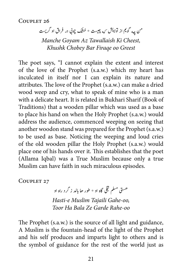COUPLET 26

تمن <sub>چه</sub> گویم از تولایش <sub>که</sub> چیست \* خشک چوبی در فراق او گریست ش

*Manche Goyam Az Tawallaish Ki Cheest, Greest oo Firaqe Bar Chobey Khushk*

The poet says, "I cannot explain the extent and interest of the love of the Prophet (s.a.w.) which my heart has inculcated in itself nor I can explain its nature and attributes. The love of the Prophet (s.a.w.) can make a dried wood weep and cry, what to speak of mine who is a man with a delicate heart. It is related in Bukhari Sharif (Book of Traditions) that a wooden pillar which was used as a base to place his hand on when the Holy Prophet (s.a.w.) would address the audience, commenced weeping on seeing that another woodon stand was prepared for the Prophet (s.a.w.) to be used as base. Noticing the weeping and loud cries of the old wooden pillar the Holy Prophet (s.a.w.) would place one of his hands over it. This establishes that the poet (Allama Iqbal) was a True Muslim because only a true Muslim can have faith in such miraculous episodes.

COUPLET 27

۔<br>مستی مسلم حجلی گاه او \* طور ھا بالد ز گرد راه او *Hasti-e Muslim Tajaili Gahe-oo, oo-Rahe Garde Ze Bala Ha Toor*

The Prophet (s.a.w.) is the source of all light and guidance, A Muslim is the fountain-head of the light of the Prophet and his self produces and imparts light to others and is the symbol of guidance for the rest of the world just as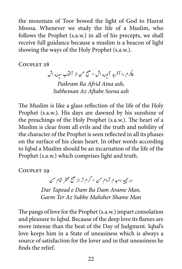the mountain of Toor bowed the light of God to Hazrat Moosa. Whenever we study the life of a Muslim, who follows the Prophet  $(s.a.w.)$  in all of his precepts, we shall receive full guidance because a muslim is a beacon of light showing the ways of the Holy Prophet (s.a.w.).

 $C$ OUPLET 28

پیکرم را آفرید آئینه اش \* صبح من از آفآب سینه اش Paikram Ra Afrid Aina ash, **Subheman Az Aftabe Seena ash** 

The Muslim is like a glass reflection of the life of the Holy Prophet (s.a.w.). His days are dawned by his sunshine of the preachings of the Holy Prophet (s.a.w.). The heart of a Muslim is clear from all evils and the truth and nobility of the character of the Prophet is seen reflected in all its phases on the surface of his clean heart. In other words according to Iqbal a Muslim should be an incarnation of the life of the Prophet (s.a.w.) which comprises light and truth.

COUPLET 29

در تپید دمبدم آرام من \* گرم تر از صبح محشر شام من ت

Dar Tapead e Dam Ba Dam Arame Man, *Man Shame Mahsher Subhe Az Ter Garm*

The pangs of love for the Prophet (s.a.w.) impart consolation and pleasure to Iqbal. Because of the deep love its flames are more intense than the heat of the Day of Judgment. Iqbal's love keeps him in a State of uneasiness which is always a source of satisfaction for the lover and in that uneasiness he finds the relief.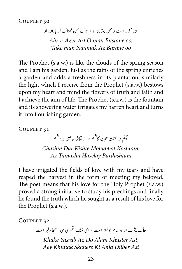COUPLET 30

ابر آذار است و من بستان او \* تاک من نمناک از باران او *Abr-e-Azer Ast O man Bustane oo Take man Nanmak Az Barane oo* 

The Prophet (s.a.w.) is like the clouds of the spring season and I am his garden. Just as the rains of the spring enriches a garden and adds a freshness in its plantation, similarly the light which I receive from the Prophet (s.a.w.) bestows upon my heart and mind the flowers of truth and faith and I achieve the aim of life. The Prophet (s.a.w.) is the fountain and its showering water irrigates my barren heart and turns it into flourishing garden.

COUPLET 31

حپثم در کشت محبت کاشتم \* از تماشا حاصلی بر داشتم

*Chashm Dar Kishte Mohabbat Kashtam. Bardashtam Haselay Tamasha Az*

I have irrigated the fields of love with my tears and have reaped the harvest in the form of meeting my beloved. The poet means that his love for the Holy Prophet (s.a.w.) proved a strong initiative to study his prechings and finally he found the truth which he sought as a result of his love for the Prophet  $(s.a.w.).$ 

COUPLET 32

خاک یثرب از دو عالم خوشتر است \* ای خنک ش*هر*ی <sub>که</sub> آنجا دلبر است ش ی

*Khake Yasrab Az Do Alam Khuster Ast. Ast Dilber Anja Ki Skahere Khunak Aey*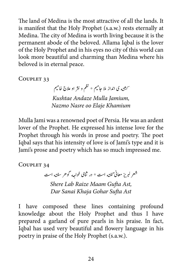The land of Medina is the most attractive of all the lands. It is manifest that the Holy Prophet (s.a.w.) rests eternally at Medina. The city of Medina is worth living because it is the permanent abode of the beloved. Allama Iqbal is the lover of the Holy Prophet and in his eves no city of this world can look more beautiful and charming than Medina where his beloved is in eternal peace.

COUPLET 33

ت یته ی انداز ملا جامیم \* نظم و نثر او علاج خامیم ش ک

Kushtae Andaze Mulla Jamium, *Nazmo Nasre oo Elaje Khamium* 

Mulla Jami was a renowned poet of Persia. He was an ardent lover of the Prophet. He expressed his intense love for the Prophet through his words in prose and poetry. The poet Iqbal says that his intensity of love is of Jami's type and it is Jami's prose and poetry which has so much impressed me.

COUPLET 34

شعر لبریز معانی گفته است \* در ثنای خواجه گوهر سفته است **Shere Lab Raize Maam Gufta Ast,** *Ast Sufta Gohar Khaja Sanai Dar*

I have composed these lines containing profound knowledge about the Holy Prophet and thus I have prepared a garland of pure pearls in his praise. In fact, Iqbal has used very beautiful and flowery language in his poetry in praise of the Holy Prophet (s.a.w.).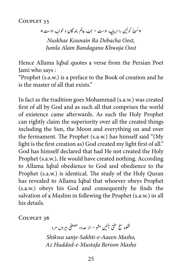COUPLET 35

«نسئهُ کونین را دیباچه اوست \* جمله عالم بند گان و خواجه اوست» ی � � *Nuskhae Kounain Ra Dehacha Oost Oost Khwaja Bandagano Alam Jumla*

Hence Allama Iqbal quotes a verse from the Persian Poet Jami who says:

"Prophet  $(s.a.w.)$  is a preface to the Book of creation and he is the master of all that exists."

In fact as the tradition goes Mohammad (s.a.w.) was created first of all by God and as such all that comprises the world of existence came afterwards. As such the Holy Prophet can rightly claim the superiority over all the created things including the Sun, the Moon and everything on and over the fermament. The Prophet (s.a.w.) has himself said "(My light is the first creation as) God created my light first of all." God has himself declared that had He not created the Holy Prophet (s.a.w.), He would have created nothing. According to Allama Iqbal obedience to God and obedience to the Prophet (s.a.w.) is identical. The study of the Holy Quran has revealed to Allama Iqbal that whoever obeys Prophet  $(s.a.w.)$  obeys his God and consequently he finds the salvation of a Muslim in follewing the Prophet (s.a.w.) in all his details.

COUPLET 36

ن<br>نی آئین مشو ٭ از حدود مصطفی بیروں مرو ی شکوہ کشج مسحق آتئین *Shikwa sanje-Sakhti-e-Aaeen Masho, Masho Beroon Mustafa-e-Huddod Az*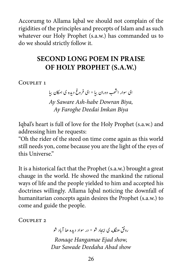Accorumg to Allama Iqbal we should not complain of the rigidities of the principles and precepts of Islam and as such whatever our Holy Prophet (s.a.w.) has commanded us to do we should strictly follow it.

# **SECOND LONG POEM IN PRAISE (OF HOLY PROPHET (S.A.W.)**

COUPLET 1

ی ای سوار انتھب دوران بیا ٭ ای فروغ دیده ی امکان بیا ش Ay Saware Ash-habe Dowran Biya, *Biya Imkan Deedai Faroghe Ay*

Iqbal's heart is full of love for the Holy Prophet (s.a.w.) and addressing him he requests:

"Oh the rider of the steed on time come again as this world still needs yon, come because you are the light of the eyes of this Universe."

It is a historical fact that the Prophet (s.a.w.) brought a great chauge in the world. He showed the mankind the rational ways of life and the people yielded to him and accepted his doctrines willingly. Allama Iqbal noticing the downfall of humanitarian concepts again desires the Prophet (s.a.w.) to come and guide the people.

COUPLET<sub>2</sub>

رونق ھنگا<sub>م</sub>ه ی ایجاد شو<sup>په</sup> در سواد دیده ھا آباد شو *Ronaqe Hangamae Ejad show,* Dar Sawade Deedaha Abad show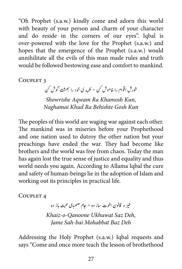"Oh Prophet (s.a.w.) kindly come and adorn this world with beauty of your person and charm of your character and do reside in the corners of our eyes". Iqbal is over-powered-with the love for the Prophet (s.a.w.) and hopes that the emergence of the Prophet (s.a.w.) would annihilitate all the evils of this man made rules and truth would be followed bestowing ease and comfort to mankind.

COUPLET<sub>3</sub>

ره ی خود را بهشت گوش <sup>کن</sup> ش شورش اقوام را خاموش کن \* نغ

*Showrishe Aqwam Ra Khamosh Kun, Kun Gosh Behishte Ra Khud Naghamai*

The peoples of this world are waging war against each other. The mankind was in miseries before your Prophethood and one nation used to dutroy the other nation but your preachings have ended the war. They had become like brothers and the world was free from chaos. Today the man has again lost the true sense of justice and equality and thus world needs you again. According to Allama Iqbal the cure and safety of human-beings lie in the adoption of Islam and working out its principles in practical life.

COUPLET<sub>4</sub>

خیز و قانون اخوت ساز ده \* جام صحصبای محبت باز ده خيز

*Khaiz-o-Qanoone Ukhuwat Saz Deh, Deh Baz Mohabbat bai-Sah Jame*

Addressing the Holy Prophet (s.a.w.) Iqbal requests and says "Come and once more teach the lesson of brothethood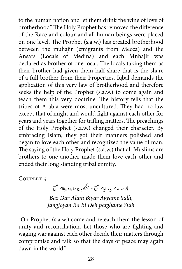to the human nation and let them drink the wine of love of brotherhood" The Holy Prophet has removed the difference of the Race and colour and all human beings were placed on one level. The Prophet (s.a.w.) has created brotherhood between the muhajir (emigrants from Mecca) and the Ansars (Locals of Medina) and each Mnhajir was declared as brother of one local. The locals taking them as their brother had given them half share that is the share of a full brother from their Properties. Iqbal demands the application of this very law of brotherhood and therefore seeks the help of the Prophet (s.a.w.) to come again and teach them this very doctrine. The history tells that the tribes of Arabia were most uncultured. They had no law except that of might and would fight against each other for years and years together for trifling matters. The preachings of the Holy Prophet (s.a.w.) changed their character. By embracing Islam, they got their manners polished and began to love each other and recognized the value of man. The saying of the Holy Prophet (s.a.w.) that all Muslims are brothers to one another made them love each other and ended their long standing tribal enmity.

COUPLET<sub>5</sub>

باز در عالم بیار ایام صلح \* جنگجویان را بده پیغام صلح **Baz Dar Alam Biyar Ayyame Sulh,** *Sulh patghame Deh Bi Ra Jangjoyan*

"Oh Prophet (s.a.w.) come and reteach them the lesson of unity and reconciliation. Let those who are fighting and waging war against each other decide their matters through compromise and talk so that the days of peace may again dawn in the world."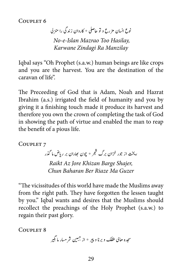COUPLET<sub>6</sub>

نوع انسان مز رع و تو حاصلی \* کاروان زندگی را منز لی  *,Hasilay Too Mazrao Islan-e-No Manzilay Ra Zindagi Karwane*

Igbal says "Oh Prophet (s.a.w.) human beings are like crops and you are the harvest. You are the destination of the caravan of life"

The Preceeding of God that is Adam, Noah and Hazrat Ibrahim (a.s.) irrigated the field of humanity and you by giving it a finishing touch made it produce its harvest and therefore you own the crown of completing the task of God in showing the path of virtue and enabled the man to reap the benefit of a pious life.

COUPLET<sub>7</sub>

ریخت از جور خزان برگ شجر \* چون <sub>ل</sub>جاران بر ریاض ما گذر **Raikt Az Jore Khizan Barge Shajer,** *Chun Baharan Ber Riaze Ma Guzer* 

"The vicissitudes of this world have made the Muslims away from the right path. They have forgotten the lessen taught by you." Iqbal wants and desires that the Muslims should recollect the preachings of the Holy Prophet (s.a.w.) to regain their past glory.

COUPLET 8

سجده حاکی طفلک و برنا و پیر \* از جببین شر مسار ما بگیر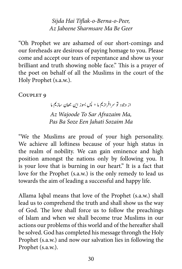*Sijda Hai Tiflak-o-Berna-o-Peer, Geer Be Ma Sharmsare Jabeene Az*

"Oh Prophet we are ashamed of our short-comings and our foreheads are desirous of paying homage to you. Please come and accept our tears of repentance and show us your brilliant and truth showing noble face." This is a prayer of the poet on behalf of all the Muslims in the court of the Holy Prophet (s.a.w.).

COUPLET<sub>9</sub>

از وجود تو سرافرازیم ما \* پس بسوز این جھان سازیم ما Az Wajoode To Sar Afrazaim Ma, *Ma Sozaim Jahati Een Soze Ba Pas*

"We the Muslims are proud of your high personality. We achieve all loftiness because of your high status in the realm of nobility. We can gain eminence and high position amongst the nations only by following you. It is your love that is burning in our heart." It is a fact that love for the Prophet (s.a.w.) is the only remedy to lead us towards the aim of leading a successful and happy life.

Allama Iqbal means that love of the Prophet (s.a.w.) shall lead us to comprehend the truth and shall show us the way of God. The love shall force us to follow the preachings of Islam and when we shall become true Muslims in our actions our problems of this world and of the hereafter shall be solved. God has completed his message throngh the Holy Prophet (s.a.w.) and now our salvation lies in following the Prophet (s.a.w.).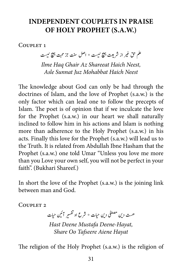### **INDEPENDENT COUPLETS IN PRAISE OF HOLY PROPHET (S.A.W.)**

COUPLET<sub>1</sub>

ر از شریعت پہنچ نیست \* اصل سنت جز محبت پہنچ نیست غ علم حق عير

*Ilme Hag Ghair Az Shareeat Haich Neest, Neest Haich Mohabbat Juz Sunnat Asle*

The knowledge about God can only be had through the doctrines of Islam, and the love of Prophet (s.a.w.) is the only factor which can lead one to follow the precepts of Islam. The poet is of opinion that if we inculcate the love for the Prophet  $(s.a.w.)$  in our heart we shall naturally inclined to follow him in his actions and Islam is nothing more than adherence to the Holy Prophet (s.a.w.) in his acts. Finally this love for the Prophet (s.a.w.) will lead us to the Truth. It is related from Abdullah Ibne Hasham that the Prophet (s.a.w.) one told Umar "Unless you love me more than you Love your own self, you will not be perfect in your faith". (Bukhari Shareef.)

In short the love of the Prophet (s.a.w.) is the joining link between man and God.

COUPLET<sub>2</sub>

 ی حات ی  $\mathbf{r}$ هست دین مصطفی دین حیات \* شرع او تفسیر آئمین ت ; ت

Hast Deene Mustafa Deene-Hayat, **Share Oo Tafseere Aiene Hayat** 

The religion of the Holy Prophet  $(s.a.w.)$  is the religion of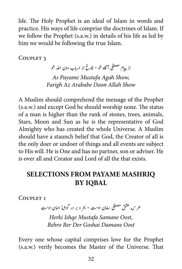life. The Holy Prophet is an ideal of Islam in words and practice. His ways of life comprise the doctrines of Islam. If we follow the Prophet (s.a.w.) in details of his life as led by him we would be following the true Islam.

COUPLET<sub>3</sub>

از پیام مصطفی آگاه شو \* فارغ از ارباب دون الله شو

As Payame Mustafa Agah Show, *Farigh Az Arababe Doon Allah Show* 

A Muslim should comprehend the message of the Prophet (s.a.w.) and except God he should worship none. The status of a man is higher than the rank of stones, trees, animals, Stars, Moon and Sun as he is the representative of God Almighty who has created the whole Universe. A Muslim should have a staunch belief that God, the Creator of all is the only doer or undoer of things and all events are subject to His will. He is One and has no partner, son or adviser. He is over all and Creator and Lord of all the that exists.

# **SELECTIONS FROM PAYAME MASHRIQ IQBAL BY**

COUPLET<sub>1</sub>

ٔه داامن ا وتس ش ه که قشع یفطصم اسامن ا وتس \* رحب و رب در وگ

*Herki Ishqe Mustafa Samane Oost, Oost Damane Goshai Der Ber Behro*

Every one whose capital comprises love for the Prophet (s.a.w.) verily becomes the Master of the Universe. That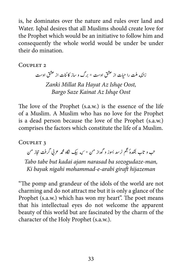is, he dominates over the nature and rules over land and Water. Iqbal desires that all Muslims should create love for the Prophet which would be an initiative to follow him and consequently the whole world would be under be under their do mination.

 $C$ OUPLET<sub>2</sub>

زانکه ملت را حیات از عشق اوست \* برگ و ساز کائنات از عشق اوست ن *Zanki Millat Ra Hayat Az Ishqe Oost,* **Bargo Saze Kainat Az Ishae Oost** 

The love of the Prophet (s.a.w.) is the essence of the life of a Muslim. A Muslim who has no love for the Prophet is a dead person because the love of the Prophet (s.a.w.) comprises the factors which constitute the life of a Muslim.

COUPLET<sub>3</sub>

تب و تاب بتکدهٔ مجم نرسد بسوز و گداز من \* <sub>که</sub> بیک نگاه محم*ه ع*ربی گرفت حجاز من

Tabo tabe but kadai ajam narasad ba sozogudaze-man, *hijazeman giraft arabi-e-mohammad nigahi bayak Ki*

"The pomp and grandeur of the idols of the world are not charming and do not attract me but it is only a glance of the Prophet (s.a.w.) which has won my heart". The poet means that his intellectual eyes do not welcome the apparent beauty of this world but are fascinated by the charm of the character of the Holy Prophet (s.a.w.).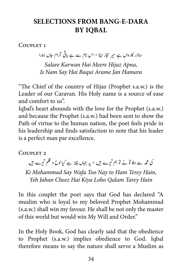## **SELECTIONS FROM BANG-E-DARA BY IOBAL**

COUPLET<sub>1</sub>

سالار کارواں ہے میر حجاز اپنا \* اس نام سے ہے باقی آرام حال ہمارا Salare Karwan Hai Meere Hijaz Apna, *Hamara Jan Arame Baqui Hai Say Nam Is*

"The Chief of the country of Hijaz (Prophet s.a.w.) is the Leader of our Caravan. His Holy name is a source of ease and comfort to us".

Igbal's heart abounds with the love for the Prophet (s.a.w.) and because the Prophet (s.a.w.) had been sent to show the Path of virtue to the human nation, the poet feels pride in his leadership and finds satisfaction to note that his leader is a perfect man par excellence.

#### COUPLET<sub>2</sub>

کی محمہ سے وفا تو نے تو ہم تیرے ہیں \* یہ جہاں چیز ہے کیا لوح و قلم تیرے ہیں ت ت

Ki Mohammad Say Wafa Too Nay to Ham Terey Hain, Yeh Jahan Cheez Hai Kiya Loho Qalam Tarey Hain

In this couplet the poet says that God has declared "A muslim who is loyal to my beloved Prophet Mohammad  $(s.a.w.)$  shall win my favour. He shall be not only the master of this world but would win My Will and Order."

In the Holy Book, God has clearly said that the obedience to Prophet (s.a.w.) implies obedience to God. Iqbal therefore means to say the nature shall serve a Muslim as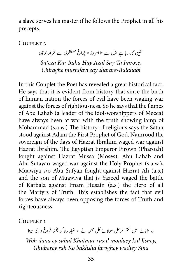a slave serves his master if he follows the Prophet in all his precepts.

COUPLET<sub>3</sub>

قیزہ کار رہا ہے ازل سے تا امر وز ٭ جراغ مصطفوی سے شر ار بولہی ت  *,Imroze Ta Say Azal Hay Raha Kar Sateza Bulahabi-sharare say mustafavi Chiraghe*

In this Couplet the Poet has revealed a great historical fact. He says that it is evident from history that since the birth of human nation the forces of evil have been waging war against the forces of rightiousness. So he says that the flames of Abu Lahab (a leader of the idol-worshippers of Mecca) have always been at war with the truth showing lamp of Mohammad (s.a.w.) The history of religious says the Satan stood against Adam the First Prophet of God. Namrood the sovereign of the days of Hazrat Ibrahim waged war against Hazrat Ibrahim. The Egyptian Emperor Firown (Pharoah) fought against Hazrat Mussa (Moses). Abu Lahab and Abu Sufayan waged war against the Holy Prophet (s.a.w.), Muawiya s/o Abu Sufyan fought against Hazrat Ali (a.s.) and the son of Muawiya that is Yazeed waged the battle of Karbala against Imam Husain (a.s.) the Hero of all the Martyrs of Truth. This establishes the fact that evil forces have always been opposing the forces of Truth and .righteousness

COUPLET<sub>1</sub>

وہ دانائے سبل ختم الرسل مولائے کل جس نے  $i$  غبار راہ کو بخشا فروغ وادی سینا *Woh dana ey subul Khatmur rusul moulaey kul Jisney, Sina wadiey faroghey bakhsha Ko rah Ghubarey*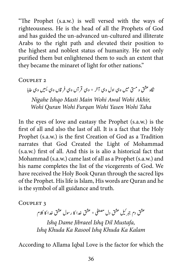"The Prophet  $(s.a.w.)$  is well versed with the ways of righteousness. He is the head of all the Prophets of God and has guided the un-advanced un-cultured and illiterate Arabs to the right path and elevated their position to the highest and noblest status of humanity. He not only purified them but enlightened them to such an extent that they became the minaret of light for other nations."

 $C$ OUPLET<sub>2</sub>

ینگاہ عشق و مسیّ میں وہی اول وہی آخر ٭ وہی قر آں وہی فر قاں وہی پسیں وہی طاہا  *,Akhir Wohi Awal Wohi Main Masti Ishqo Nigahe Taha Wohi Yasen Wohi Furqan Wohi Quran Wohi*

In the eyes of love and eastasy the Prophet (s.a.w.) is the first of all and also the last of all. It is a fact that the Holy Prophet (s.a.w.) is the first Creation of God as a Tradition narrates that God Created the Light of Mohammad  $(s.a.w.)$  first of all. And this is is alio a historical fact that Mohammad (s.a.w.) came last of all as a Prophet (s.a.w.) and his name completes the list of the vicegerents of God. We have received the Holy Book Quran through the sacred lips of the Prophet. His life is Islam, His words are Quran and he is the symbol of all guidance and truth.

COUPLET<sub>3</sub>

ل عشق دل مصطفی \* عشق خدا کا رسول عشق خدا کا کلام  $\mathbf{r}$ عشق دم جبر نيل

*Ishq Dame Jibraeel Ishq Dil Mustafa, Kalam Ka Khuda Ishq Rasool Ka Khuda Ishq*

According to Allama Iqbal Love is the factor for which the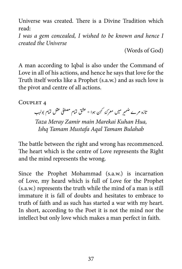Universe was created. There is a Divine Tradition which read:

*I was a gem concealed, I wished to be known and hence I created the Universe* 

 $(Words of God)$ 

A man according to Iqbal is also under the Command of Love in all of his actions, and hence he says that love for the Truth itself works like a Prophet (s.a.w.) and as such love is the pivot and centre of all actions.

COUPLET 4

.<br>ضمير ميں معرك<sub>ة</sub> كہن ہوا ٭ عشق تمام مصطفى عقل تمام بولہب ض اتزہ رمے

Taza Meray Zamir main Marekai Kuhan Hua, *Bulahab Tamam Aqal Mustafa Tamam Ishq*

The battle between the right and wrong has recommenced. The heart which is the centre of Love represents the Right and the mind represents the wrong.

Since the Prophet Mohammad (s.a.w.) is incarnation of Love, my heard which is full of Love for the Prophet  $(s.a.w.)$  represents the truth while the mind of a man is still immature it is fall of doubts and hesitates to embrace to truth of faith and as such has started a war with my heart. In short, according to the Poet it is not the mind nor the intellect but only love which makes a man perfect in faith.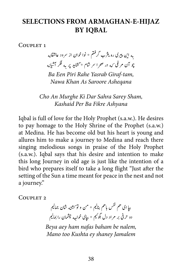### **SELECTIONS FROM ARMAGHAN-E-HIJAZ BY IOBAL**

COUPLET<sub>1</sub>

.<br>بیثرب گرفتم \* نوا خوان از سرود عاشقانه ت به این پیری ره یثرب گر<sup>ا</sup> چو آن مرغی <sub>که</sub> در صحرا سر شام \* گشاید پر به فکر آشیانه ش ش

*Ba Een Piri Rahe Yasrab Giraf-tam, Nawa Khan As Saroore Asheqana* 

*Cho An Murghe Ki Dar Sahra Sarey Sham, Ashyana Fikre Ba Per Kashaid*

Iqbal is full of love for the Holy Prophet (s.a.w.). He desires to pay homage to the Holy Shrine of the Prophet (s.a.w.) at Medina. He has become old but his heart is young and allures him to make a journey to Medina and reach there singing melodious songs in praise of the Holy Prophet  $(s.a.w.)$ . Iqbal says that his desire and intention to make this long Journey in old age is just like the intention of a bird who prepares itself to take a long flight "Just after the setting of the Sun a time meant for peace in the nest and not a journey."

COUPLET<sub>2</sub>

ت یبپا ای هم نفس باهم بنالیم \* من و نو سشنه شان جمالیم<br>. ش ش یدو حرفی بر مراد دل بگوئیم \* بپاٍی خوا<sub>جه</sub> چشمان را بمالیم

Beya aey ham nafas baham be nalem, *Mano too Kushta ey shaney Jamalem*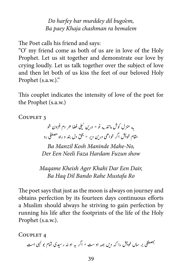*Do harfey bar murddey dil bugo'em,* Ba paey Khaja chashman ra bemalem

The Poet calls his friend and says:

"O' my friend come as both of us are in love of the Holy Prophet. Let us sit together and demonstrate our love by crying loudly. Let us talk together over the subject of love and then let both of us kiss the feet of our beloved Holy Prophet (s.a.w.)."

This couplet indicates the intensity of love of the poet for the Prophet  $(s.a.w.)$ 

COUPLET<sub>3</sub>

به منزل کوش مانند به نو \* در ین نیلی فضا حر دم فزون شو ب به حرف علمی در می شود.<br>مقام خویش اگر خواهی در ین دیر \* بخق دل بند و راه مصطفی رو ی

 $Ba$ *Manzil Kosh Maninde Mahe-No. show Fuzun Hardam Faza Neeli Een Der*

*Maqame Kheish Ager Khahi Dar Een Dair, Ro Mustafa Rahe Bando Dil Haq Ba*

The poet says that just as the moon is always on journey and obtains perfection by its fourteen days continuous efforts a Muslim should always he striving to gain perfection by running his life after the footprints of the life of the Holy Prophet (s.a.w.).

COUPLET<sub>4</sub>

ش۔<br>تصطفی بر ساں خویش را کہ دیں ہمہ او ست \* اگر بہ او نہ رسیدی تمام بو کہی است �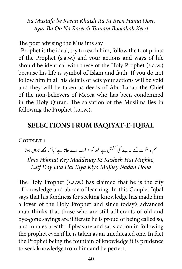Ba Mustafa be Rasan Khaish Ra Ki Been Hama Oost, *Keest Boolahab Tamam Raseedi Na Oo Ba Agar*

The poet advising the Muslims say:

"Prophet is the ideal, try to reach him, follow the foot prints of the Prophet (s.a.w.) and your actions and ways of life should be identical with these of the Holy Prophet (s.a.w.) because his life is symbol of Islam and faith. If you do not follow him in all his details of acts your actions will be void and they will be taken as deeds of Abu Lahab the Chief of the non-believers of Mecca who has been condemned in the Holy Quran. The salvation of the Muslims lies in following the Prophet (s.a.w.).

### **SELECTIONS FROM BAQIYAT-E-IQBAL**

COUPLET 1

۔<br>علم و حکمت کے مدینے کی کشش ہے مجھ کو \* لطف دے جاتا ہے کیا کیا مجھے ناداں ہونا

*Ilmo Hikmat Key Maddenay Ki Kashish Hai Mujhko,* Lutf Day Jata Hai Kiya Kiya Mujhey Nadan Hona

The Holy Prophet (s.a.w.) has claimed that he is the city of knowledge and abode of learning. In this Couplet Igbal says that his fondness for seeking knowledge has made him a lover of the Holy Prophet and since today's advanced man thinks that those who are still adherents of old and bye-gone sayings are illiterate he is proud of being called so, and inhales breath of pleasure and satisfaction in following the prophet even if he is taken as an uneducated one. In fact the Prophet being the fountain of knowledge it is prudence to seek knowledge from him and be perfect.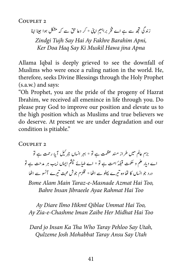COUPLET<sub>2</sub>

نزندگی تجھ سے ہے اے فخر براہیم اپنی \* کر دعا حق سے کہ مشکل ہوا جینا اپنا

Zindgi Tujh Say Hai Ay Fakhre Barahim Apni, *Apna jina Hawa Muskil Ki Say Haq Doa Ker*

Allama Iqbal is deeply grieved to see the downfall of Muslims who were once a ruling nation in the world. He, therefore, seeks Divine Blessings through the Holy Prophet  $(s.a.w.)$  and says:

"Oh Prophet, you are the pride of the progeny of Hazrat Ibrahim, we received all emenince in life through you. Do please pray God to improve our position and elevate us to the high position which as Muslims and true believers we do deserve. At present we are under degradation and our condition is pitiable."

COUPLET<sub>2</sub>

ا آپر رحمت ہے تو ی $\mathbf{r}$ یبزم عالم کمیں طراز متند عظمت ہے تو \* بہر انساں جمر ٹیل ی ہے۔<br>بے ضیائے چپٹم ایماں زیب ہر مدحت ہے تو اے دیار علم و حکمت قبلہَ امت ہے تو ٭ اے ضیا درد جو انساں کا نفا وہ تیرے پہلو سے اٹھا ٭ قلزم جوش محبت تیرے آنسو سے اٹھا ت ت

**Bsme Alam Main Taraz-e-Masnade Azmat Hai Too.**  *Too Hai Rahmat Ayae Jibraeele Insan Bahre*

Ay Diare Ilmo Hikmt Qiblae Ummat Hai Too,  *Too Hai Midhat Her Zaibe Iman Chashme-e-Zia Ay*

*Dard jo Insan Ka Tha Who Taray Pehloo Say Utah, Utah Say Ansu Taray Mohabbat Josh Qulzeme*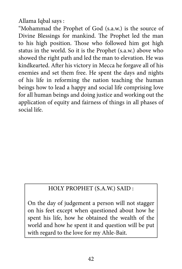Allama Iqbal says:

"Mohammad the Prophet of God (s.a.w.) is the source of Divine Blessings for mankind. The Prophet led the man to his high position. Those who followed him got high status in the world. So it is the Prophet (s.a.w.) above who showed the right path and led the man to elevation. He was kindkearted. After his victory in Mecca he forgave all of his enemies and set them free. He spent the days and nights of his life in reforming the nation teaching the human beings how to lead a happy and social life comprising love for all human beings and doing justice and working out the application of equity and fairness of things in all phases of social life

### HOLY PROPHET (S.A.W.) SAID:

On the day of judgement a person will not stagger on his feet except when questioned about how he spent his life, how he obtained the wealth of the world and how he spent it and question will be put with regard to the love for my Ahle-Bait.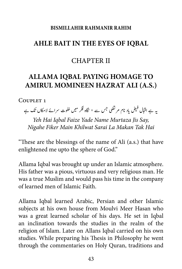#### **RISMILLAHIR RAHMANIR RAHIM**

### **IQBAL AHLE BAIT IN THE EYES OF IOBAL**

### **CHAPTER II**

# **ALLAMA IOBAL PAYING HOMAGE TO AMIRUL MOMINEEN HAZRAT ALI (A.S.)**

COUPLET 1

یاد نام مر تضی جس سے ٭ نگاہ فکر میں خلوت سرائے لامکاں تک ہے یہ ہے اقبال فیض<br>\*

Yeh Hai Iqbal Faize Yade Name Murtaza Jis Say, *Hai Tak Makan La Sarai Khilwat Main Fiker Nigahe*

"These are the blessings of the name of Ali (a.s.) that have enlightened me upto the sphere of God."

Allama Iqbal was brought up under an Islamic atmosphere. His father was a pious, virtuous and very religious man. He was a true Muslim and would pass his time in the company of learned men of Islamic Faith

Allama Iqbal learned Arabic, Persian and other Islamic subjects at his own house from Moulvi Meer Hasan who was a great learned scholar of his days. He set in Iqbal an inclination towards the studies in the realm of the religion of Islam. Later on Allans Iqbal carried on his own studies. While preparing his Thesis in Philosophy he went through the commentaries on Holy Quran, traditions and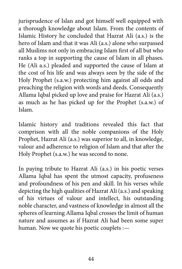jurisprudence of Islan and got himself well equipped with a thorough knowledge about Islam. From the contents of Islamic History he concluded that Hazrat Ali (a.s.) is the hero of Islam and that it was Ali (a.s.) alone who surpassed all Muslims not only in embracing Islam first of all but who ranks a top in supporting the cause of Islam in all phases. He (Ali a.s.) pleaded and supported the cause of Islam at the cost of his life and was always seen by the side of the Holy Prophet (s.a.w.) protecting him against all odds and preaching the religion with words and deeds. Consequently Allama Iqbal picked up love and praise for Hazrat Ali (a.s.) as much as he has picked up for the Prophet (s.a.w.) of .Islam

Islamic history and traditions revealed this fact that comprison with all the noble companions of the Holy Prophet, Hazrat Ali (a.s.) was superior to all, in knowledge, valour and adherence to religion of Islam and that after the Holy Prophet (s.a.w.) he was second to none.

In paying tribute to Hazrat Ali (a.s.) in his poetic verses Allama Iqbal has spent the utmost capacity, profuseness and profoundness of his pen and skill. In his verses while depicting the high qualities of Hazrat Ali (a.s.) and speaking of his virtues of valour and intellect, his outstanding noble character, and vastness of knowledge in almost all the spheres of learning Allama Iqbal crosses the limit of human nature and assumes as if Hazrat Ali had been some super human. Now we quote his poetic couplets :-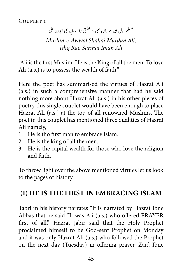COUPLET<sub>1</sub>

مسلم اول ش<sub>ه</sub> مردان علی \* عشق را سرمایه ی ایمان علی  *,Ali Mardan Shahai Awwal-e-Muslim Ali Iman Sarmai Rao Ishq*

"Ali is the first Muslim. He is the King of all the men. To love Ali  $(a.s.)$  is to possess the wealth of faith."

Here the poet has summarised the virtues of Hazrat Ali  $(a.s.)$  in such a comprehensive manner that had he said nothing more about Hazrat Ali (a.s.) in his other pieces of poetry this single couplet would have been enough to place Hazrat Ali (a.s.) at the top of all renowned Muslims. The poet in this couplet has mentioned three qualities of Hazrat Ali namely,

- 1. He is tho first man to embrace Islam.
- 2. He is the king of all the men.
- 3. He is the capital wealth for those who love the religion and faith

To throw light over the above mentioned virtues let us look to the pages of history.

# **II) HE IS THE FIRST IN EMBRACING ISLAM**

Tabri in his history narrates "It is narrated by Hazrat Ibne Abbas that he said "It was Ali (a.s.) who offered PRAYER first of all." Hazrat Jabir said that the Holy Prophet proclaimed himself to be God-sent-Prophet on Monday and it was only Hazrat Ali (a.s.) who followed the Prophet on the next day (Tuesday) in offering prayer. Zaid Ibne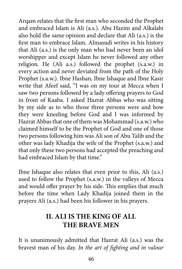Argam relates that the first man who seconded the Prophet and embraced Islam is Ali (a.s.). Abu Hazim and Alkalabi also hold the same opinion and declare that Ali (a.s.) is the first man to embrace Islam. Almasudi writes in his history that Ali (a.s.) is the only man who had never been an idol worshipper and except Islam he never followed any other religion. He  $(Ali a.s.)$  followed the prophet  $(s.a.w.)$  in every action and never deviated from the path of the Holy Prophet (s.a.w.). Ibne Hashan, Ibne Ishaque and Ibne Kasir write that Afeef said, "I was on my tour at Mecca when I saw two persons followed by a lady offering prayers to God in front of Kaaba. I asked Hazrat Abbas who was sitting by my side as to who those three persons were and how they were kneeling before God and I was informed by Hazrat Abbas that one of them was Mohammad (s.a.w.) who claimed himself to be the Prophet of God and one of those two persons following him was Ali son of Abu Talib and the other was lady Khadija the wife of the Prophet (s.a.w.) and that only these two persons had accepted the preaching and had embraced Islam by that time."

(b) Ibne Ishaque also relates that even prior to this, Ali (a.s.) used to follow the Prophet (s.a.w.) in the valleys of Mecca and would offer prayer by his side. This emplies that much before the time when Lady Khadija joined them in the prayers Ali (a.s.) had been his follower in his prayers.

# **II. ALI IS THE KING OF ALL THE BRAVE MEN**

It is unanimously admitted that Hazrat Ali (a.s.) was the bravest man of his day. *In the art of fighting and in valour*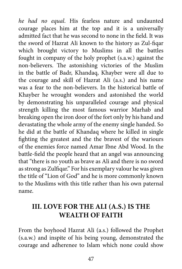he had no equal. His fearless nature and undaunted courage places him at the top and it is a universally admitted fact that he was second to none in the field. It was the sword of Hazrat Ali known to the history as Zul-figar which brought victory to Muslims in all the battles fought in company of the holy prophet (s.a.w.) against the non-believers. The astonishing victories of the Muslim in the battle of Badr, Khandaq, Khayber were all due to the courage and skill of Hazrat Ali (a.s.) and his name was a fear to the non-believers. In the historical battle of Khayber he wrought wonders and astonished the world by demonstrating his unparalleled courage and physical strength killing the most famous warrior Marhab and breaking open the iron door of the fort only by his hand and devastating the whole army of the enemy single handed. So he did at the battle of Khandaq where he killed in single fighting the greatest and the the bravest of the wariours of the enemies force named Amar Ibne Abd Wood. In the battle-field the people heard that an angel was announcing that "there is no youth as brave as Ali and there is no sword as strong as Zulfiqar." For his exemplary valour he was given the title of "Lion of God" and he is more commonly known to the Muslims with this title rather than his own paternal .name

# **III. LOVE FOR THE ALI (A.S.) IS THE WEALTH OF FAITH**

From the boyhood Hazrat Ali (a.s.) followed the Prophet (s.a.w.) and inspite of his being young, demonstrated the courage and adherenee to Islam which none could show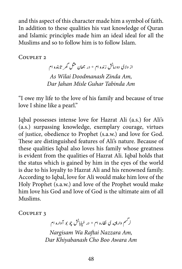and this aspect of this character made him a symbol of faith. In addition to these qualities his vast knowledge of Ouran and Islamic principles made him an ideal ideal for all the Muslims and so to follow him is to follow Islam.

COUPLET<sub>2</sub>

از ولای دودمانش زنده ام \* در جھان مثل گھر تابنده ام As Wilai Doodmanash Zinda Am. *Am Tabinda Guhar Misle Jahan Dar*

"I owe my life to the love of his family and because of true love I shine like a pearl."

Iqbal possesses intense love for Hazrat Ali (a.s.) for Ali's (a.s.) surpassing knowledge, exemplary courage, virtues of justice, obedience to Prophet (s.a.w.) and love for God. These are distinguished features of Ali's nature. Because of these qualities Iqbal also loves his family whose greatness is evident from the qualities of Hazrat Ali. Iqbal holds that the status which is gained by him in the eyes of the world is due to his loyalty to Hazrat Ali and his renowned family. According to Iqbal, love for Ali would make him love of the Holy Prophet (s.a.w.) and love of the Prophet would make him love his God and love of God is the ultimate aim of all .Muslims

COUPLET<sub>3</sub>

بابش چو بو آواره ام .<br>نر مسم وارفته ی نظاره ام \* در خ

*Nargisam Wa Raftai Nazzara Am, Am Awara Boo Cho Khiyabanash Dar*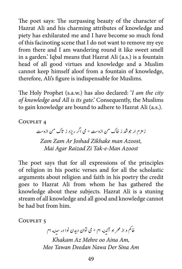The poet says: The surpassing beauty of the character of Hazrat Ali and his charming attributes of knowledge and piety has exhilarated me and I have become so much fond of this facinoting scene that I do not want to remove my eye from there and I am wandering round it like sweet smell in a garden.' Iqbal means that Hazrat Ali (a.s.) is a fountain head of all good virtues and knowledge and a Muslim cannot keep himself aloof from a fountain of knowledge, therefore, Ali's figure is indispensable for Muslims.

The Holy Prophet (s.a.w.) has also declared: 'I am the city of knowledge and All is its gate. Consequently, the Muslims to gain knowledge are bound to adhere to Hazrat Ali (a.s.).

COUPLET<sub>4</sub>

زمزم ار جوشد ز خاک من ازوست \* می اگر ریزد ز تاک من ازوست *Zam Zam Ar Joshad Zikhake man Azoost. Azoost Man-e-Tak Zi Raizad Agar Mai*

The poet says that for all expressions of the principles of religion in his poetic verses and for all the scholastic arguments about religion and faith in his poetry the credit goes to Hazrat Ali from whom he has gathered the knowledge about these subjects. Hazrat Ali is a stuning stream of all knowledge and all good and knowledge cannot be had but from him.

COUPLET<sub>5</sub>

.<br>خانم و از محر او آئینه ام \* می توان دیدن نوا در سینه ام م *Khakam Az Mehre oo Aina Am. Am Sina Der Nawa Deedan Tawan Mee*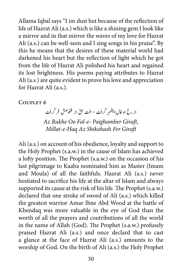Allama Iqbal says "I im dust but because of the reflection of life of Hazrat Ali (a.s.) which is like a shining gem I look like a mirror and in that mirror the waves of my love for Hazrat Ali  $(a.s.)$  can be well-seen and I sing songs in his praise". By this he means that the desires of these material world had darkened his heart but the reflection of light which he got from the life of Hazrat Ali polished his heart and regained its lost brightness. His poems paying attributes to Hazrat Ali (a.s.) are quite evident to prove his love and appreciation for Hazrat Ali (a.s.).

#### COUPLET<sub>6</sub>

.<br>س<sub>ر</sub> گرفت \* ملت حق از شکو حش فر گرفت از رخ او فال پيغ<sub>م</sub> Az Rukhe Oo Fal-e- Paighamber Giraft, *Millat-e-Haq Az Shikohash Fer Giraft* 

Ali (a.s.) on account of his obedience, loyalty and support to the Holy Prophet (s.a.w.) in the cause of Islam has achieved a lofty position. The Prophet (s.a.w.) on the occasion of his last pilgrimage to Kaaba nominated him as Master (Imam and Moula) of all the faithfuls. Hazrat Ali (a.s.) never hesitated to sacrifice his life at the altar of Islam and always supported its cause at the risk of his life. The Prophet (s.a.w.) declared that one stroke of sword of Ali (a.s.) which killed the greatest warrior Amar Ibne Abd Wood at the battle of Khendaq was more valuable in the eye of God than the worth of all the prayers and coutributions of all the world in the name of Allah (God). The Prophet (s.a.w.) profusely praised Hazrat Ali (a.s.) and once declard that to cast a glance at the face of Hazrat Ali (a.s.) amounts to the worship of God. On the birth of Ali (a.s.) the Holy Prophet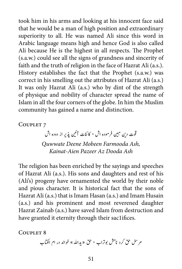took him in his arms and looking at his innocent face said that he would be a man of high position and extraordinary superiority to all. He was named Ali since this word in Arabic language means high and hence God is also called Ali because He is the highest in all respects. The Prophet (s.a.w.) could see all the signs of grandness and sincerity of faith and the truth of religion in the face of Hazrat Ali (a.s.). History establishes the fact that the Prophet (s.a.w.) was correct in his smelling out the attributes of Hazrat Ali (a.s.) It was only Hazrat Ali (a.s.) who by dint of the strength of physique and nobility of character spread the name of Islam in all the four corners of the globe. In him the Muslim community has gained a name and distinction.

COUPLET<sub>7</sub>

نیذیر از دوده اش ی .<br>قوت دین مبین فر موده اش \* کائنات آئین

**Quwwate Deene Mobeen Farmooda Ash,** *Ash Dooda Az Pazeer Aien-Kainat*

The religion has been enriched by the sayings and speeches of Hazrat Ali (a.s.). His sons and daughters and rest of his (Ali's) progeny have ornamented the world by their noble and pious character. It is historical fact that the sons of Hazrat Ali (a.s.) that is Imam Hasan (a.s.) and Imam Husain  $(a.s.)$  and his prominent and most reverened daughter Hazrat Zainab (a.s.) have saved Islam from destruction and have granted it eternity through their sac1ifices.

COUPLET<sub>8</sub>

مر سل حق کرد نامش بوتراب \* حق «یدالله» خواند در ام الکتاب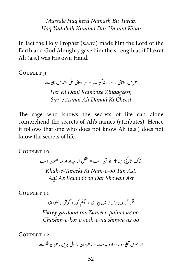*Mursale Haq kerd Namash Bu Turab, Kitab Ummul Dar Khuand Yadullah Haq*

In fact the Holy Prophet (s.a.w.) made him the Lord of the Earth and God Almighty gave him the strength as if Hazrat Ali (a.s.) was His own Hand.

COUPLET<sub>9</sub>

هر <sub>که</sub> دانای رموز زند گیست \* سر اسای علی داند <sub>که</sub> چیست

*Her Ki Dani Ramooze Zindageest, Cheest Ki Danad Ali Asmai e-Sirr*

The sage who knows the secrets of life can alone comprehend the secrets of Ali's names (attributes). Hence it follows that one who does not know Ali (a.s.) does not know the secrets of life.

COUPLET 10

خاک تاریکی <sub>که</sub> نام او تن است \* عقل از بیداد او در شیون است ش *Khak-e-Tareeki Ki Nam-e-oo Tan Ast.* Agl Az Baidade oo Dar Shewan Ast

COUPLET 11

فکر گردون رس زمین پیا ازو \* حپثم کور و گوش ناشنوا ازو

 *,oo az paima Zameen ras gardoon Fikrey* Chashm-e-kor o gosh-e-na shinwa az oo

COUPLET 12

دو رو دارد بدست \* رهروان را دل برین رهزن <del>ن</del>کست į, � �ی از هوس ت �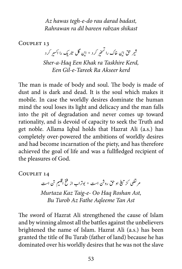Az hawas tegh-e-do rau darad badast, **Rahrawan ra dil bareen rahzan shikast** 

COUPLET 13

ب<sub>ر</sub> کرد \* این گل تاریک را اکسیر کرد � ر حق این خاک را تسخه � ت � ش *Sher-a-Haq Een Khak ra Taskhire Kerd, <u><i>ken Gil-e-Tareek-Ra Akseer kerd</u>*</u>

The man is made of body and soul. The body is made of dust and is dark and dead. It is the soul which makes it mobile. In case the worldly desires dominate the human mind the soul loses its light and delicacy and the man falls into the pit of degradation and never comes up toward rationality, and is devoid of capacity to seek the Truth and get noble. Allama Iqbal holds that Hazrat Ali (a.s.) has completely over-powered the ambitions of worldly desires and had become incarnation of the piety, and has therefore achieved the goal of life and was a fullfledged recipient of the pleasures of God.

COUPLET 14

م نضی کز تینج او حق روش است \* بوتراب از فتح اقلیم تن است ت � *Murtaza Kaz Taig-e- Oo Haq Roshan Ast, Ast Tan Aqleeme Fathe Az Turob Bu*

The sword of Hazrat Ali strengthened the cause of Islam and by winning almost all the battles against the unbelievers brightened the name of Islam. Hazrat Ali (a.s.) has been granted the title of Bu Turab (father of land) because he has dominated over his worldly desires that he was not the slave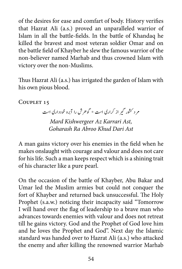of the desires for ease and comfart of body. History verifies that Hazrat Ali (a.s.) proved an unparalleled warrior of Islam in all the battle-fields. In the battle of Khandaq he killed the bravest and most veteran soldier Omar and on the battle field of Khayber he slew the famous warrior of the non-believer named Marhab and thus crowned Islam with victory over the non-Muslims.

Thus Hazrat Ali (a.s.) has irrigated the garden of Islam with his own pious blood.

COUPLET 15

مر د کشور گیر از کراری است \* گوهرش را آبرو خودداری است

*Mard Kishwergeer Az Karrari Ast, Goharash Ra Abroo Khud Dari Ast* 

A man gains victory over his enemies in the field when he makes onslaught with courage and valour and does not care for his life. Such a man keeps respect which is a shining trait of his character like a pure pearl.

On the occasion of the battle of Khayber, Abu Bakar and Umar led the Muslim armies but could not conquer the fort of Khayber and returned back unsuccessful. The Holy Prophet (s.a.w.) noticing their incapacity said "Tomorrow I will hand over the flag of leadership to a brave man who advances towards enemies with valour and does not retreat till he gains victory. God and the Prophet of God love him and he loves the Prophet and God". Next day the Islamic standard was handed over to Hazrat Ali (a.s.) who attacked the enemy and after killing the renowned warrior Marhab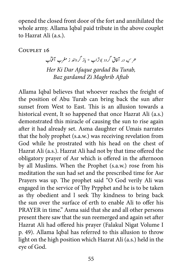opened the closed front door of the fort and annihilated the whole army. Allama Iqbal paid tribute in the above couplet to Hazrat Ali (a.s.).

COUPLET 16

هر <sub>که</sub> در آفاق گردد بوتراب \* باز گرداند ز مغرب آف<u>ا</u>ب *Her Ki Dar Afaque gardad Bu Turab, Baz* gardamd Zi Maghrib Aftab

Allama Iqbal believes that whoever reaches the freight of the position of Abu Turab can bring back the sun after sunset from West to East. This is an allusion towards a historical event, It so happened that once Hazrat Ali (a.s.) demonstrated this miracle of causing the sun to rise again after it had already set. Asma daughter of Umais narrates that the holy prophet (s.a.w.) was receiving revelation from God while he prostrated with his head on the chest of Hazrat Ali (a.s.). Hazrat Ali had not by that time offered the obligatory prayer of Asr which is offered in the afternoon by all Muslims. When the Prophet (s.a.w.) rose from his meditation the sun had set and the prescribed time for Asr Prayers was up. The prophet said "O God verily Ali was engaged in the service of Thy Prpphet and he is to be taken as thy obedient and I seek Thy kindness to bring back the sun over the surface of erth to enable Ali to offer his PRAYER in time." Asma said that she and all other persons present there saw that the sun reemerged and again set after Hazrat Ali had offered his prayer (Falakul Nigat Volume I p. 49). Allama Iqbal has referred to this allusion to throw light on the high position which Hazrat Ali (a.s.) held in the eye of God.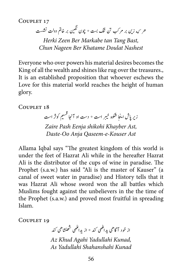COUPLET 17

هر ک<sub>ه</sub> زین بر مرکب تن تنگ بست \* چون نگین بر خاتم دولت نشست ن

*Herki Zeen Ber Markabe tan Tang Bast, Nashest Doulat Khatame Ber Nageen Chun*

Everyone who over powers his material desires becomes the King of all the wealth and shines like rug over the treasures. It is an established proposition that whoever eschews the Love for this material world reaches the height of human .glory

COUPLET 18

بر است \* دست او آنجا قسیم کوثر است خ زیر پاش اینجا شکوه خیبر **Zaire Pash Eenja shikohi Khayber Ast, Daste-Oo Anja Oaseem-e-Kouser Ast** 

Allama Iqbal says "The greatest kingdom of this world is under the feet of Hazrat Ali while in the hereafter Hazrat Ali is the distributor of the cups of wine in paradise. The Prophet (s.a.w.) has said "Ali is the master of Kauser" (a canal of sweet water in paradise) and History tells that it was Hazrat Ali whose sword won the all battles which Muslims fought against the unbelievers in the the time of the Prophet (s.a.w.) and proved most fruitful in spreading .Islam

COUPLET 19

از خود آگاهی پدانکهی <sup>کن</sup>د \* از پدانکهی شھنشا*هی کند* Az Khud Agahi Yadullahi Kunad, *Kunad Shahanshahi Yadullahi As*

ش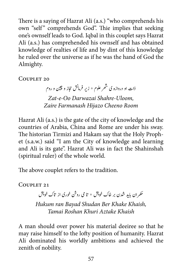There is a saying of Hazrat Ali (a.s.) "who comprehends his own "self" comprehends God". Thie implies that seeking one's ownself leads to God. Iqbal in this couplet says Hazrat Ali (a.s.) has comprehended his ownself and has obtained knowledge of realties of life and by dint of this knowledge he ruled over the universe as if he was the hand of God the .Almighty

COUPLET 20

ذات او دروازه ی ش*هر* علوم \* زیر فرمانش حجاز و چین و روم ش  *,Uloom-Shahre Darwazai Oo-e-Zat Room Cheeno Hijazo Farmanash Zaire*

Hazrat Ali (a.s.) is the gate of the city of knowledge and the countries of Arabia, China and Rome are under his sway. et (s.a.w.) said "I am the City of knowledge and learning The historian Tirmizi and Hakam say that the Holy Prophand Ali is its gate". Hazrat Ali was in fact the Shahinshah (spiritual ruler) of the whole world.

The above couplet refers to the tradition.

COUPLET 21

منسر ان باید شدن بر خاک خویش \* تا می روش خوری از تاک خویش<br>حکمران باید شدن بر خاک خویش \* تا می روش خوری از تاک خویش

*Hukum ran Bayad Shudan Ber Khake Khaish, Khaish Aztake Khuri Roshan Tamai*

A man should over power his material deeiree so that he may raise himself to the lofty position of humanity. Hazrat Ali dominated his worldly ambitions and achieved the zenith of nobility.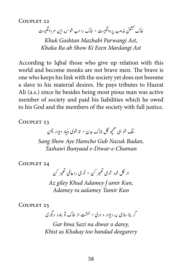COUPLET 22

خاک گشتن مذهب پروانگیست \* خاک را اب شو <sub>که</sub> این مر دانگیست ن ن

 *,Ast Parwangi Mazhabi Gashtan Khuk Khaka Ra ab Show Ki Eeen Mardangi Ast* 

According to Iqbal those who give up relation with this world and become monks are not brave men. The brave is one who keeps his link with the society yet does not become a slave to his material desires. He pays tributes to Hazrat Ali (a.s.) since he besides being most pious man was active member of society and paid his liabilities which he owed to his God and the members of the society with full justice.

COUPLET 23

.<br>همچو گل نازک بدن \* تا شوی بنیاد دیوار چمن م سنگ شو ای

*Sang Show Aye Hamcho Gub Nazuk Badan, Chaman-e-Diwar-e Bunyaad Tashawi*

COUPLET 24

از گل خود آدمی تعمیر <sup>کن \*</sup> آدمی را عالمی تعمیر <sup>کن</sup> ت ت

Az giley Khud Adamey f amir Kun, *Kun Tamir aalamey ra Adamey*

COUPLET 25

گر بنا سازی نه دیوار و دری \* خشت از خاک تو بندد دیگری

*Gar bina Sazi na diwar o darey, deegarery bandad too Khakay as Khist*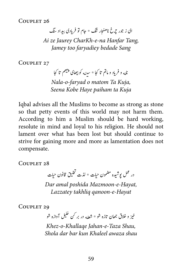ای زجور چرخ ناھنجار تنگ ٭ جام تو فریادی بیداد تنگ *Ai ze Jaurey CharKh-e-na Hanfar Tang, Sang bedade faryadiey too Jamey*

COUPLET 27

نا<sub>له</sub> و فریاد و ماتم تا کجا \* سین<sub>ه</sub> کو بیھای پنیٹم تا کجا

*Nala-o-faryad o matom Ta Kuja, Kuja ta paiham Haye Kobe Seena*

Iqbal advises all the Muslims to become as strong as stone so that petty events of this world may not harm them. According to him a Muslim should be hard working, resolute in mind and loyal to his religion. He should not lament over what has been lost but should continue to strive for gaining more and more as lamentation does not .compensate

COUPLET 28

در عمل پوشیده مضمون حیات \* لذت تخلیق قانون حیات<br>در عمل پوشیده مضمون حیات \* لذت تخلیق قانون حیات � ت ش Dar amal poshida Mazmoon-e-Hayat, *Hayat-e-qanoon takhliq Lazzatey*

COUPLET 29

ل آوازه شو خیز و خلاق جھان تازه شو \* شعله در بر <sup>ک</sup>ن خلیل ش خيز *Khez-o-Khallage Jahan-e-Taza Shau, Shola dar bar kun Khaleel awaza shau* 

خ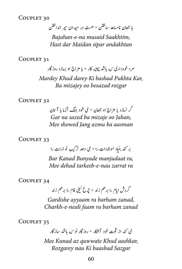تبا جھان نامساعد ساختن \* ھست در میدان *سپر* انداختن

*Bajahan-e-na musaid Saakhtim, andakhtan sipar Maidan dar Hast*

COUPLET 31

.<br>ته کار \* با مزاج او بسازد روزگار مر د خودداری <sub>که</sub> باشد پ<sup>ی</sup>خ *Mardey Khud darey Ki bashad Pukhta Kar, Ba mizajey oo besazad rozgar* 

COUPLET 32

گر نسازد با مزارج او جھان \* می شود جنگ آزما با آسان Gar na sazed ba mizaje oo Jahan, *Mee showed Jang azma ba aasman* 

COUPLET 33

بر کند بنیاد موجودات را \* می دھد تر کیب نو ذرات را

*Bar Kanad Bunyade manjudaat ra, Mee dehad tarkeeb-e-nau zarrat ra* 

COUPLET 34

گردش ایام را برهم زند \* چرخ نیلی فام را برهم زند

Gardishe ayyaam ra barham zanad, *zanad barham ra faam neali-e-Charkh*

COUPLET 35

ی کند از قوت خود آشکار \* روزگار نو <sub>که</sub> باشد سازگار *Mee Kunad az quwwate Khud aashkar,* **Rozgarey nau Ki baasbad Sazgar**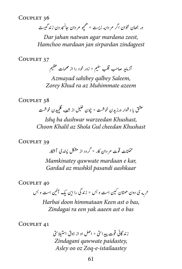پدر جهان نتوان اگر مردانه زیست \* همچو مردان جانسپردن زند گیست م

Dar jahan natwan agar mardana zeest, *zindageest sirpardan jan mardaan Hamchoo*

COUPLET 37

ی ظ .<br>آزماید صاحب قلب <sup>سلی</sup>م \* زور خود را از م*ص*مات عظیم

*Azmayad sahibey galbey Saleem, Zorey Khud ra az Muhimmate azeem* 

COUPLET 38

از شعله گلچیدن خوشت ش یخ عشق با دشوار ورزیدن خوشت \* چون تعلیل

*Ishq ba dushwar warzeedan Khushast, Khushast cheedan Gul Shola az Khalil Choon*

COUPLET 39

ممکنات قوت م دان کار \* گردد از مشکل بسد ی آشکار

*Mamkinatey quwwate mardaan e kar, aashkaar pasandi mushkil az Gardad*

COUPLET 40

حسبه ی دون همتان کین است و بس \* زندگی را این یک آئین است و بس ی ت

*Harbai doon himmataan Keen ast o bas, Zindagai ra een yak aaeen ast o bas* 

COUPLET 41

زند گانی قوت پیدایتی \* اصل او از ذوق استیلاسی ت  $Zindagani$  *gawwate paidastey*, Asley oo oz Zoq-e-istailaastey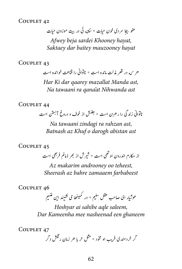تعفو بیجا سردی خون حیات \* سکته ئی در بیت موزون حیات ت*Afwey beja sardei Khooney havat, hayat mauzooney baitey dar Saktaey*

COUPLET 43

هر <sub>که</sub> در قعر مذلت مانده است \* ناتوانی را قناعت خوانده است

*Har Ki dar qaarey mazallat Manda ast, ast Nihwanda at'qana ra tawaani Na*

COUPLET 44

ناتوانی زندگی را رهزن است \* بطنش از خوف و دروغ آ<sup>بست</sup>ن است ت ش

*Na tawaani zindagi ra rahzan ast, ast abistan darogh o Khuf az Batnash*

COUPLET 45

از مکارم اندرون او تھی است \* شیر ش از بھر ذمائم فر بھی است ش ت

Az makarim androoney oo teheest, *farbabeest zamaaem bahre az Sheerash*

COUPLET 46

.<br>شيم .<br>م هو ثیار ای صاحب عقل سلیم \* در کمینها می نشیند این ش � ش

*Hoshyar ai sahibe agle saleem,* **Dar Kameenha mee nasheenad een ghaneem** 

COUPLET 47

گر خرد مندی فریب او مخود \* مثل حر با حر زمان رنگش دگر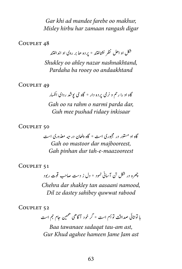Gar khi ad mandee farebe oo makhur, *Misley hirbu har zamaan rangash digar* 

COUPLET 48

شکل او اهل نظر نشاختند \* پرده حا بر روی او انداختند *Shukley oo ahley nazar nashnakhtand, andaakhtand oo rooey ba Pardaha*

COUPLET 49

گاه او را رحم و نرمی پرده دار \* گاه می بوشد ردای انکسار *Gah oo ra rahm o narmi parda dar, Guh mee pushad ridaey inkisaar* 

COUPLET<sub>50</sub>

گاه او مستور در مجبوری است \* گاه پنهان در <sub>تنه</sub> معذوری است Gah oo mastoor dar majbooreest, *Gah pinhan dur tah-e-maazooreest* 

COUPLET<sub>51</sub>

چھرہ در شکل تن آسانی نمود ٭ دل ز دست صاحب قوت ربود

*Chehra dar shakley tan aasaani namood, Dil ze dastey sahibey guwwat rabood* 

COUPLET<sub>52</sub>

ھمبین جام جم است<br>م با توانانی صداقت تو أم است \* کر خود آگاهی

*Baa tawanaee sadaqat tau-am ast,* Gur Khud agahee hameen Jame Jam ast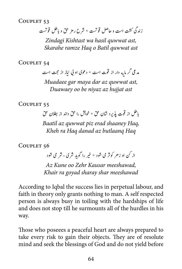COUPLET<sub>53</sub>

زدنیگ تشک اتس و احلص وقتست \* رشح رزم قح و ابلط وقتست

 $Zi$ ndagi Kishtast wa hasil quwwat ast, *Skarahe ramze Haq o Batil quwwat ast* 

COUPLET 54

مد عی کر مایه دار از قوت است \* د عوی او نبی نیاز از حجت است

*Muadaee gar maya dar az guwwat ast, Duawaey* oo be niyaz az hujjat ast

COUPLET<sub>55</sub>

ر ر<br>با طل از قوت پذیرد شان حق \* خویش را حق داند از بطلان حق *Baatil az guwwat piz erad shaanev Hag, Haq butlaanq az danad Haq ra Kheh*

COUPLET<sub>56</sub>

ر را گوید شر ی ، شر می شود خ از کن او زهر کوثر می شود \* خیر

Az Kune oo Zehr Kausar meeshawad, *Khair ra goyad sharay shar meeshawad* 

According to Iqbal the success lies in perpetual labour, and faith in theory only grants nothing to man. A self respected person is always busy in toiling with the hardships of life and does not stop till he surmounts all of the hurdles in his .way

Those who poseees a peaceful heart are always prepared to take every risk to gain their objects. They are of resolute mind and seek the blessings of God and do not yield before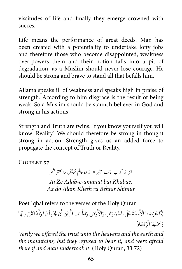vissitudes of life and finally they emerge crowned with succes.

Life means the performance of great deeds. Man has been created with a potentiality to undertake lofty jobs and therefore those who become disappointed, weakness over-powers them and their notion falls into a pit of degradation, as a Muslim should never lose courage. He should be strong and brave to stand all that befalls him.

Allama speaks ill of weakness and speaks high in praise of strength. According to him disgrace is the result of being weak. So a Muslim should be staunch believer in God and strong in his actions,

Strength and Truth are twins. If you know yourself you will know 'Reality'. We should therefore be strong in thought strong in action. Strength gives us an added force to propagate the concept of Truth or Reality.

COUPLET<sub>57</sub>

ای ز آداب امانت بیخبر \* از دو عالم خویش را بھتر شمر ت ی� Ai Ze Adab-e-amanat bai Khabae. Az do Alam Khesh ra Behtar Shimur

Poet Iqbal refers to the verses of the Holy Quran : رْضِ وَالْجِبَالِ فَأَبَيْنَ أَن يَحْمِلْنَهَا وَأَشْفَقْنَ مِنْهَا ْ **ا ∶** <u>ّ</u> َ **∶ ∶ البابات** َ **ا** ِ **ا** ؚ<br>ا ؚ<br>' مَانَةَ عَلَى السَّمَاوَاتِ وَالْأَ َ**ا** إِنَّا عَرَضْنَا الْأَ َ ُ َوَحَمَلَهَا الْإِنسَانُ َ

*Verily we offered the trust unto the heavens and the earth and the mountains, but they refused to bear it, and were afraid* thereof and man undertook it. (Holy Quran, 33:72)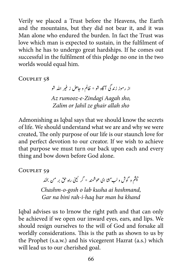Verily we placed a Trust before the Heavens, the Earth and the mountains, but they did not bear it, and it was Man alone who endured the burden. In fact the Trust was love which man is expected to sustain, in the fulfilment of which he has to undergo great hardships. If he comes out successful in the fulfilment of this pledge no one in the two worlds would equal him.

COUPLET<sub>58</sub>

ر الله شو į, از رموز زندگی آگاه شو \* ظالم و جاهل ز غیر Az rumooz-e-Zindagi Aagah sho, *sho allah ghair ze Jahil or Zalim*

Admonishing as Iqbal says that we should know the secrets of life. We should understand what we are and why we were created. The only purpose of our life is our staunch love for and perfect devotion to our creator. If we wish to achieve that purpose we must turn our back upon each and every thing and bow down before God alone.

COUPLET<sub>59</sub>

ور<br>چشم و گوش و لب سمثا ای هو شمند \* گر نبینی راه حق بر من بخند ی ب ن المستخدم المستخدم المستخدم المستخدم المستخدم المستخدم المستخدم المستخدم المستخدم المستخدم المستخدم المستخدم ا<br>المستخدم المستخدم المستخدم المستخدم المستخدم المستخدم المستخدم المستخدم المستخدم المستخدم المستخدم المستخدم ا

Chashm-o-gosh o lab kusha ai hoshmand, *Gar na bini rah-i-haq bar man ba khand* 

Iqbal advises us to lrnow the right path and that can only be achieved if we open our inward eyes, ears, and lips. We should resign ourselves to the will of God and forsake all worldly considerations. This is the path as shown to us by the Prophet (s.a.w.) and his vicegerent Hazrat (a.s.) which will lead us to our cherished goal.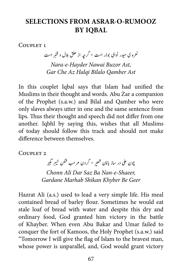### **SELECTIONS FROM ASRAR-O-RUMOOZ BY IOBAL**

COUPLET<sub>1</sub>

نعرہ ی حیدر نوای بوذر است \* گرچہ از حلق بلال و قنبر است *Nara-e-Hayder Nawai Buzor Ast,* Gar Che Az Halai Bilalo Oamber Ast

In this couplet Igbal says that Islam had unified the Muslims in their thought and words. Abu Zar a companion of the Prophet (s.a.w.) and Bilal and Qamber who were only slaves always utter in one and the same sentence from lips. Thus their thought and speech did not differ from one another. Iqbhl by saying this, wishes that all Muslims of today should follow this track and should not make difference between themselves.

COUPLET<sub>2</sub>

م گبیر<br>بر تبکیر خ چون علی در ساز بانان شعیر \* گردن مرحب شکن خیبر<sup>ا</sup> ش

*Chonn Ali Dar Saz Ba Nan-e-Shaeer, Geer Be Khyber Shikan Marhab Gardane*

Hazrat Ali (a.s.) used to lead a very simple life. His meal contained bread of barley flour. Sometimes he would eat stale loaf of bread with water and despite this dry and ordinary food, God granted him victory in the battle of Khayber. When even Abu Bakar and Umar failed to conquer the fort of Kamoos, the Holy Prophet (s.a.w.) said "Tomorrow I will give the flag of Islam to the bravest man, whose power is unparallel, and, God would grant victory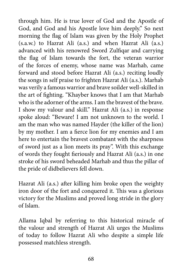through him. He is true lover of God and the Apostle of God, and God and his Apostle love him deeply." So next morning the flag of Islam was given by the Holy Prophet  $(s.a.w.)$  to Hazrat Ali  $(a.s.)$  and when Hazrat Ali  $(a.s.)$ advanced with his renowred Sword Zulfigar and carrying the flag of Islam towards the fort, the veteran warrior of the forces of enemy, whose name was Marhab, came forward and stood before Hazrat Ali (a.s.) reciting loudly the songs in self praise to frighten Hazrat Ali (a.s.). Marhab was verily a famous warrior and brave soilder well-skilled in the art of fighting. "Khayber knows that I am that Marhab who is the adorner of the arms. Lam the bravest of the brave. I show my valour and skill." Hazrat Ali (a.s.) in response spoke aloud: "Beware! I am not unknown to the world. I am the man who was named Hayder (the killer of the lion) by my mother. I am a fierce lion for my enemies and I am here to entertain the bravest combatant with the sharpness of sword just as a lion meets its pray". With this exchange of words they fought fieriously and Hazrat Ali (a.s.) in one stroke of his sword beheaded Marhab and thus the pillar of the pride of didbelievers fell down.

Hazrat Ali (a.s.) after killing him broke open the weighty iron door of the fort and conquered it. This was a glorious victory for the Muslims and proved long stride in the glory of Islam.

Allama Iqbal by referring to this historical miracle of the valour and strength of Hazrat Ali urges the Muslims of today to follow Hazrat Ali who despite a simple life possessed matchless strength.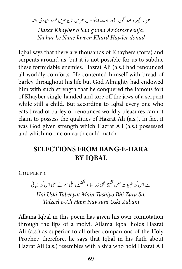بر و صد گونه اژدر است اینجا \* نه *هر ک*ه نان جوین خورد حیدری داند خ هر ار خيبر

*Hazar Khayber o Sad goona Azdarast eenja, Na har ke Nane Javeen Khurd Hayder donad* 

Iqbal says that there are thousands of Khaybers (forts) and serpents around us, but it is not possible for us to subdue these formidable enemies. Hazrat Ali (a.s.) had renounced all worldly comforts. He contented himself with bread of barley throughout his life but God Almighty had endowed him with such strength that he conquered the famous fort of Khayber single-handed and tore off the jaws of a serpent while still a child. But according to Iqbal every one who eats bread of barley or renounces worldly pleasures cannot claim to possess the qualities of Hazrat Ali (a.s.). In fact it was God given strength which Hazrat Ali (a.s.) possessed and which no one on earth could match.

## **SELECTIONS FROM BANG-E-DARA IQBAL BY**

COUPLET<sub>1</sub>

یل علی ہم نے سی اس کی زبانی ے اس کی طبیعت میں تشیع بھی ذرا سا \* تفض ت ;<br>V ش ت � ت

*Hai Uski Tabeeyat Main Tashiyo Bhi Zara Sa,* Tafzeel e-Ali Ham Nay suni Uski Zabani

Allama Iqbal in this poem has given his own connotation through the lips of a molvi. Allama Iqbal holds Hazrat Ali (a.s.) as superior to all other companions of the Holy Prophet; therefore, he says that Iqbal in his faith about Hazrat Ali (a.s.) resembles with a shia who hold Hazrat Ali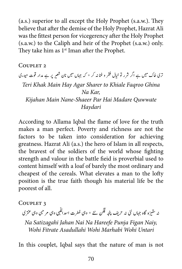$(a.s.)$  superior to all except the Holy Prophet  $(s.a.w.)$ . They believe that after the demise of the Holy Prophet, Hazrat Ali was the fittest person for vicegerency after the Holy Prophet  $(s.a.w.)$  to the Caliph and heir of the Prophet  $(s.a.w.)$  only. They take him as  $1<sup>st</sup>$  Iman after the Prophet.

#### $C$ OUPLET  $2$

:<br><sub>ن</sub> خیال فقر و غنا نہ کر ٭ کہ جہاں میں نان شعیر پر ہے مدار قوت حیدری ش یتری خاک میں ہے اگر شرر تو Teri Khak Main Hay Agar Sharer to Khiale Faqroo Ghina *Na Kar. Quwwate Madare Hai Par Shaeer-Nane Main Kijahan Haydari*

According to Allama Iqbal the flame of love for the truth makes a man perfect. Poverty and richness are not the factors to be taken into consideration for achieving greatness. Hazrat Ali (a.s.) the hero of Islam in all respects, the bravest of the soldiers of the world whose fighting strength and valour in the battle field is proverbial used to content himself with a loaf of barely the most ordinary and cheapest of the cereals. What elevates a man to the lofty position is the true faith though his material life be the poorest of all.

#### COUPLET<sub>3</sub>

ف ہجنپ نگف ےئن \* ویہ رطفت ادسایہّلل ویہ رمیبح ویہ رتنعی ی زہ اگہ اہجں یئن ی ہن رح� ت ہن س

*Na Satizagahi Jahan Nai Na Hareefe Punja Figan Naiy, Untari Wohi Marhabi Wohi Asadullahi Fitrate Wohi*

In this couplet, Iqbal says that the nature of man is not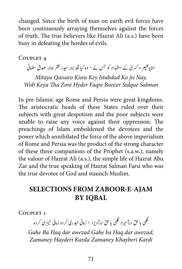changed. Since the birth of man on earth evil forces have been coutinuously arraying themselves against the forces of truth. The true believers like Hazrat Ali (a.s.) have been busy in defeating the hordes of evils.

COUPLET<sub>4</sub>

مٹایا قیص و کسری کے استبداد کو جس نے ٭ وہ کیا تھا زور حیدر فقر بوذر صدق سلمانی

*Mitaya Qaisaro Kisra Key Istabdad Ko jis Nay, Salman Sidque Boozer Faqre Hyder Zore Tha Keya Woh*

In pre-Islamic age Rome and Persia were great kingdoms. The aristocratic heads of these States ruled over their subjects with great despotism and the poor subjects were unable to raise any voice against their oppression. The preachings of Islam emboldened the devotees and the power which annihilated the force of the above imperialism of Rome and Persia was the product of the strong character of these three companions of the Prophet (s.a.w.), namely the valour of Hazrat Ali (a.s.), the simple life of Hazrat Abu Zar and the true speaking of Hazrat Salman Farsi who was the true devotee of God and staunch Muslim.

## **SELECTIONS FROM ZABOOR-E-AJAM BY IOBAL**

COUPLET<sub>1</sub>

بری کرده ء<br>گھی با حق درآمیزد گھی با حق درآویزد ٭ زمانی حیدری کرده زمانی خیبر

Gahe Ba Haq dar awezad Gahe ba Haq dar awezad, *Kardi Khayberi Zamaney Karda Hayderi Zamaney*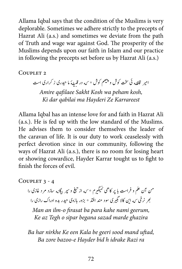Allama Iqbal says that the condition of the Muslims is very deplorable. Sometimes we adhere strictly to the precepts of Hazrat Ali (a.s.) and sometimes we deviate from the path of Truth and wage war against God. The prosperity of the Muslims depends upon our faith in Islam and our practice in following the precepts set before us by Hazrat Ali (a.s.)

COUPLET<sub>2</sub>

امیر قافله ئی سخت کوش و پلیهم کوش \* <sub>که</sub> در قبیلهُ ما حیدری ز کراری است

*Amire gafilaee Sakht Kosh wa peham kosh, Karrareest Ze Hayderi ma qabilai dar Ki*

Allama Iqbal has an intense love for and faith in Hazrat Ali  $(a.s.).$  He is fed up with the low standard of the Muslims. He advises them to consider themselves the leader of the caravan of life. It is our duty to work ceaselessly with perfect devotion since in our community, following the ways of Hazrat Ali (a.s.), there is no room for losing heart or showing cowardice, Hayder Karrar tought us to fight to finish the forces of evil

COUPLET  $3 - 4$ 

۶ - ۱ سد ۲ د ۱ سد ۲ سد ۲ سرد خازی<br>نیغ و سپر بیگانه سازد مرد غازی را من آن علم و فراست با پر کاهی نمیگیرم \* <sub>که</sub> از تیخ و سپر بیگا<sub>ن</sub> ت � بھر نرخی <sub>که</sub> این کالا نجیری سود مند افتد \* بزور بازوی حیدر بده ادراک رازی را

*Man an ilm-o firasat ba para kahe nami geerum, Ke az Tegh o sipar begana sazad marde ghazira* 

Ba har nirkhe Ke een Kala be geeri sood mand uftad, Ba zore bazoo-e Hayder bid h idrake Razi ra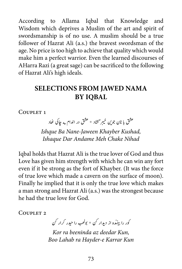According to Allama Iqbal that Knowledge and Wisdom which deprives a Muslim of the art and spirit of swordsmanship is of no use. A muslim should be a true follower of Hazrat Ali (a.s.) the bravest swordsman of the age. No price is too high to achieve that quality which would make him a perfect warrior. Even the learned discourses of AHarra Razi (a great sage) can be sacrificed to the following of Hazrat Ali's high ideals.

## **SELECTIONS FROM JAWED NAMA BY IOBAL**

COUPLET 1

.<br>بر گشاد \* عشق در اندام مه جاکی خاد ن المستخدم المستخدم المستخدم المستخدم المستخدم المستخدم المستخدم المستخدم المستخدم المستخدم المستخدم المستخدم ا<br>المستخدم المستخدم المستخدم المستخدم المستخدم المستخدم المستخدم المستخدم المستخدم المستخدم المستخدم المستخدم ا عشق با نان جوين خيبر<sup>ً</sup>

*Ishque Ba Nane-Jaween Khayber Kushad, Nihad Chake Meh Andame Dar Ishaque*

Iqbal holds that Hazrat Ali is the true lover of God and thus Love has given him strength with which he can win any fort even if it be strong as the fort of Khayber. (It was the force of true love which made a cavern on the surface of moon). Finally he implied that it is only the true love which makes a man strong and Hazrat Ali (a.s.) was the strongest because he had the true love for God.

COUPLET<sub>2</sub>

کور را بینده از دیدار <sup>ک</sup>ن \* بولھب را حیدر کرار <sup>ک</sup>ن ل ن ن

*Kor ra beeninda az deedar Kun,* **Boo Lahab ra Hayder-e Karrar Kun**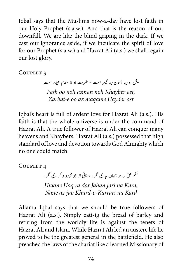Igbal says that the Muslims now-a-day have lost faith in our Holy Prophet (s.a.w.). And that is the reason of our downfall. We are like the blind griping in the dark. If we cast our ignorance aside, if we inculcate the spirit of love for our Prophet (s.a.w.) and Hazrat Ali (a.s.) we shall regain our lost glory.

COUPLET<sub>3</sub>

بر است \* ضربت او از مقام حیدر است بش او <sub>نه</sub> آ<sub>سما</sub>ن <sub>نه</sub> خیبر *Pesh oo noh asman noh Khayber ast, Zarbat-e oo az maqame Hayder ast* 

Iqbal's heart is full of ardent love for Hazrat Ali (a.s.). His faith is that the whole universe is under the command of Hazrat Ali. A true follower of Hazrat Ali can conquer many heavens and Khaybers. Hazrat Ali (a.s.) possessed that high standard of love and devotion towards God Almighty which no one could match.

COUPLET 4

حکم حق را در جھان جاری نکرد \* نانی از جو خورد و کراری نکرد *Hukme Haq ra dar Jahan jari na Kara, Nane az jao Khurd-o-Karrari na Kard* 

Allama Iqbal says that we should be true followers of Hazrat Ali (a.s.). Simply eatisig the bread of barley and retiring from the worldly life is against the tenets of Hazrat Ali and Islam. While Hazrat Ali led an austere life he proved to be the greatest general in the battlefield. He also preached the laws of the shariat like a learned Missionary of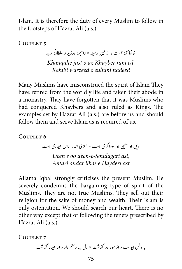Islam. It is therefore the duty of every Muslim to follow in the footsteps of Hazrat Ali (a.s.).

COUPLET<sub>5</sub>

بر رمید \* راهبی ورزید و سلطانی ندید خ خانقانقی جست و از خیبر *Khangahe just o az Khayber ram ed, nadeed sultani o warzeed Rahibi*

Many Muslims have misconstrued the spirit of Islam They have retired from the worldly life and taken their abode in a monastry. Thay have forgotten that it was Muslims who had conquered Khaybers and also ruled as Kings. The examples set by Hazrat Ali (a.s.) are before us and should follow them and serve Islam as is required of us.

COUPLET<sub>6</sub>

او سوداگری است \* عنتری اندر لباس حیدری است ی دین او آئین<br>دین او آئین Deen e oo a'een-e-Soudagari ast,

*ast Hayderi e libas andar Antari*

Allama Iqbal strongly criticises the present Muslim. He severely condemns the bargaining type of spirit of the Muslims. They are not true Muslims. They sell out their religion for the sake of money and wealth. Their Islam is only ostentation. We should search our heart. There is no other way except that of following the tenets prescribed by Hazrat Ali (a.s.).

COUPLET<sub>7</sub>

پاب ونط �ی وتس و ا ز وخد در ذگتش \* دل �به رمتس دا د و ا ز یحدر ذگتش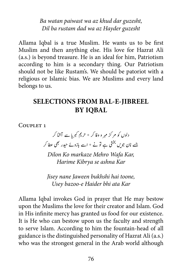*Ba watan paiwast wa az khud dar guzesht,* Dil ba rustam dad wa az Hayder guzesht

Allama Iqbal is a true Muslim. He wants us to be first Muslim and then anything else. His love for Hazrat Ali  $(a.s.)$  is beyond treasure. He is an ideal for him, Patriotism according to him is a secondary thing. Our Patriotism should not be like Rustam's. We should be patoriot with a religious or Islamic bias. We are Muslims and every land belongs to us.

### **SELECTIONS FROM BAL-E-JIBREEL BY IOBAL**

COUPLET<sub>1</sub>

یدلوں کو مر کز مہر و وفا کر ٭ حریم کبریا سے آشا کر جسے نان جویں بخشی ہے تونے \* اسے بازوئے حیدر بھی عطا کر

*Dilon Ko markaze Mehro Wafa Kar, Harime Kibrya se ashna Kar* 

*Jisey nane Jaween bukhshi hai toone, Usey bazoo-e Haider bhi ata Kar* 

Allama Iqbal invokes God in prayer that He may bestow upon the Muslims the love for their creator and Islam. God in His infinite mercy has granted us food for our existence. It is He who can bestow upon us the faculty and strength to serve Islam. According to him the fountain-head of all guidance is the distinguished personality of Hazrat Ali (a.s.) who was the strongest general in the Arab world although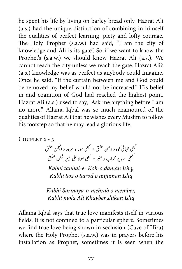he spent his life by living on barley bread only. Hazrat Ali  $(a.s.)$  had the unique distinction of combining in himself the qualities of perfect learning, piety and lofty courage. The Holy Prophet (s.a.w.) had said, "I am the city of knowledge and Ali is its gate". So if we want to know the Prophet's (s.a.w.) we should know Hazrat Ali (a.s.). We cannot reach the city unless we reach the gate. Hazrat Ali's (a.s.) knowledge was as perfect as anybody could imagine. Once he said. "If the curtain between me and God could be removed my belief would not be increased." His belief in and cognition of God had reached the highest point. Hazrat Ali (a.s.) used to say, "Ask me anything before I am no more." Allama Iqbal was so much enamoured of the qualities of Hazrat Ali that he wishes every Muslim to follow his footstep so that he may lead a glorious life.

COUPLET 2 - 3

یھبک اہنتیئ وکہ و دنم قشع \* یھبک وسز و رسور و انمجن قشع ی ب نکش قشع ن مہن وہ و ربن مس مس کور د<br>تبھی سرمایۂ محراب و منبر \* کبھی مولا علی خیبر

*Kabhi tanhai-e-Koh-o daman Isha, Kabhi Soz o Sarod o anjuman Ishq* 

*Kabhi Sarmaya-o-mehrab o member, Ishq shikan Khayber Ali mola Kabhi*

Allama Iqbal says that true love manifests itself in various fields. It is not confined to a particular sphere. Sometimes we find true love being shown in seclusion (Cave of Hira) where the Holy Prophet (s.a.w.) was in prayers before his installation as Prophet, sometimes it is seen when the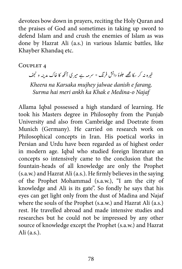devotees bow down in prayers, reciting the Holy Quran and the praises of God and sometimes in taking up sword to defend Islam and and crush the enemies of Islam as was done by Hazrat Ali (a.s.) in various Islamic battles, like Khayber Khandaq etc.

COUPLET<sub>4</sub>

رہ نہ کر سکا مجھے حلوۂ دانش فرنگ ٭ سرمہ ہے میر کی آگھ کا خاک مدینہ و نجف خ خير  *,farang e danish jalwae mujhey Karsaka na Kheera*

*Najaf o-Medina e Khak ka ankh meri hai Surma*

Allama Iqbal possessed a high standard of learning. He took his Masters degree in Philosophy from the Punjab University and also from Cambridge and Doetrate from Munich (Germany). He carried on research work on Philosophical concepts in Iran. His poetical works in Persian and Urdu have been regarded as of highest order in modern age. Iqbal who studied foreign literature an concepts so intensively came to the conclusion that the fountain-heads of all knowledge are only the Prophet  $(s.a.w.)$  and Hazrat Ali  $(a.s.)$ . He firmly believes in the saying of the Prophet Mohammad (s.a.w.), "I am the city of knowledge and Ali is its gate". So fondly he says that his eyes can get light only from the dust of Madina and Najaf where the souls of the Prophet  $(s.a.w.)$  and Hazrat Ali  $(a.s.)$ rest. He travelled abroad and made intensive studies and researches but he could not be impressed by any other source of knowledge except the Prophet (s.a.w.) and Hazrat Ali $(a.s.).$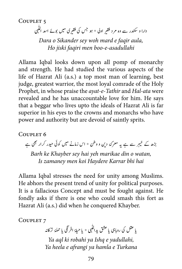COUPLET<sub>5</sub>

دارا و سکندر سے وہ مر د فقیر اولی ٭ ہو جس کی فقیری میں بوئے اسد اللّٰہی

*Dara o Sikander sey woh mard e faair aula, asadullahi-e-boo men faqiri jiski Ho*

Allama Iqbal looks down upon all pomp of monarchy and strength. He had studied the various aspects of the life of Hazrat Ali (a.s.) a top most man of learning, best judge, greatest warrior, the most loyal comrade of the Holy Prophet, in whose praise the *ayat-e-Tathir* and *Hal-ata* were revealed and he has unaccountable love for him. He says that a beggar who lives upto the ideals of Hazrat Ali is far superior in his eyes to the crowns and monarchs who have power and authority but are devoid of saintly sprits.

COUPLET<sub>6</sub>

بر سے ہے یہ معرکۂ دین و وطن ٭ اس زمانے میں کوئی حیدر کرار بھی ہے خ بڑھ کے خیبر

Barh ke Khayber sey hai yeh marikae din o watan, *hai bhi Karrar Haydere koi men zamaney Is*

Allama Iqbal stresses the need for unity among Muslims. He abhors the present trend of unity for political purposes. It is a fallacious Concept and must be fought against. He fondly asks if there is one who could smash this fort as Hazrat Ali (a.s.) did when he conquered Khayber.

COUPLET<sub>7</sub>

یا عقل کی روباہی یا عشق یداللّٰہی ٭ یا حیای<sup>ہ</sup> افر گلی یا حمل*ۂ* ترکانہ Ya aql ki robahi ya Ishq e yadullahi, *Turkana e hamla ya afrangi e heela Ya*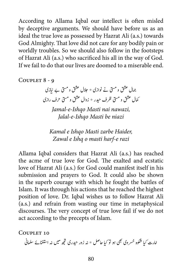According to Allama Iqbal our intellect is often misled by deceptive arguments. We should have before us as an ideal the true love as possessed by Hazrat Ali (a.s.) towards God Almighty. That love did not care for any bodily pain or worldly troubles. So we should also follow in the footsteps of Hazrat Ali (a.s.) who sacrificed his all in the way of God. If we fail to do that our lives are doomed to a miserable end.

COUPLET 8 - 9

جہال عشق و مشتی نے نوازی ٭ حلال عشق و مشتی بے نیازی کمال عشق و مسق ظرف حیدر \* زوال عشق و مسق حرف رازی

Jamal-e-*Ishqo Masti nai nawazi*, *Jalal-e-Ishqo Masti be niazi* 

*Kamal e Ishqo Masti zarbe Haider,* Zawal e Ishq o masti harf-e razi

Allama Iqbal considers that Hazrat Ali (a.s.) has reached the acme of true love for God. The exalted and ecstatic love of Hazrat Ali (a.s.) for God could manifest itself in his submission and prayers to God. It could also be shown in the superb courage with which he fought the battles of Islam. It was through his actions that he reached the highest position of love. Dr. Iqbal wishes us to follow Hazrat Ali  $(a.s.)$  and refrain from wasting our time in metaphysical discourses. The very concept of true love fail if we do not act according to the precepts of Islam.

COUPLET 10 امارت کیا شکوہ خسر وی بھی ہو تو کیا حاصل \* نہ زور حیدری حجھ میں نہ استغنائے سلمانی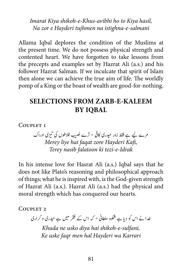*Imarat Kiya shikoh-e-Khus-avibhi ho to Kiya hasil, salmani-e-istighna na tujhmen Hayderi e zor Na*

Allama Iqbal deplores the condition of the Muslims at the present time. We do not possess physical strength and contented heart. We have forgotten to take lessons from the precepts and examples set by Hazrat Ali (a.s.) and his follower Hazrat Salman. If we inculcate that spirit of Islam then alone we can achieve the true aim of life. The worldly pomp of a King or the boast of wealth are good-for-nothing.

### **SELECTIONS FROM ZARB-E-KALEEM BY IOBAL**

COUPLET<sub>1</sub>

مرے لیے ہے فقط زور حیدری کافی \* ترے تصیب فلاطوں کی تیزی ادراک ت *Merey liye hai faqat zore Hayderi Kafi, Terey nasib falatoon ki tezi-e-Idrak* 

In his intense love for Hasrat Ali (a.s.) Iqbal says that he does not like Plato's reasoning and philosophical approach of things; what he is inspired with, is the God-given strength of Hazrat Ali (a.s.). Hazrat Ali (a.s.) had the physical and moral strength which has conquered our hearts.

COUPLET<sub>2</sub>

خدا نے اس کو دیا ہے شکوہ سلطانی \* کہ اس کے فقر میں ہے حیدری و کراری

*Khuda ne usko diya hai shikoh-e-sulfani, Karrari wa Hayderi hal men faqr uske Ke*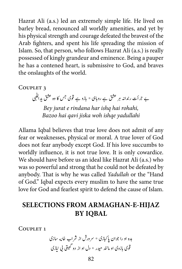Hazrat Ali (a.s.) led an extremely simple life. He lived on barley bread, renounced all worldly amenities, and yet by his physical strength and courage defeated the bravest of the Arab fighters, and spent his life spreading the mission of Islam. So, that person, who follows Hazrat Ali (a.s.) is really possessed of kingly grandeur and eminence. Being a pauper he has a contened heart, is submissive to God, and braves the onslaughts of the world.

COUPLET<sub>3</sub>

بے جرأت رندانہ ہر عشق ہے روہابی \* بازو ہے قوی جس کا وہ عشق یداللّٰہی Bey jurat e rindana har ishq hai rohahi, *yadullahi ishqe woh jiska qavi hai Bazoo*

Allama Iqbal believes that true love does not admit of any fear or weaknesses, physical or moral. A true lover of God does not fear anybody except God. If his love succumbs to worldly influence, it is not true love. It is only cowardice. We should have before us an ideal like Hazrat Ali (a.s.) who was so powerful and strong that he could not be defeated by anybody. That is why he was called Yadullah or the "Hand of God." Iqbal expects every muslim to have the same true love for God and fearlest spirit to defend the cause of Islam.

# **SELECTIONS FROM ARMAGHAN-E-HIJAZ IQBAL BY**

COUPLET<sub>1</sub>

نه اسزی دبه ا و را وجا ن اپابکزی \* رسورش ا ز رشاب اخ� یازی ی یب � ت ی وقی ابزوی ا و امدنن حدر \* دل ا و ا ز دو گ�ی�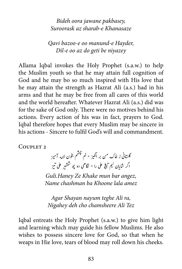*Bideh oora jawane pakbasey, Khanasaze e-sharab az Suroorask*

Qavi bazoo-e oo manund-e Hayder,  *niyazey be geti do az oo e-Dil*

Allama Iqbal invokes the Holy Prophet (s.a.w.) to help the Muslim youth so that he may attain full cognition of God and he may bo so much inspired with His love that he may attain the strength as Hazrat Ali (a.s.) had in his arms and that he may be free from all cares of this world and the world hereafter. Whatever Hazrat Ali (a.s.) did was for the sake of God only. There were no motives behind his actions. Every action of his was in fact, prayers to God. Iqbal therefore hopes that every Muslim may be sincere in his actions - Sincere to fulfil God's will and commandment.

COUPLET<sub>2</sub>

.<br>تجشم بخون لا<sub>له</sub> آميز ش گلتانی ز خاک من بر انگیز \* نم ن ی ت علی را \* نگاهی دو چو ششیر علی تیز � ش ش غ اگر شایان نیم تیغ ت ن

*Guli.Haney Ze Khake mun bar angez, amez lala Khoone ba chashman Name*

Agar Shayan nayum teghe Ali ra, *Nigahey deh cho chamsheere Ali Tez* 

Igbal entreats the Holy Prophet (s.a.w.) to give him light and learning which may guide his fellow Muslims. He also wishes to possess sincere love for God, so that when he weaps in Hie love, tears of blood may roll down his cheeks.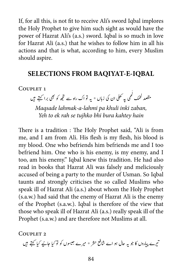If, for all this, is not fit to receive Ali's sword Iqbal implores the Holy Prophet to give him such sight as would have the power of Hazrat Ali's (a.s.) sword. Iqbal is so much in love for Hazrat Ali (a.s.) that he wishes to follow him in all his actions and that is what, according to him, every Muslim should aspire.

### **SELECTIONS FROM BAOIYAT-E-IOBAL**

COUPLET<sub>1</sub>

ممقصد لحمک لحمی پہ تھلی ان کی زباں \* پہ تو اک راہ سے تجھ کو بھی برا کہتے ہیں لَ ل

*Maqsade lahmak-a-lahmi pa khuli inki zaban, hain kahtey bura bhi tujhko se rah ek to Yeh*

There is a tradition : The Holy Prophet said, "Ali is from me, and I am from Ali. His flesh is my flesh, his blood is my blood. One who befriends him befriends me and I too befriend him. One who is his enemy, is my enemy, and I too, am his enemy." Iqbal knew this tradition. He had also read in books that Hazrat Ali was falsely and meliciously accused of being a party to the murder of Usman. So Iqbal taunts and strongly criticises the so called Muslims who speak ill of Hazrat Ali (a.s.) about whom the Holy Prophet  $(s.a.w.)$  had said that the enemy of Hazrat Ali is the enemy of the Prophet (s.a.w.). Iqbal is therefore of the view that those who speak ill of Hazrat Ali (a.s.) really speak ill of the Prophet (s.a.w.) and are therefore not Muslims at all.

COUPLET<sub>2</sub>

نیرے پیاروں کا جو یہ حال ہو اے شافع حشر ٭ میرے جیسوں کو لو کیا جانیے کیا کہتے ہیں ت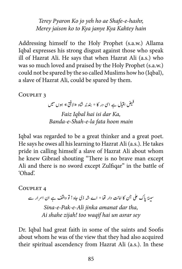*Terey Pyaron Ko jo yeh ho ae Shafe-e-hashr, hain Kahtey Kya janye Kya to ko jaison Merey*

Addressing himself to the Holy Prophet (s.a.w.) Allama Iqbal expresses his strong disgust against those who speak ill of Hazrat Ali. He says that when Hazrat Ali (a.s.) who was so much loved and praised by the Holy Prophet (s.a.w.) could not be spared by the so called Muslims how ho (Iqbal), a slave of Hazrat Ali, could be spared by them.

COUPLET<sub>3</sub>

اقبال ہے اسی در کا \* بندئہ شاہ «لافق» ہوں میں فيض<br>ميض *Faiz Iqbal hai isi dar Ka, main hoon fata la-e-Shah-e-Banda*

Iqbal was regarded to be a great thinker and a great poet. He says he owes all his learning to Hazrat Ali (a.s.). He takes pride in calling himself a slave of Hazrat Ali about whom he knew Gibrael shouting "There is no brave man except Ali and there is no sword except Zulfiqar" in the battle of .'Ohad'

COUPLET<sub>4</sub>

سینۂ پاک علی جن کا امانت دار تھا \* اے شہ ذی جاہ ! تو واقف ہے ان اسرار سے Sina-e-Pak-e-Ali jinka amanat dar tha, Ai shahe zijah! too waqif hai un asrar sev

Dr. Iqbal had great faith in some of the saints and Soofis about whom he was of the view that they had also acquired their spiritual ascendency from Hazrat Ali (a.s.). In these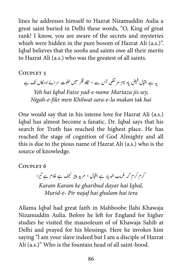lines he addresses himself to Hazrat Nizamuddin Aulia a great saint buried in Delhi these words, "O, King of great rank! I know, you are aware of the secrets and mysteries whieh were hidden in the pure bosom of Hazrat Ali (a.s.)". Iqbal believes that the soofis and saints owe all their merits to Hazrat Ali (a.s.) who was the greatest of all saints.

COUPLET<sub>5</sub>

یاد نام مر تضی جس سے ٭ نگاہ فکر میں خلوت سرائے لامکاں تک ہے یہ ہے اقبال فیض<br>\* *Yeh hai Iqbal Faize vad-e-name Murtaza jis sev,* 

*Nigah-e-fikr men Khilwat sara-e-la makan tak hai* 

One would say that in his inteme love for Hazrat Ali (a.s.) Iqbal has almost become a fanatic. Dr. Iqbal says that his search for Truth has reached the highest place. He has reached the stage of cognition of God Almighty and all this is due to the pious name of Hazrat Ali (a.s.) who is the source of knowledge.

COUPLET<sub>6</sub> ت

کرم کرم کہ غریب الدیار ہے ا**قبا**ل \* مرید پیر نجف ہے غلام ہے تیرا *Karam Karam ke gharibud dayar hai Iqbal, Murid-e- Pir najaf hai ghulam hai tera* 

Allama Iqbal had great faith in Mahboobe Ilahi Khawaja Nizamuddin Aulia. Before he left for England for higher studies he visited the mausoleum of of Khawaja Sahib at Delhi and prayed for his blessings. Here he invokes him saying "I am your slave indeed but I am a disciple of Hazrat Ali (a.s.)" Who is the fountain head of all saint-hood.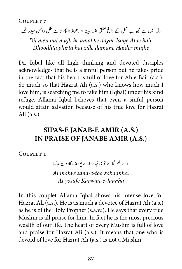COUPLET<sub>7</sub>

دل میں ہے مجھ بے عمل کے داغ عشق اہل بیت ٭ ڈھونڈ تا پھر تا ہے ظل دامن حیدر <u>مجھ</u> ی

*Dil men hai mujh be amal ke daghe Ishqe Ahle bait, mujhe Haider damane zille hai phirta Dhoodhta*

Dr. Iqbal like all high thinking and devoted disciples acknowledges that he is a sinful person but he takes pride in the fact that his heart is full of love for Ahle Bait (a.s.). So much so that Hazrat Ali (a.s.) who knows how much I love him, is searching me to take him (Iqbal) under his kind refuge. Allama Iqbal believes that even a sinful person would attain salvation because of his true love for Hazrat Ali $(a.s.).$ 

## **SIPAS-E JANAB-E AMIR (A.S.) IN PRAISE OF JANABE AMIR (A.S.)**

COUPLET<sub>1</sub>

اے محو ثنائے تو زبانہا \* اے یوسف کاروان جانہا

Ai mahve sana-e-too zabaanha, Ai yosufe Karwan-e-Jaanha

In this couplet Allama Iqbal shows his intense love for Hazrat Ali (a.s.). He is as much a devotee of Hazrat Ali (a.s.). as he is of the Holy Prophet (s.a.w.). He says that every true Muslim is all praise for him. In fact he is the most precious wealth of our life. The heart of every Muslim is full of love and praise for Hazrat Ali (a.s.). It means that one who is devoid of love for Hazrat Ali (a.s.) is not a Muslim.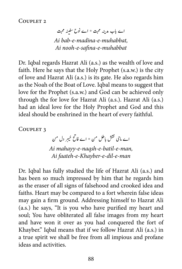COUPLET<sub>2</sub>

اے باب مدینہ محبت \* اے نوح سفینہ محبت Ai hah-e-madina-e-muhah hat *muhabbat-e-safina-e-nooh Ai*

Dr. Iqbal regards Hazrat Ali (a.s.) as the wealth of love and faith. Here he says that the Holy Prophet (s.a.w.) is the city of love and Hazrat Ali (a.s.) is its gate. He also regards him as the Noah of the Boat of Love. Igbal means to suggest that love for the Prophet (s.a.w.) and God can be achieved only through the for love for Hazrat Ali (a.s.). Hazrat Ali (a.s.) had an ideal love for the Holy Prophet and God and this ideal should be enshrined in the heart of every faithful.

COUPLET<sub>3</sub>

بر دل من خ اے ماحی نفش باطل ممن \* اے فاتح خیبر *,man-e-batil-e-naqsh-e-mahayy Ai* Ai faateh-e-Khayber-e-dil-e-man

Dr. Iqbal has fully studied the life of Hazrat Ali (a.s.) and has been so much impressed by him that he regards him as the eraser of all signs of falsehood and crooked idea and faiths. Heart may be compared to a fort wherein false ideas may gain a firm ground. Addressing himself to Hazrat Ali  $(a.s.)$  he says, "It is you who have purified my heart and soul; You have obliterated all false images from my heart and have won it over as you had conquered the fort of Khayber." Iqbal means that if we follow Hazrat Ali (a.s.) in a true spirit we shall be free from all impious and profane ideas and activities.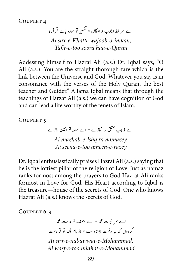COUPLET<sub>4</sub>

اے سر خط وجوب و امکان \* تفسیر تو سورہ ہائے قر آن ت ; Ai sirr-e-Khatte wajoob-o-imkan, *Quran-e-haa soora too-e-Tafir*

Addessing himself to Hazrai Ali (a.s.) Dr. Iqbal says, "O Ali (a.s.). You are the straight thorough-fare which is the link between the Universe and God. Whatever you say is in consonance with the verses of the Holy Quran, the best teacher and Guider." Allama Iqbal means that through the teachings of Harzat Ali (a.s.) we can have cognition of God and can lead a life worthy of the tenets of Islam.

COUPLET<sub>5</sub>

اے مذہب عشق را نمازے \* اے سینہ تو امین رازے *Ai mazhab-e-Ishq ra namazey,* Ai seena-e-too ameen-e-razey

Dr. Iqbal enthusiastically praises Hazrat Ali (a.s.) saying that he is the loftiest pillar of the religion of Love. Just as namaz ranks formost among the prayers to God Hazrat Ali ranks formost in Love for God. His Heart according to Igbal is the treasure—house of the secrets of God. One who knows Hazrat Ali (a.s.) knows the secrets of God.

COUPLET 6-9

اے س نبوت محمہ \* اے وصف تو مدحت محمه تگردوں کہ بہ رفعت ایستادست \* از بام بلند تو فماّ دست Ai sirr-e-nabuwwat-e-Mohammad, Ai wasf-e-too midhat-e-Mohammad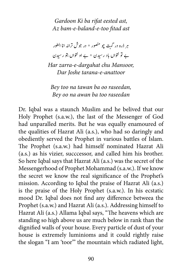*Gardoon Ki ba rifat eested ast,* Az bam-e-baland-e-too fitad ast

بر ذرہ در گہت چو منصور \* در جوش ترانہ انا الطور ے تو نتواں باد رسیدن \* بے او نتواں بتو رسیدن Har zarra-e-dargahat chu Mansoor, *Dar Joshe tarana-e-anattoor* 

*Bey too na tawan ba oo raseedan,* Bey oo na awan ba too raseedan

Dr. Iqbal was a staunch Muslim and he belived that our Holy Prophet (s.a.w.), the last of the Messenger of God had unparalled merits. But he was equally enamoured of the qualities of Hazrat Ali (a.s.), who had so daringly and obediently served the Prophet in various battles of Islam. The Prophet (s.a.w.) had himself nominated Hazrat Ali  $(a.s.)$  as his vizier, successor, and called him his brother. So here Iqbal says that Hazrat Ali (a.s.) was the secret of the Messengerhood of Prophet Mohammad (s.a.w.). If we know the secret we know the real significance of the Prophet's mission. According to Iqbal the praise of Hazrat Ali (a.s.) is the praise of the Holy Prophet (s.a.w.). In his ecstatic mood Dr. Iqbal does not find any difference betweea the Prophet (s.a.w.) and Hazrat Ali (a.s.). Addressing himself to Hazrat Ali (a.s.) Allama Iqbal says, "The heavens which are standing so high above us are much below in rank than the dignified walls of your house. Every particle of dust of your house is extremely luminioms and it could rightly raise the slogan "I am 'toor" the mountain which radiated light,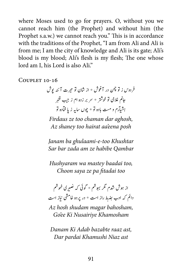where Moses used to go for prayers. O, without you we cannot reach him (the Prophet) and without him (the Prophet s.a.w.) we cannot reach you." This is in accordance with the traditions of the Prophet, "I am from Ali and Ali is from me; I am the city of knowledge and Ali is its gate; Ali's blood is my blood; Ali's flesh is my flesh; The one whose lord am I, his Lord is also Ali."

 $C$ OUPLET  $10-16$ 

فردوس ز تو چمن در آغوش \* از شان تو حیرت آئنہ پوش جانم غلامی تو خوشتر \* سر بر زدہ ام ز جیب قنبر ہشیآرم و مست بادہ تو ٭ چوں سایہ زیاٍ فتادہ تو ش

*Firdaus ze too chaman dar aghosh,* Az shaney too hairat aa'eena posh

Janam ba ghulaami-e-too Khushtar *Qambar habibe ze am zada bar Sar*

*Hushyaram wa mastey baadai too, Choon saya ze pa fitadai too* 

از ہوش شدم مگر بہوشم \* گوئی کہ نصیری خموشم ن المستخدم المستخدم المستخدم المستخدم المستخدم المستخدم المستخدم المستخدم المستخدم المستخدم المستخدم المستخدم ا<br>المستخدم المستخدم المستخدم المستخدم المستخدم المستخدم المستخدم المستخدم المستخدم المستخدم المستخدم المستخدم ا j<br>J <sub>بط را</sub>ز است \* در پردہ خامشی نیاز است ۔<br>دائم کہ ادب ہف Az hosh shudam magar bahosham, Go'ee Ki Nusairiye Khamosham

Danam Ki Adab bazabte raaz ast. *ast Niaz Khamushi pardai Dar*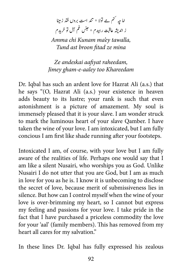اما جہ <sup>کنم</sup> ہے تولا \* تند ا*ست بر*وں فتد زمینا ز اندیشہ عاقبت رہیدم \* حبنں غم آل تو خریدم ش

Amma chi Kunam ma'ey tawalla, **Tund ast broon fitad ze mina** 

Ze andeskai aafiyat raheedam, *Jimey gham-e-aaley too Khareedam* 

Dr. Iqbal has such an ardent love for Hazrat Ali (a.s.) that he says "(O, Hazrat Ali (a.s.) your existence in heaven adds beauty to its lustre; your rank is such that even astonishment is a picture of amazement. My soul is immensely pleased that it is your slave. I am wonder struck to mark the luminous heart of your slave Qamber. I have taken the wine of your love. I am intoxicated, but I am fully concious I am first like shade running after your footsteps.

Intoxicated I am, of course, with your love but I am fully aware of the realities of life. Perhaps one would say that I am like a silent Nusairi, who worships you as God. Unlike Nusairi I do not utter that you are God, but I am as much in love for you as he is. I know it is unbecoming to disclose the secret of love, because merit of submissiveness lies in silence. But how can I control myself when the wine of your love is over-brimming my heart, so I cannot but express my feeling and passions for your love. I take pride in the fact that I have purchased a priceless commodity the love for your 'aal' (family members). This has removed from my heart all cares for my salvation."

In these lines Dr. Iqbal has fully expressed his zealous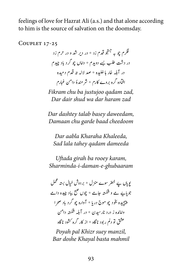feelings of love for Hazrat Ali (a.s.) and that alone according to him is the source of salvation on the doomsday.

COUPLET 17-25

فکرم چو بہ جتجو قدم زد \* در دیر شد و در حرم زد در دشت طلب بسے دوبدم \* داماں چو گرد یاد چیدم . . .<br>در آبلہ خار ہا خلیدہ \* صد لالہ تہ قدم دمیدہ افیآدہ گرہ بروے کارم \* شر مندۂ دامن غمارم

*Fikram chu ba justujoo qadam zad,* Dar dair shud wa dar haram zad

*Dar dashtey talab basey daweedam, cheedoom baad garde chu Damaan*

Dar aabla Kharaha Khaleeda, *dameeda qadam tahey lala Sad*

*Uftada girah ba rooey karam, ghubaaram-e-daman-i-Sharminda*

ل بستہ لحمل خ پویاں یے خضر سوے منزل \* بردوش جوبایے مے و شکستہ جامے \* چوں صبح بیاد چیدہ دامے پيچيده بخود چو موج دريا \* آواره چو گرد باد صحرا ی واامدنہ ز درد انرسدن \* در آہلب ہتسکش دانم عشق تو دلم رپود ناگاہ ٭ از کار گرہ <sup>ر</sup>شود ناگاہ

*Poyah pal Khizr suey manzil, mahmil basta Khayal doshe Bar*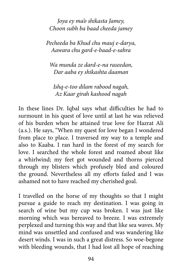*Joya ey ma'o shikasta Jamey, Choon subh ba baad cheeda jamey* 

*Pecheeda ba Khud chu mauj e-darya,* Aawara chu gard-e-baad-e-sahra

*<u>Wa munda ze dard-e-na raseedan,</u> daaman shikashta ey aaba Dar*

Ishq-e-too dilam rabood nagah, Az Kaar girah kashood nagah

In these lines Dr. Iqbal says what difficulties he had to surmount in his quest of love until at last he was relieved of his burden when he attained true love for Hazrat Ali  $(a.s.).$  He says, "When my quest for love began I wondered from place to place. I traversed my way to a temple and also to Kaaba. I ran hard in the forest of my search for love. I searched the whole forest and roamed about like a whirlwind; my feet got wounded and thorns pierced through my blisters which profusely bled and coloured the ground. Nevertheless all my efforts failed and I was ashamed not to have reached my cherished goal.

I travelled on the horse of my thoughts so that I might pursue a guide to reach my destination. I was going in search of wine but my cup was broken. I was just like morning which was bereaved to breeze. I was extremely perplexed and turning this way and that like sea waves. My mind was unsettled and confused and was wandering like desert winds. I was in such a great distress. So woe-begone with bleeding wounds, that I had lost all hope of reaching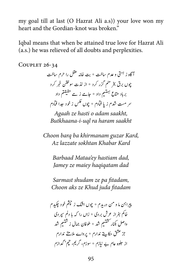my goal till at last (O Hazrat Ali a.s)) your love won my heart and the Gordian-knot was broken."

Iqbal means that when be attained true love for Hazrat Ali (a.s.) he was relieved of all doubts and perplexities.

COUPLET 26-34

آگاہ ز ہستی و عدم ساخت \* بت خانہ عقل را حرم ساخت جوں برق بخر منم گزر کرد ٭ از لذت سوختن خمر کرد برباد متاع ُ ہنت<mark>ہ</mark> داد ٭ جامے ز مے حقیقتم داد ت ت سر مست شدم ز با ف<u>آد</u>م \* چوں <sup>عکس</sup> ز خود جدا ف<u>آد</u>م

Agaah ze hasti o adam saakht. *saakht haram ra uql-i-Butkhaana*

*Choon barq ba khirmanam guzar Kard, Kard Khabar sokhtan lazzate Az*

Barbaad Mataa'ey hastiam dad, *Jamey ze maiey haqiqatam dad* 

*,fitadam pa ze shudam Sarmast Choon aks ze Khud juda fitadam* 

پیراہن ما و من دربدم \* چوں اٹنگ ز حپثم خود چکدم خاکم بفراز عرش بردی \* زاں را کہ یا دلم سپر دی واصل بکنار تشتیم شد \* طوفان جمال ز شتیم شد ت ش ت ش .<br>جز عشق حکایتے ندارم \* پرواے ملامتے ندارم یاز جلوہ عام بے نیازم \* سوزم، کریم، تپم' گدازم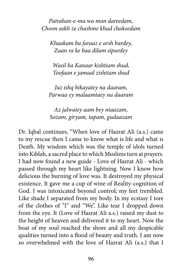Pairahan-e-ma wa man dareedam, *Choon askh ze chashme khud chakeedam* 

*Khaakam ba faraaz e arsh bardey, sipurdey dilam baa ke ra Zaan*

*Wasil ba Kanaar kishtiam shud. shud zishtiam jamaal e Toofaan*

Juz ishq hikayatey na daaram, *Parwaa ey malaamtaey na daaram* 

*,niaazam bey aam jalwaiey Az gudaazam ,tapam ,giryam ,Sozam*

Dr. Igbal continues, "When love of Hazrat Ali (a.s.) came to my rescue then I came to know what is life and what is Death. My wisdom which was the temple of idols turned into Kiblah, a sacred place to which Muslims turn at prayers. I had now found a new guide - Love of Hazrat Ali - which passed through my heart like lightning. Now I know how delicious the burning of love was. It destroyed my physical existence. It gave me a cup of wine of Reality-cognition of God. I was intoxicated beyond control; my feet trembled. Like shade I separated from my body. In my ecstasy I tore of the clothes of "I" and "We". Like tear I dropped down from the eye. It (Love of Hasrat Ali a.s.) raised my dust to the height of heaven and delivered it to my heart. Now the boat of my soul reached the shore and all my despicable qualities turned into a flood of beauty and truth. I am now so overwhelmed with the love of Hazrat Ali (a.s.) that I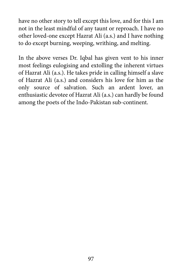have no other story to tell except this love, and for this I am not in the least mindful of any taunt or reproach. I have no other loved-one except Hazrat Ali (a.s.) and I have nothing to do except burning, weeping, writhing, and melting.

In the above verses Dr. Iqbal has given vent to his inner most feelings eulogising and extolling the inherent virtues of Hazrat Ali (a.s.). He takes pride in calling himself a slave of Hazrat Ali (a.s.) and considers his love for him as the only source of salvation. Such an ardent lover, an enthusiastic devotee of Hazrat Ali (a.s.) can hardly be found among the poets of the Indo-Pakistan sub-continent.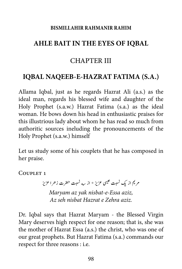#### **RISMILLAHIR RAHMANIR RAHIM**

# **IQBAL AHLE BAIT IN THE EYES OF IOBAL**

## CHAPTER III

# **IOBAL NAOEEB-E-HAZRAT FATIMA (S.A.)**

Allama Iqbal, just as he regards Hazrat Ali (a.s.) as the ideal man, regards his blessed wife and daughter of the Holy Prophet (s.a.w.) Hazrat Fatima (s.a.) as the ideal woman. He bows down his head in enthusiastic praises for this illustrious lady about whom he has read so much from authoritic sources ineluding the pronouncements of the Holy Prophet (s.a.w.) himself

Let us study some of his couplets that he has composed in her praise.

COUPLET<sub>1</sub>

مریم از یک نسبت عیسی عزیز \* از سه نسبت حضرت زحرا عزیز *Maryam az yak nisbat-e-Essa aziz, Az seh nishat Hazrat e Zehra aziz* 

Dr. Iqbal says that Hazrat Maryam - the Blessed Virgin Mary deserves high respect for one reason; that is, she was the mother of Hazrat Essa (a.s.) the christ, who was one of our great prophets. But Hazrat Fatima (s.a.) commands our respect for three reasons : i.e.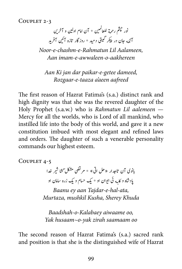COUPLET 2-3

ن ی و آرخ� ی \* آن اامم ا ول ی� م� ة اعلل م ونر مشچ رح ئ ل آنکه جان در پیکر گیتی دمید \* روزگار تازه آئین آفرید ی ت ن

*Noor-e-chashm-e-Rahmatun Lil Aalameen, aakhereen-o-awwaleen-e-imam Aan*

Aan Ki jan dar paikar-e-getee dameed, *aafreed aeen'a taaza-e-Rozgaar*

The first reason of Hazrat Fatima's (s.a.) distinct rank and high dignity was that she was the revered daughter of the Holy Prophet (s.a.w.) who is Rahmatun Lil aalemeen — Mercy for all the worlds, who is Lord of all mankind, who instilled life into the body of this world, and gave it a new constitution imbued with most elegant and refined laws and orders. The daughter of such a venerable personality commands our highest esteem.

COUPLET 4-5

بانوی آن تاجدار «حل اتی» \* مرتضی مشکل سَمَتا شیر خدا ش �ا ش یادشاه و کلبه ئی ایوان او \* یک حسام و یک زره سامان او

Baanu ey aan Tajdar-e-hal-ata, *Murtaza, mushkil Kusha, Sherey Khuda* 

 *,oo aiwaame Kalabaey-o-Baadshah oo saamaam zirah yak-o~husaam Yak*

The second reason of Hazrat Fatima's (s.a.) sacred rank and position is that she is the distinguished wife of Hazrat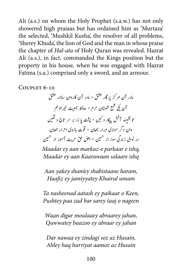Ali (a.s.) on whom the Holy Prophet (s.a.w.) has not only showered high praiaas but has ordained him as 'Murtaza' the selected, 'Mushkil Kusha', the resolver of all problems, 'Sherey Khuda', the lion of God and the man in whose praise the chapter of *Hal-ata* of *Holy Quran was revealed*. Hazrat Ali (a.s.), in fact, commanded the Kings position but the property in his house, when he was engaged with Hazrat Fatima (s.a.) comprised only a sword, and an armour.

COUPLET 6-10

مادر آن مرکز پر گار عشق \* مادر آن کاروان سالار عشق ی االمم ت<br>آن یکی شمع شبستان حرم \* حافظ جمعیت خیر تا نشیند آتش پیکار و کین \* پشت پا زد بر سر تاج و نگین ن ش � وان دگر مولای ابرار جھان \* قوت بازوی احرار جھان ن تدر نوای زندگی سوز از <sup>حس</sup>ین ٭ ا*هل حق حری*ت آموز از تحسین ی

*Maadar ey aan markaz-e parkaar e ishq, Maadar ey aan Kaarawaan salaare ishq* 

*Aan yakey sham'ey shabistaane haram, Haafiz ey jamiyyatey Khairul umam* 

*Ta nasheenad aatash ey paikaar o Keen,* Pushtey paa zad bar sarey taaj o nageen

*Waan digar moulaaey abraarey jahan, jahan ey abraar ey baazoo Quwwatey*

*Dar nawaa ey zindagi soz az Husain, Ahley haq hurriyat aamoz az Husain*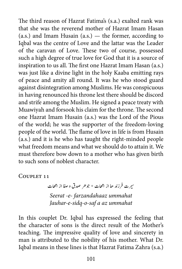The third reason of Hazrat Fatima's (s.a.) exalted rank was that she was the reverend mother of Hazrat Imam Hasan (a.s.) and Imam Husain  $(a.s.)$  — the former, according to Iqbal was the centre of Love and the lattar was the Leader of the caravan of Love. These two of course, possessed such a high degree of true love for God that it is a source of inspiration to us all. The first one Hazrat Imam Hasan (a.s.) was just like a divine light in the holy Kaaba emitting rays of peace and amity all round. It was he who stood guard against disintegration among Muslims. He was conspicuous in having renounced his throne lest there should be discord and strife among the Muslim. He signed a peace treaty with Muawiyah and forsook his claim for the throne. The second one Hazrat Imam Husain (a.s.) was the Lord of the Pious of the world; he was the supporter of the freedom-loving people of the world. The flame of love in life is from Husain  $(a.s.)$  and it is he who has taught the right-minded people what freedom means and what we should do to attain it. We must therefore bow down to a mother who has given birth to such sons of noblest character.

COUPLET 11

سیرت فرزند حا از امھات \* جو حر صدق و صفا از امھات **Seerat -e- farzandahaaz ummahat** Jauhar-e-sidq-o-saf a az ummahat

In this couplet Dr. Iqbal has expressed the feeling that the character of sons is the direct result of the Mother's teaching. The impressive quality of love and sincerety in man is attributed to the nobility of his mother. What Dr. Iqbal means in these lines is that Hazrat Fatima Zahra (s.a.)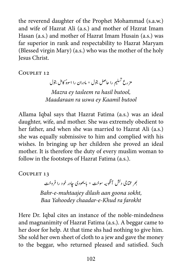the reverend daughter of the Prophet Mohammad (s.a.w.) and wife of Hazrat Ali (a.s.) and mother of Hzzrat Imam Hasan (a.s.) and mother of Hazrat Imam Husain (a.s.) was far superior in rank and respectability to Hazrat Maryam (Blessed virgin Mary) (a.s.) who was the mother of the holy **Jesus Christ.** 

COUPLET 12

مزرع تسلیم را حاصل بتول \* مادران را اسوهٔ کامل بتول ت

*Mazra ey tasleem ra hasil butool, Maadaraan ra uswa ey Kaamil butool* 

Allama Iqbal says that Hazrat Fatima (a.s.) was an ideal daughter, wife, and mother. She was extremely obedient to her father, and when she was married to Hazrat Ali (a.s.) she was equally submissive to him and complied with his wishes. In bringing up her children she proved an ideal mother. It is therefore the duty of every muslim woman to follow in the footsteps of Hazrat Fatima (a.s.).

COUPLET 13

بھر مختاجی دلش آنگونه سوخت \* با یھودی چادر خود را فروخت Bahr-e-muhtaajey dilash aan goona sokht, *farokht ra Khud-e-chaadar Yahoodey Baa*

Here Dr. Iqbal cites an instance of the noble-mindedness and magnanimity of Hazrat Fatima (a.s.). A beggar came to her door for help. At that time shs had nothing to give him. She sold her own sheet of cloth to a jew and gave the money to the beggar, who returned pleased and satisfied. Such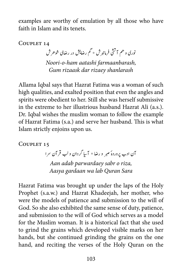examples are worthy of emulation by all those who have faith in Islam and its tenets.

COUPLET 14

.<br>نوری و هم آتش فرمانبر ش \* گم رضایش در رضای شو هر ش *,farmaanbarash aatashi ham-o-Noori shanlarash rizaey dar rizaask Gum*

Allama Iqbal says that Hazrat Fatima was a woman of such high qualities, and exalted position that even the angles and spirits were obedient to her. Still she was herself submissive in the extreme to her illustrious husband Hazrat Ali (a.s.). Dr. Iqbal wishes the muslim woman to follow the example of Hazrat Fatima (s.a.) and serve her husband. This is what Islam strictly enjoins upon us.

COUPLET 15

آن ادب پروردهٔ صبر و رضا \* آسا گردان و لب قرآن سرا *Aan adab parwardaey sabr o riza, Sara Quran lab wa gardaan Aasya*

Hazrat Fatima was brought up under the laps of the Holy Prophet (s.a.w.) and Hazrat Khadeejah, her mother, who were the models of patience and submission to the will of God. So she also exhibited the same sense of duty, patience, and submission to the will of God which serves as a model for the Muslim woman. It is a historical fact that she used to grind the grains which developed visible marks on her hands, but she continued grinding the grains on the one hand, and reciting the verses of the Holy Quran on the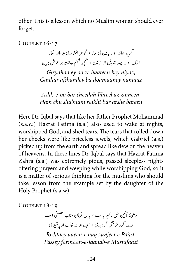other. This is a lesson which no Muslim woman should ever forget.

COUPLET 16-17

گر یه حای او ز بالین نی نیاز \* گوهر افشاندی بدامان نماز یه<br>اختک او بر چید جبریل از زمین \* همچو شنبنم ریخت بر عرش برین م

*Girvahaa ev oo ze baateen bey nivaz.* Gauhar afshandey ba doamaaney namaaz

*Ashk-e-oo bar cheedah Jibreel az zameen, Ham chu shahnam raikht har arshe hareen* 

Here Dr. Iqbal says that like her father Prophet Mohammad  $(s.a.w.)$  Hazrat Fatima  $(s.a.)$  also used to wake at nights, worshipped God, and shed tears. The tears that rolled down her cheeks were like priceless jewels, which Gabriel (a.s.) picked up from the earth and spread like dew on the heaven of heavens. In these lines Dr. Iqbal says that Hazrat Fatima Zahra (s.a.) was extremely pious, passed sleepless nights offering prayers and weeping while worshipping God, so it is a matter of serious thinking for the muslims who should take lesson from the example set by the daughter of the Holy Prophet (s.a.w).

COUPLET 18-19

حق زنجیر پاست \* پاس فرمان جناب مصطفی است ی  $\mathcal{L}^{\pm}$ رشتهُ آئين ت ش در <sub>نه</sub> گرد تر بتش گردید می \* سجده حا بر خاک او پاِشید می ش تش

*Rishtaey aaeen-e haq zanjeer e Pa'ast, Mustafaast e-jaanab-e-farmaan Passey*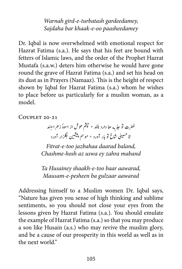*Warnah gird-e-turbatash gardeedamey, paasheedamey oo-e-khaak bar Sajdaha*

Dr. Iqbal is now overwhelmed with emotional respect for Hazrat Fatima (s.a.). He says that his feet are bound with fetters of Islamic laws, and the order of the Prophet Hazrat Mustafa (s.a.w.) deters him otherwise he would have gone round the grave of Hazrat Fatima (s.a.) and set his head on its dust as in Prayers (Namaaz). This is the height of respect shown by Iqbal for Hazrat Fatima (s.a.) whom he wishes to place before us particularly for a muslim woman, as a .model

COUPLET 20-21

فطرت تو جذبه ها دارد بلند \* حجيثم هوش از اسوهُ زهرا مبند رت و پدنپه با رورد \* موسم پیشین بگزار آورد<br>تا حسینی شاخ تو بار آورد \* موسم پیشین بگزار آورد ش

 *,baland daarad jazbahaa too-e-Fitrat Chashme-hosh az uswa ey zahra maband* 

Ta Husainey shaakh-e-too baar aawarad, *Mausam-e-pesheen ba gulzaar aawarad* 

Addressing himself to a Muslim women Dr. Iqbal says, "Nature has given you sense of high thinking and sublime sentiments, so you should not close your eyes from the lessons given by Hazrat Fatima (s.a.). You should emulate the example of Hazrat Fatima (s.a.) so that you may produce a son like Husain (a.s.) who may revive the muslim glory, and be a cause of our prosperity in this world as well as in the next world."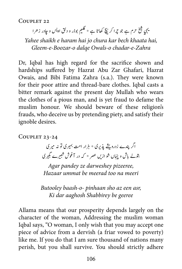حرم ہے جو چرا کر نیچ کھاتا ہے \* گلیم بوذر و دلق اویس و چادر زحرا ب ش يخ ہيهي شجيخ

Yahee shaikh e haram hai jo chura kar bech khaata hai, Gleem-e-Boozar-o dalqe Owals-o chadar-e-Zahra

Dr, Iqbal has high regard for the sacrifice shown and hardships suffered by Hazrat Abu Zar Ghafari, Hazrat Owais, and Bibi Fatima Zahra (s.a.). They were known for their poor attire and thread-bare clothes. Iqbal casts a bitter remark against the present day Mullah who wears the clothes of a pious man, and is yet fraud to defame the muslim honour. We should beware of these religion's frauds, who deceive us by pretending piety, and satisfy their ignoble desires.

COUPLET 23-24

شاگر پندے زدرویشے پذیری ٭ ہزار امت بہیری تو نہ میری بتولے باش و پنہاں شو ازیں عصر \* کہ در آغوش شبیرے مجیری ش

*Agar pandey ze darweshey pizeeree, Hazaar ummat be meerad too na meeri* 

*Butooley baash-o- pinhaan sho az een asr,* Ki dar aaghosh Shabbirey be geeree

Allama means that our prosperity depends largely on the character of the woman, Addressing the muslim woman Iqbal says, "O woman, I only wish that you may accept one piece of advice from a dervish (a friar vowed to poverty) like me. If you do that I am sure thousand of nations many perish, but you shall survive. You should strictly adhere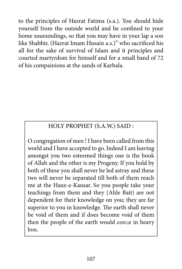to the principles of Hazrat Fatima (s.a.). You should hide yourself from the outside world and be confined to your home suuoundings, so that you may have in your lap a son like Shabbir, (Hazrat Imam Husain a.s.)" who sacrificed his all for the sake of survival of Islam and it principles and courted martyrdom for himself and for a small band of 72 of his compainions at the sands of Karbala.

# HOLY PROPHET (S.A.W.) SAID:

O congregation of men ! I have been called from this world and I have accepted to go. Indeed I am leaving amongst you two esteemed things one is the book of Allah and the other is my Progeny. If you hold by both of these you shall never be led astray and these two will never be separated till both of them reach me at the Hauz-e-Kausar. So you people take your teachings from them and they (Ahle Bait) are not dependent for their knowledge on you; they are far superior to you in knowledge. The earth shall never be void of them and if does become void of them then the people of the earth would coo:; e in heavy .loss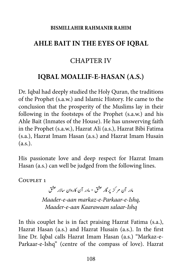#### **RISMILLAHIR RAHMANIR RAHIM**

### **IQBAL AHLE BAIT IN THE EYES OF IQBAL**

## **CHAPTER IV**

### **(OBAL MOALLIF-E-HASAN (A.S.)**

Dr. Iqbal had deeply studied the Holy Quran, the traditions of the Prophet (s.a.w.) and Islamic History. He came to the conclusion that the prosperity of the Muslims lay in their following in the footsteps of the Prophet (s.a.w.) and his Ahle Bait (Inmates of the House). He has unswerving faith in the Prophet (s.a.w.), Hazrat Ali (a.s.), Hazrat Bibi Fatima (s.a.), Hazrat Imam Hasan (a.s.) and Hazrat Imam Husain  $(a.s.).$ 

His passionate love and deep respect for Hazrat Imam Hasan (a.s.) can well be judged from the following lines.

COUPLET<sub>1</sub>

مادر آن مرکز پر گار عشق \* مادر آن کاروان سالار عشق *Maader-e-aan markaz-e-Parkaar-e-Ishq, Maader-e-aan Kaarawaan salaar-Ishq* 

In this couplet he is in fact praising Hazrat Fatima  $(s.a.)$ , Hazrat Hasan (a.s.) and Hazrat Husain (a.s.). In the first Parkaar-e-Ishq" (centre of the compass of love). Hazrat line Dr. Iqbal calls Hazrat Imam Hasan (a.s.) "Markaz-e-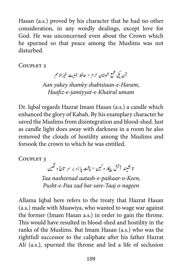Hasan (a.s.) proved by his character that he had no other consideration, in any wordly dealings, except love for God. He was unconcerned even about the Crown which he spurned so that peace among the Muslims was not .disturbed

COUPLET<sub>2</sub>

ی االمم ۔<br>آن یکی شمع شبستان حرم \* حافظ جمعیت خیر Aan yakey sham'ey shabistaan-e-Haram,  *umam Khairul-e-jamiyyat-e-Haafiz*

Dr. Iqbal regards Hazrat Imam Hasan (a.s.) a candle which enhanced the glory of Kabah. By his examplary character he saved the Muslims from disintegration and blood-shed. Just as candle light does away with darkness in a room he also removed the clouds of hostility among the Muslims and forsook the crown to which he was entitled.

COUPLET<sub>3</sub>

تا نشیند آتش پیکار و کین \* پشت پا زد بر سر تاج و نگین ن ش � Taa nasheenad aatash-e-paikaar-o-Keen, Pusht-e-Paa zad bar sare-Taaj o-nageen

Allama Iqbal here refers to the treaty that Hazrat Hasan  $(a.s.)$  made with Muawiya, who wanted to wage war against the former (Imam Hasan a.s.) in order to gain the throne. This would have resulted in blood-shed and hostility in the ranks of the Muslims. But Imam Hasan (a.s.) who was the rightfull successor to the caliphate after his father Hazrat Ali (a.s.), spurned the throne and led a life of seclusion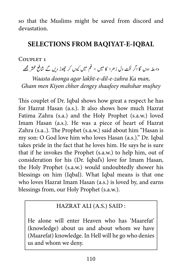so that the Muslims might be saved from discord and .devastation

# **SELECTIONS FROM BAQIYAT-E-IQBAL**

#### COUPLET<sub>1</sub>

واہطہ دوں گا اگر لخت دل زھرا کا میں \* غم میں کیوں کر چھوڑ دیں گے شافع محشر مجھے

Waasta doonga agar lakht-e-dil-e-zahra Ka man, *Gham men Kiyon chhor dengey shaafeey mahshar mujhey* 

This couplet of Dr. Iqbal shows how great a respect he has for Hazrat Hasan (a.s.). It also shows how much Hazrat Fatima Zahra (s.a.) and the Holy Prophet (s.a.w.) loved Imam Hasan (a.s.). He was a piece of heart of Hazrat Zahra (s.a..). The Prophet (s.a.w.) said about him "Hasan is my son: O God love him who loves Hasan (a.s.)." Dr. Iqbal takes pride in the fact that he loves him. He says he is sure that if he invokes the Prophet  $(s.a.w.)$  to help him, out of consideration for his (Dr. Iqbal's) love for Imam Hasan, the Holy Prophet (s.a.w.) would undoubtedly shower his blessings on him (Iqbal). What Iqbal means is that one who loves Hazrat Imam Hasan (a.s.) is loved by, and earns blessings from, our Holy Prophet (s.a.w.).

#### HAZRAT ALI (A.S.) SAID:

He alone will enter Heaven who has 'Maarefat' (knowledge) about us and about whom we have (Maarefat) knowledge. In Hell will he go who denies us and whom we deny.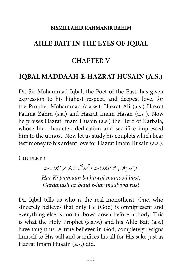#### **RISMILLAHIR RAHMANIR RAHIM**

#### **IQBAL AHLE BAIT IN THE EYES OF IOBAL**

#### **CHAPTER V**

#### **IOBAL MADDAAH-E-HAZRAT HUSAIN (A.S.)**

Dr. Sir Mohammad Iqbal, the Poet of the East, has given expression to his highest respect, and deepest love, for the Prophet Mohammad (s.a.w.), Hazrat Ali (a.s.) Hazrat Fatima Zahra (s.a.) and Hazrat Imam Hasan (a.s ). Now he praises Hazrat Imam Husain (a.s.) the Hero of Karbala, whose life, character, dedication and sacrifice impressed him to the utmost. Now let us study his couplets which bear testimoney to his ardent love for Hazrat Imam Husain (a.s.).

COUPLET 1

هر <sub>که پ</sub>هان با هوالموجود بست \* گردنش از بند هر معبود رست *Har Ki paimaan ba huwal maujood bust, rust maabood har-e band az Gardanash*

Dr. Iqbal tells us who is the real monotheist. One, who sincerely believes that only He (God) is omnipresent and everything else is mortal bows down before nobody. This is what the Holy Prophet  $(s.a.w.)$  and his Ahle Bait  $(a.s.)$ have taught us. A true believer in God, completely resigns himself to His will and sacrifices his all for His sake just as Hazrat Imam Huaain (a.s.) did.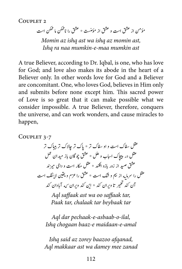COUPLET<sub>2</sub>

مؤمن از عشق است و عشق از مؤمنست \* عشق را ناممکن ما ممکن است

*Momin az ishq ast wa ishq az momin ast,* Ishq ra naa mumkin-e-maa mumkin ast

A true Believer, according to Dr. Iqbal, is one, who has love for God; and love also makes its abode in the heart of a Believer only. In other words love for God and a Believer are concomitant. One, who loves God, believes in Him only and submits before none except him. This sacred power of Love is so great that it can make possible what we consider impossible. A true Believer, therefore, conquers the universe, and can work wonders, and cause miracles to happen,

COUPLET 3-7

عقل سفاک است و او سفاک تر \* یاک تر جالاک تر بیباک تر عقل در پیچاک اساب و علل \* عشق چوگان باز میدان عمل عشق صید از زور بازو افکند \* عقل مکار است و دامی میر ند فک اس میر از در در بارد اسد به سنت را عزم است در این بیر مد<br>عقل را سرمایه از بیم و شک است \* عشق را عزم و یقین لاینفک است ن  $\ddot{\phantom{0}}$ � آن کند تعمیر تا ویران کند \* این کند ویران <sub>ک</sub>ه آبادان کند ت

Agl saffaak ast wa oo saffaak tar, *Paak tar, chalaak tar beybaak tar* 

Aql dar pechaak-e-asbaab-o-ilal,  *amal-e-maidaan e-baaz chogaan Ishq*

*Ishq said az zorey baazoo afqanad, zanad mee damey wa ast makkaar Aql*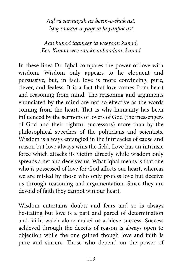*Agl ra sarmayah az beem-o-shak ast, Ishq ra azm-o-yaqeen la yanfak ast* 

*Aan kunad taameer ta weeraan kunad. kunad aabaadaan ke ran wee Kunad Een*

In these lines Dr. Iqbal compares the power of love with wisdom. Wisdom only appears to he eloquent and persuasive, but, in fact, love is more convincing, pure, clever, and fealess. It is a fact that love comes from heart and reasoning from mind. The reasoning and arguments enunciated by the mind are not so effective as the words coming from the heart. That is why humanity has been influenced by the sermons of lovers of God (the messengers of God and their rightful successors) more than by the philosophical speeches of the politicians and scientists. Wisdom is always entangled in the intricacies of cause and reason but love always wins the field. Love has an intrinsic force which attacks its victim directly while wisdom only spreads a net and deceives us. What Iqbal means is that one who is possessed of love for God affects our heart, whereas we are misled by those who only profess love but deceive us through reasoning and argumentation. Since they are devoid of faith they cannot win our heart.

Wisdom entertains doubts and fears and so is always hesitating but love is a part and parcel of determination and faith, waieh alone makei us achieve success. Success achieved through the deceits of reason is always open to objection while the one gained though love and faith is pure and sincere. Those who depend on the power of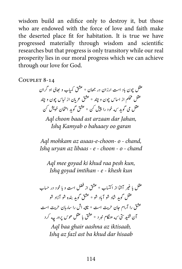wisdom build an edifice only to destroy it, but those who are endowed with the force of love and faith make the deserted place fit for habitation. It is true we have progressed materially through wisdom and scientific researches but that progress is only transitory while our real prosperity lies in our moral progress which we can achieve through our love for God.

COUPLET 8-14

عقل چون باد است ارزان در جھان \* عشق کمیاب و جای او گران عقل محکم از ا*ساس* چون و چند \* عشق عربان از لباس چون و چند ی سلمان است کسی و شوید کرده است و شوید است با سال می اینت کسی<br>عقل می گوید ک<sub>ه</sub> خود را پیش کن \* عشق گوید امتحان خویش کن ش

*Agl choon baad ast arzaan dar Jahan,* **Ishq Kamyab o bahaaey oo garan** 

*Agl mohkam az asaas-e-choon- o - chand, Ishq urvan az libaas - e - choon - o - chand* 

Aql mee goyad ki khud raa pesh kun, *kha goyad imtihan - e - khesh kun* 

ر آشا از اکتساب \* عشق از فضل است و با خود در حساب į, عقل با عير عقل گوید شاد شو آباد شو \* عشق گوید بنده شو آزاد شو عشق را آرام جان حریت است \* ناقه اش را ساربان حریت است رسی<br>رستی <sub>که</sub> هنگام نبر د<sup>ید عش</sup>ت با عقل *هو*س پرور چه کرد شن آن شنيد Agl baa ghair aashna az iktisaab, *hisaab dar khud ba ast fazl az Ishq*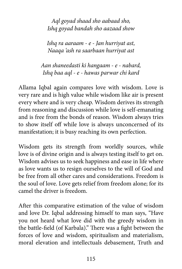Agl goyad shaad sho aabaad sho, Ishq goyad bandah sho aazaad show

*Ishq ra aaraam - e - Jan hurriyat ast, Naaqa 'ash ra saarbaan hurriyat ast* 

*Aan shaneedasti ki hangaam - e - nabard, kard baa aql - e - hawas parwar chi kard* 

Allama Iqbal again compares love with wisdom. Love is very rare and is high value while wisdom like air is present every where and is very cheap. Wisdom derives its strength from reasoning and discussion while love is self-emanating and is free from the bonds of reason. Wisdom always tries to show itself off while love is always unconcerned of its manifestation; it is busy reaching its own perfection.

Wisdom gets its strength from worldly sources, while love is of divine origin and is always testing itself to get on. Wisdom advises us to seek happiness and ease in life where as love wants us to resign ourselves to the will of God and be free from all other cares and considerations. Freedom is the soul of love. Love gets relief from freedom alone; for its camel the driver is freedom.

After this comparative estimation of the value of wisdom and love Dr. Iqbal addressing himself to man says, "Have you not heard what love did with the greedy wisdom in the battle-field (of Karbala)." There was a fight between the forces of love and wisdom, spiritualism and materialism, moral elevation and intellectuals debasement. Truth and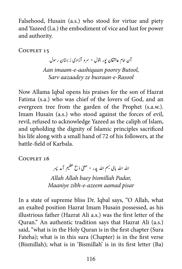Falsehood, Husain (a.s.) who stood for virtue and piety and Yazeed (l.a.) the embodiment of vice and lust for power and authority.

COUPLET 15

آن امام عاشقان بور بتول \* سرو آزادی ز بستان رسول

Aan imaam-e-aashiqaan poorey Butool, *Rasool-e-busraan ze aazaadey Sarv*

Now Allama Iqbal opens his praises for the son of Hazrat Fatima (s.a.) who was chief of the lovers of God, and an evergreen tree from the garden of the Prophet (s.a.w.). Imam Husain (a.s.) who stood against the forces of evil, revil, refused to acknowledge Yazeed as the caliph of Islam, and upholding the dignity of Islamic principles sacrificed his life along with a small hand of 72 of his followers, at the hattle-field of Karbala

COUPLET 16

الله الله بای بسم الله پدر \* معنی ذبح عظیم آمد پسر  *,Padar bismillah baey Allah Allah Maaniye zibh-e-azeem aamad pisar* 

In a state of supreme bliss Dr. Iqbal says, "O Allah, what an exalted position Hazrat Imam Husain possessed, as his illustrious father (Hazrat Ali a.s.) was the first letter of the Quran." An authentic tradition says that Hazrat Ali (a.s.) said, "what is in the Holy Quran is in the first chapter (Sura Fateha); what is in this sura (Chapter) is in the first verse (Bismillah); what is in 'Bismillah' is in its first letter  $(Ba)$ )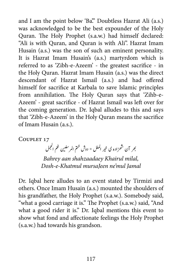and I am the point below 'Ba." Doubtless Hazrat Ali (a.s.) was acknowledged to be the best expounder of the Holy Ouran. The Holy Prophet (s.a.w.) had himself declared: "Ali is with Ouran, and Ouran is with Ali". Hazrat Imam Husain (a.s.) was the son of such an eminent personality. It is Hazrat Imam Husain's (a.s.) martyrdom which is referred to as 'Zibh-e-Azeem' - the greatest sacrifice - in the Holy Quran. Hazrat Imam Husain (a.s.) was the direct descendant of Hazrat Ismail (a.s.) and had offered himself for sacrifice at Karbala to save Islamic principles Azeem' - great sacrifice - of Hazrat Ismail was left over for from annihilation. The Holy Quran says that 'Zihb-ethe coming generation. Dr. Iqbal alludes to this and says that 'Zibh-e-Azeem' in the Holy Quran means the sacrifice of Imam Husain (a.s.).

COUPLET 17

ر الملل \* دوش ختم المرسلین لغم الحجمل ل خ <sub>جمر</sub> آن شھزادہ ی خیر ش *Bahrey aan shahzaadaey Khairul milal, Dosh-e-Khatmul mursaJeen ne'mul Jamal* 

Dr. Iqbal here alludes to an event stated by Tirmizi and others. Once Imam Husain (a.s.) mounted the shoulders of his grandfather, the Holy Prophet (s.a.w.). Somebody said, "what a good carriage it is." The Prophet (s.a.w.) said, "And what a good rider it is." Dr. Iqbal mentions this event to show what fond and affectionate feelings the Holy Prophet  $(s.a.w.)$  had towards his grandson.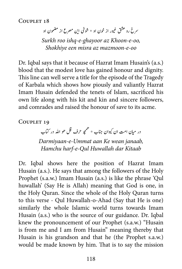در از خون او \* شوخی این مصرع از مضمون او غ سرخ رو عشق غیو *Surkh roo ishq-e-ghayoor az Khoon-e-oo, Shokhiye een misra az mazmoon-e-oo* 

Dr. Igbal says that it because of Hazrat Imam Husain's (a.s.) blood that the modest love has gained honour and dignity. This line can well serve a title for the episode of the Tragedy of Karbala which shows how piously and valiantly Hazrat Imam Husain defended the tenets of Islam, sacrificed his own life along with his kit and kin and sincere followers, and comrades and raised the honour of save to its acme.

COUPLET 19

در میان امت ان کیوان جناب \* همچو حرف قل هو الله در <sup>س</sup>آب م

*,janaab wean Ke aan Ummat-e-Darmiyaan Kitaab dar Huwallah Qul-e-harf Hamchu*

Dr. Igbal shows here the position of Hazrat Imam Husain (a.s.). He says that among the followers of the Holy. Prophet (s.a.w.) Imam Husain (a.s.) is like the phrase 'Qul huwallah' (Say He is Allah) meaning that God is one, in the Holy Quran. Since the whole of the Holy Quran turns to this verse - Oul Huwallah-o-Ahad (Say that He is one) similarly the whole Islamic world turns towards Imam Husain (a.s.) who is the source of our guidance. Dr. Iqbal knew the pronouncement of our Prophet (s.a.w.) "Husain is from me and I am from Husain" meaning thereby that Husain is his grandson and that he (the Prophet s.a.w.) would be made known by him. That is to say the mission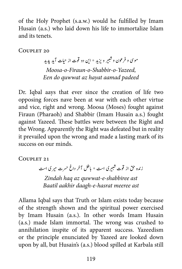of the Holy Prophet (s.a.w.) would he fulfilled by Imam Husain (a.s.) who laid down his life to immortalize Islam and its tenets.

COUPLET 20

موتی و فرعون و شبیر و یزید \* این دو قوت از حیات آید پدید ش *,Yazeed-o-Shabbir-o-Firaun-o-Moosa Fen do quwwat az hayat aamad padeed* 

Dr. Igbal aays that ever since the creation of life two opposing forces nave been at war with each other virtue and vice, right and wrong. Moosa (Moses) fought against Firaun (Pharaoh) and Shabbir (Imam Husain a.s.) fought against Yazeed. These battles were between the Right and the Wrong. Apparently the Right was defeated but in reality it prevailed upon the wrong and made a lasting mark of its success on our minds.

COUPLET 21

زنده حق از قوت شبیری است \* باطل آخر داغ حسرت میری است ش *ast shabbiree-e-quwwat az haq Zindah* **Baatil aakhir daagh-e-hasrat meeree ast** 

Allama Iqbal says that Truth or Islam exists today because of the strength shown and the spiritual power exercised by Imam Husain (a.s.). In other words Imam Husain (a.s.) made Islam immortal. The wrong was crushed to annihilation inspite of its apparent success. Yazeedism or the principle enunciated by Yazeed are looked down upon by all, but Husain's (a.s.) blood spilled at Karbala still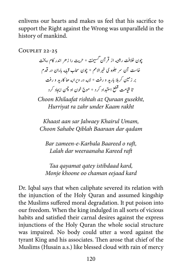enlivens our hearts and makes us feel that his sacrifice to support the Right against the Wrong was unparalleld in the history of mankind.

COUPLET 22-25

ت \* حریت را زهر اندر کام ریخت تچون خلافت رشته از قرآن *گسيجذ*<br>په ی� ش خاست آن سر جلوه ی خیرالامم \* چون سحاب قبله باران در قدم بر زمین گربلا بارید و رفت \* لا<sub>له</sub> در ویران<sub>ه</sub> حا کارید و رفت یت سنگ به مجموع است.<br>قیامت قطع استبداد کرد \* موج خون او چمن ایجاد کرد تا قيا

*Choon Khilaafat rishtah az Ouraan gusekht, Hurriyat ra zahr under Kaam rakht* 

*Khaast aan sar Jalwaey Khairul Umam, qadam dar Baaraan Qiblah Sahabe Choon*

*Bar zameen-e-Karbala Baareed o raft, raft Kareed weeraanaha dar Lalah*

Taa qayamat qatey *istibdaad kard*, *Monje khoone oo chaman eejaad kard* 

Dr. Igbal says that when caliphate severed its relation with the injunction of the Holy Quran and assumed kingship the Muslims suffered moral degradation. It put poison into our freedom. When the king indulged in all sorts of vicious habits and satisfied their carnal desires against the express injunctions of the Holy Quran the whole social structure was impaired. No body could utter a word against the tyrant King and his associates. Then arose that chief of the Muslims (Husain a.s.) like blessed cloud with rain of mercy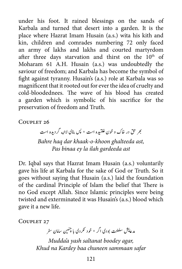under his foot. It rained blessings on the sands of Karbala and turned that desert into a garden. It is the place where Hazrat Imam Husain (a.s.) wita his kith and kin, children and comrades numbering 72 only faced an army of lakhs and lakhs and courted martyrdom after three days starvation and thirst on the  $10<sup>th</sup>$  of Moharam 61 A.H. Husain (a.s.) was undoubtedly the saviour of freedom; and Karbala has become the symbol of fight against tyranny. Husain's (a.s.) role at Karbala was so magnificent that it rooted out for ever the idea of cruelty and cold-bloodednees. The wave of his blood has created a garden which is symbolic of his sacrifice for the preservation of freedom and Truth.

COUPLET 26

لتتبیره است \* پس بنای لاا<sub>له</sub> گردیده است ت غ *بھر* حق در خاک و خون Bahre haq dar khaak-o-khoon ghalteeda ast, *ast gardeeda ilah la ey binaa Pas*

Dr. Iqbal says that Hazrat Imam Husain (a.s.) voluntarily gave his life at Karbala for the sake of God or Truth. So it goes without saying that Husain (a.s.) laid the foundation of the cardinal Principle of Islam the belief that There is no God except Allah. Since Islamic principles were being twisted and exterminated it was Husain's (a.s.) blood which gave it a new life.

COUPLET 27

ر<br>مدعایش سلطنت بودی اگر ٭ خود نکردی با چنتین سامان سفر

*Mudda'a yash saltanat boodey agar, safar sammaan chuneen baa Kardey na Khud*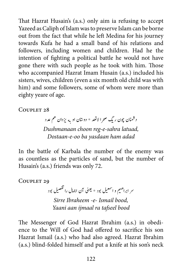That Hazrat Husain's (a.s.) only aim ia refusing to accept Yazeed as Caliph of Islam was to preserve Islam can be borne out from the fact that while he left Medina for his journey towards Kufa he had a small band of his relations and followers, including women and children. Had he the intention of fighting a political battle he would not have gone there with such people as he took with him. Those who accompanied Hazrat Imam Husain (a.s.) included his sisters, wives, children (even a six month old child was with him) and some followers, some of whom were more than eighty yeare of age.

COUPLET 28

د شمنان چون ريگ صحر الاتعد \* دوستان او په یزدان هم عدد  *,latuad sahra-e-reg choon Dushmanaan* Dostaan-e-oo ba yasdaan ham adad

In the battle of Karbala the number of the enemy was as countless as the particles of sand, but the number of Husain's (a.s.) friends was only 72.

COUPLET 29

ہ<br>سر ابراھىيم و اسمعيل بود \* يعنى آن اجمال را تفصيل بود ت ;

*Sirre Ibraheem -e- Ismail bood, bood tafseel ra ijmaal aan Yaani*

ence to the Will of God had offered to sacrifice his son The Messenger of God Hazrat Ibrahim (a.s.) in obedi-Hazrat Ismail (a.s.) who had also agreed. Hazrat Ibrahim (a.s.) blind-folded himself and put a knife at his son's neck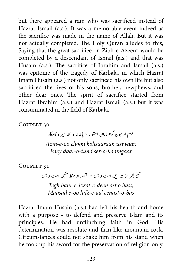but there appeared a ram who was sacrificed instead of Hazrat Ismail (a.s.). It was a memorable event indeed as the sacrifice was made in the name of Allah. But it was not actually completed. The Holy Quran alludes to this, Saying that the great sacrifiee or 'Zibh-e-Azeem' would be completed by a descendant of Ismail (a.s.) and that was Husain (a.s.). The sacrifice of Ibrahim and Ismail (a.s.). was epitome of the tragedy of Karbala, in which Hazrat Imam Husain (a.s.) not only sacrificed his own life but also sacrificed the lives of his sons, brother, newphews, and other dear ones. The spirit of sacrifice started from Hazrat Ibrahim (a.s.) and Hazrat Ismail (a.s.) but it was consummated in the field of Karbala

COUPLET 30

عزم او چون کوهساران استوار \* یایدار و تند سیر و کامگار

Azm-e-oo choon kohsaaraan usiwaar, Paey daar-o-tund ser-o-kaamgaar

COUPLET 31

ند 1<br>بھر عزت دین است و بس \* مقصد او حفظ آئین است و بس ی į, � �ی ت � *Tegh bahr-e-izzat-e-deen ast o bass, Maqsad e-oo hifz-e-aa' eenast-o-bas* 

Hazrat Imam Husain (a.s.) had left his hearth and home with a purpose - to defend and preserve Islam and its principles. He had unflinching faith in God. His determination was resolute and firm like mountain rock. Circumstances could not shake him from his stand when he took up his sword for the preservation of religion only.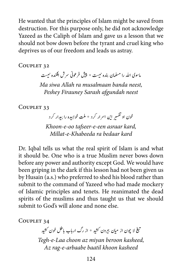He wanted that the principles of Islam might be saved from destruction. For this purpose only, he did not acknowledge Yazeed as the Caliph of Islam and gave us a lesson that we should not bow down before the tyrant and cruel king who deprives us of our freedom and leads us astray.

COUPLET 32

اسوی الله را مسلمان بنده نیست \* پیش فرعونی سر ش افکنده نیست

*Ma siwa Allah ra musalmaan banda neest.* **Peshey Firauney Sarash afgundah neest** 

COUPLET 33

خون او تفسیر این اسرار کرد \* ملت خوابیده را بیدار کرد ت ;<br>J

*Khoon-e-oo tafseer-e-een asraar kard, kard bedaar ra Khabeeda-e-Millat*

Dr. Iqbal tells us what the real spirit of Islam is and what it should be. One who is a true Muslim never bows down before any power and authority except God. We would have been griping in the dark if this lesson had not been given us by Husain (a.s.) who preferred to shed his blood rather than submit to the command of Yazeed who had made mockery of Islamic principles and tenets. He reanimated the dead spirits of the muslims and thus taught us that we should submit to God's will alone and none else.

COUPLET 34

ی ش لا چون از میان بیرون کشید **\* از رگ ارباب باطل خون کشید** ش į, � �ی ت � Tegh-e-Laa choon az miyan beroon kasheed, Az rag-e-arbaabe baatil khoon kasheed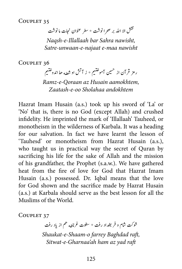نقش الا الله بر صحرا نوشت \* سطر عنوان نجات ما نوشت  *,nawisht Sahra bar Illallaah-e-Naqsh nawisht maa-e najaat-e-unwaan-Satre*

COUPLET 36 ت

ين<br>سيم .<br>تنيم \* ز آتش او شعله حا اندو<sup>خ</sup>ا ش ت ر مز قرآن از <sup>حس</sup>ین آمو<sup>خذ</sup>

*,aamokhtem Husain az Qoraan-e-Ramz andokhtem Sholahaa oo-e-Zaatash*

Hazrat Imam Husain (a.s.) took up his sword of 'La' or 'No' that is, there is no God (except Allah) and crushed infidelity. He imprinted the mark of 'Illallaah' Tauheed, or monotheism in the wilderness of Karbala. It was a heading for our salvation. In fact we have learnt the lesson of 'Tauhesd' or monotheism from Hazrat Husain (a.s.), who taught us in practical way the secret of Quran by sacrificing his life for the sake of Allah and the mission of his grandfather, the Prophet (s.a.w.). We have gathered heat from the fire of love for God that Hazrat Imam Husain (a.s.) possessed. Dr. Iqbal means that the love for God shown and the sacrifice made by Hazrat Husain  $(a.s.)$  at Karbala should serve as the best lesson for all the Muslims of the World.

COUPLET 37

شوکت شام و فر بغداد رفت \* سطوت غرنا<sub>طه</sub> هم از یاد رفت *Shaukat-e-Shaam-o farrey Baghdad raft,* Sitwat-e-Gharnaa'ah ham az yad raft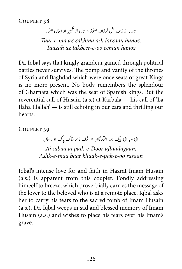.<br>زخمه اش لرزان هنوز \* تازه از تكبير او ايمان هنوز ن ت اتر ام از ز *,hanoz larzaan ash zakhma az ma-e-Taar Taazah az takbeer-e-oo eeman hanoz* 

Dr. Iqbal says that kingly grandeur gained through political battles never survives. The pomp and vanity of the thrones of Syria and Baghdad which were once seats of great Kings is no more present. No body remembers the splendour of Gharnata which was the seat of Spanish kings. But the reverential call of Husain (a.s.) at Karbala — his call of 'La Ilaha Illallah' — is still echoing in our ears and thrilling our hearts.

COUPLET 39

ای صاِ ای پیک دور افتاد گان \* اشک ما بر خاک پاک او رسان Ai sabaa ai paik-e-Door uftaadagaan, Ashk-e-maa baar khaak-e-pak-e-oo rasaan

Iqbal's intense love for and faith in Hazrat Imam Husain  $(a.s.)$  is apparent from this couplet. Fondly addressing himeelf to breeze, which proverbially carries the message of the lover to the beloved who is at a remote place. Iqbal asks her to carry his tears to the sacred tomb of Imam Husain (a.s.). Dr. Iqbal weeps in sad and blessed memory of Imam Husain (a.s.) and wishes to place his tears over his Imam's .grave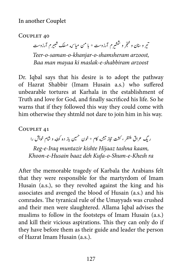.<br>نیر و سنان و خنجر و ششیرم آرزوست \* با من میاس<sub>ک</sub>ه مسلک شبیرم آرزوست ش � ش ش ت *,arzoost shamsheram-o-khanjar-o-saman-o-Teer arzoost shabbiram-e-maslak ki mayaa man Baa*

Dr. Iqbal says that his desire is to adopt the pathway of Hazrat Shabbir (Imam Husain a.s.) who suffered unbearable tortures at Karhala in the establishment of Truth and love for God, and finally sacrificed his life. So he warns that if they followed this way they could come with him otherwise they shtmld not dare to join him in his way.

COUPLET 41

نه کام \* خون حسین باز ده کوفه و شام خویش را  $\omega$  یتش ر یگ عراق منتظر ، کشت حجاز ت *,kaam tashna Hijaaz kishte muntazir Iraq-e-Reg ra Khesh-e-Shum-o-Kufa deh baaz Husain-e-Khoon*

After the memorable tragedy of Karbala the Arabians felt that they were responsible for the martyrdom of Imam Husain (a.s.), so they revolted against the king and his associates and avenged the blood of Husain (a.s.) and his comrades. The tyranical rule of the Umayyads was crushed and their men were slaughtered. Allama Iqbal advises the muslims to follow in the footsteps of Imam Husain (a.s.) and kill their vicious aspirations. This they can only do if they have before them as their guide and leader the person of Hazrat Imam Husain (a.s.).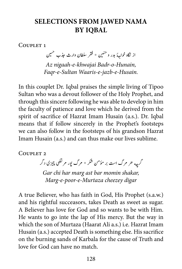# **SELECTIONS FROM JAWED NAMA IQBAL BY**

COUPLET<sub>1</sub>

از نگاه خوا<sub>جه</sub>هٔ بدر و حنبین \* فقر سلطان وارث جذب حسین Az nigaah-e-khwajai Badr-o-Hunain, *Faar-e-Sultan Waaris-e-jazb-e-Husain.* 

In this couplet Dr. Iqbal praises the simple living of Tipoo Sultan who was a devout follower of the Holy Prophet, and through this sincere following he was able to develop in him the faculty of patience and love which he derived from the spirit of sacrifice of Hazrat Imam Husain (a.s.). Dr. Iqbal means that if follow sincerely in the Prophet's footsteps we can also follow in the footsteps of his grandson Hazrat Imam Husain (a.s.) and can thus make our lives sublime.

COUPLET<sub>2</sub>

گرچه هر مرگ است بر مؤمن شکر \* مرگ پور مرتضی چیزی دگر

Gar chi har marg ast bar momin shakar, *digar cheezey Murtaza-e-poor-e-Marg*

A true Believer, who has faith in God, His Prophet (s.a.w.) and his rightful succeasors, takes Death as sweet as sugar. A Believer has love for God and so wants to be with Him. He wants to go inte the lap of His mercy. But the way in which the son of Murtaza (Haarat Ali a.s.) i.e. Hazrat Imam Husain (a.s.) accepted Death is something else. His sacrifice on the burning sands of Karbala for the cause of Truth and love for God can have no match.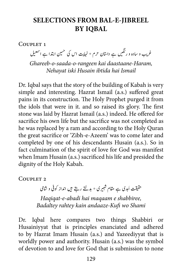# **SELECTIONS FROM BAL-E-JIBREEL BY IOBAL**

COUPLET<sub>1</sub>

غریب و سادہ و رنگیں ہے داستان حرم \* نہایت اس کی خسین ابتدا ہے اسمعیل تن

Ghareeb-o-saada-o-rangeen kai daastaane-Haram, *Ismail hai ibtida Husain iski Nehayat*

Dr. Igbal says that the story of the building of Kabah is very simple and interesting. Hazrat Ismail (a.s.) suffered great pains in its construction. The Holy Prophet purged it from the idols that were in it. and so raised its glory. The first stone was laid by Hazrat Ismail (a.s.) indeed. He offered for sacrifice his own life but the sacrifice was not completed as he was replaced by a ram and according to the Holy Quran the great sacrifice or 'Zibh-e-Azeem' was to come later and completed by one of his descendants Husain (a.s.). So in fact culmination of the spirit of love for God was manifest when Imam Husain (a.s.) sacrificed his life and presided the dignity of the Holy Kabah.

COUPLET<sub>2</sub>

بدی ہے مقام شبیری ٭ بدلتے رہتے ہیں انداز کوفی و شامی ش حقيقت أ ی *Haqiqat-e-abadi hai maqaam e shabbiree, Shami wo Kufi-andaaze kain rahtey Badaltey*

Dr. Iqbal here compares two things Shabbiri or Husainiyyat that is principles enanciated and adhered to by Hazrat Imam Husain (a.s.) and Yazeediyyat that is worldly power and authority. Husain (a.s.) was the symbol of devotion to and love for God that is submission to none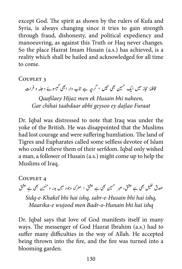except God. The spirit as shown by the rulers of Kufa and Syria, is always changing since it tries to gain strength through fraud, dishonesty, and political expediency and manoeuvring, as against this Truth or Haq never changes. So the place Hazrat Imam Husain (a.s.) has achieved, is a reality which shall be hailed and acknowledged for all time to come.

COUPLET<sub>3</sub>

قافلۂ حجاز میں ایک <sup>حسین</sup> بھی نہیں ٭ گرچہ ہے تاب دار ابھی گیسوئے دجلہ و فرات ہ ی

*Oaafilaev Hijaz men ek Husain bhi naheen, Furaat dajlao ey geysoo abhi taabdaar chihai Gar*

Dr. Iqbal was distressed to note that Iraq was under the yoke of the British. He was disappointed that the Muslims had lost courage and were suffering humliation. The land of Tigres and Eupharates called some selfless devotee of Islam who could relieve them of their serfdom. Iqbal only wished a man, a follower of Husain (a.s.) might come up to help the Muslims of Iraq.

COUPLET<sub>4</sub> ل بھی ہے عشق، صبر تحسین بھی ہے عشق ٭ معرکۂ وجود میں بدر و حنین بھی ہے عشق ن خ صدق تقليل Sidq-e-Khakel bhi hai ishq, sabr-e-Husain bhi hai ishq, *ishq hai bhi Hunain-o-Badr men wujood e-Maarika*

Dr. Iqbal says that love of God manifests itself in many ways. The messenger of God Hazrat Ibrahim (a.s.) had to suffer many difficulties in the way of Allah. He accepted being thrown into the fire, and the fire was turned into a blooming garden.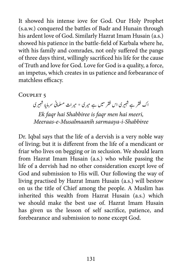It showed his intense iove for God. Our Holy Prophet (s.a.w.) conquered the battles of Badr and Hunain through his ardent love of God. Similarly Hazrat Imam Husain (a.s.) showed his patience in the battle-field of Karbala where he, with his family and comrades, not only suffered the pangs of three days thirst, willingly sacrificed his life for the cause of Truth and love for God. Love for God is a quality, a force, an impetus, which creates in us patience and forbearance of matchless efficacy.

## COUPLET<sub>5</sub>

اک فقر ہے شبیری ا<sub>ک</sub> فقر میں ہے میری ٭ میراث مسلمانی سرمایۂ شبیری ش ش *Ek faqr hai Shabbiree is faqr men hai meeri, Shabbiree-i-sarmaaya Musalmaanih-e-Meeraas*

Dr. Iqbal says that the life of a dervish is a very noble way of living; but it is different from the life of a mendicant or friar who lives on begging or in seclusion. We should learn from Hazrat Imam Husain (a.s.) who while passing the life of a dervish had no other consideration except love of God and submission to His will. Our following the way of living practised by Hazrat Imam Husain (a.s.) will bestow on us the title of Chief among the people. A Muslim has inherited this wealth from Hazrat Husain (a.s.) which we should make the best use of. Hazrat Imam Husain has given us the lesson of self sacrifice, patience, and forebearance and submission to none except God.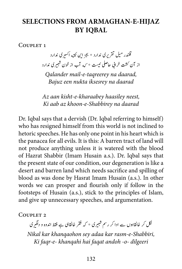## **SELECTIONS FROM ARMAGHAN-E-HIJAZ BY IOBAL**

COUPLET<sub>1</sub>

قلندر میل تقریری ندارد \* بجز این نکته اکسیری ندارد ن بی ی دنا رد <sup>ی</sup> ت \* که آب ا ز وخن � ا ز آن تشک رخایب احیلص � <sup>ن</sup> ش *,daarad na taqreerey-e-mail Qalander Bajuz een nukta iksesrey na daarad* 

*Az aan kisht-e-kharaabey haasiley neest, daarad na Shabbirey-e-khoon az aab Ki*

Dr. Iqbal says that a dervish (Dr. Iqbal referring to himself) who has resigned himself from this world is not inclined to hetoric speeches. He has only one point in his heart which is the panacea for all evils. It is this: A barren tract of land will not produce anything unless it is watered with the blood of Hazrat Shabbir (Imam Husain a.s.). Dr. Iqbal says that the present state of our condition, our degeneration is like a desert and barren land which needs sacrifice and spilling of blood as was done by Hasrat Imam Husain (a.s.). In other words we can prosper and flourish only if follow in the footsteps of Husain (a.s.), stick to the principles of Islam, and give up unnecessary speeches, and argumentation.

COUPLET<sub>2</sub>

نکل کر خانقاہوں سے ادا کر رسم شبیری \* کہ فقر خانقاہی ہے فقط اندوہ و دلگیری ش

*Nikal kar khanqaohon sey adaa kar rasm-e-Shabbiri,* Ki faqr-e- khanqahi hai faqat andoh -o- dilgeeri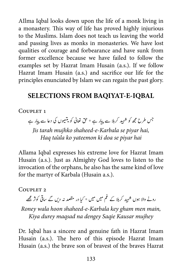Allma Iqbal looks down upon the life of a monk living in a monastery. This way of life has proved highly injurious to the Muslims. Islam does not teach us leaving the world and passing lives as monks in monasteries. We have lost qualities of courage and forbearance and have sunk from former excellence because we have failed to follow the examples set by Hazrat Imam Husain (a.s.). If we follow Hazrat Imam Husain (a.s.) and sacrifice our life for the principles enunciated by Islam we can regain the past glory.

## **SELECTIONS FROM BAQIYAT-E-IOBAL**

COUPLET 1

جس طرح مجھ کو شہید کرہلا سے پیار ہے ٭ حق نعالیٰ کو یتیموں کی دعا سے پیار ہے ت Jis tarah mujhko shaheed-e-Karbala se piyar hai, *Haq ta'ala ko yateemon ki doa se piyar hai* 

Allama Iqbal expresses his extreme love for Hazrat Imam Husain (a.s.). Just as Almighty God loves to listen to the invocation of the orphans, he also has the same kind of love for the martyr of Karbala (Husain a.s.).

COUPLET<sub>2</sub>

رونے والا ہوں شہید کر ہلا کے غم میں میں \* کیا در مقصد نہ دیں گے ساقی کوثر مجھے

Roney wala hoon shaheed-e-Karbala key gham men main, Kiya durey magsad na dengey Sagie Kausar mujhey

Dr. Iqbal has a sincere and genuine fath in Hazrat Imam Husain (a.s.). The hero of this episode Hazrat Imam Husain (a.s.) the brave son of bravest of the braves Hazrat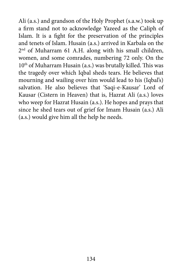Ali (a.s.) and grandson of the Holy Prophet (s.a.w.) took up a firm stand not to acknowledge Yazeed as the Caliph of Islam. It is a fight for the preservation of the principles and tenets of Islam. Husain (a.s.) arrived in Karbala on the  $2<sup>nd</sup>$  of Muharram 61 A.H. along with his small children, women, and some comrades, numbering 72 only. On the  $10<sup>th</sup>$  of Muharram Husain (a.s.) was brutally killed. This was the tragedy over which Iqbal sheds tears. He believes that mourning and wailing over him would lead to his (Iqbal's) salvation. He also believes that 'Saqi-e-Kausar' Lord of Kausar (Cistern in Heaven) that is, Hazrat Ali (a.s.) loves who weep for Hazrat Husain (a.s.). He hopes and prays that since he shed tears out of grief for Imam Husain (a.s.) Ali (a.s.) would give him all the help he needs.